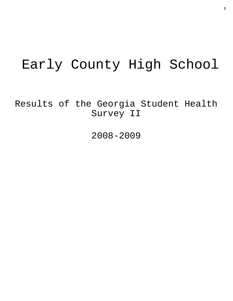# Early County High School

Results of the Georgia Student Health Survey II

2008-2009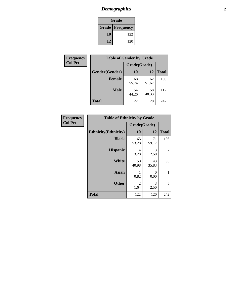## *Demographics* **2**

| Grade                  |     |  |  |  |
|------------------------|-----|--|--|--|
| <b>Grade Frequency</b> |     |  |  |  |
| 10                     | 122 |  |  |  |
| 12                     | 120 |  |  |  |

| <b>Frequency</b> | <b>Table of Gender by Grade</b> |              |             |              |  |  |
|------------------|---------------------------------|--------------|-------------|--------------|--|--|
| <b>Col Pct</b>   |                                 | Grade(Grade) |             |              |  |  |
|                  | Gender(Gender)                  | <b>10</b>    | 12          | <b>Total</b> |  |  |
|                  | <b>Female</b>                   | 68<br>55.74  | 62<br>51.67 | 130          |  |  |
|                  | <b>Male</b>                     | 54<br>44.26  | 58<br>48.33 | 112          |  |  |
|                  | <b>Total</b>                    | 122          | 120         | 242          |  |  |

| <b>Frequency</b><br>Col Pct |
|-----------------------------|

| <b>Table of Ethnicity by Grade</b> |              |             |              |  |  |  |
|------------------------------------|--------------|-------------|--------------|--|--|--|
|                                    | Grade(Grade) |             |              |  |  |  |
| <b>Ethnicity</b> (Ethnicity)       | 10           | 12          | <b>Total</b> |  |  |  |
| <b>Black</b>                       | 65<br>53.28  | 71<br>59.17 | 136          |  |  |  |
| <b>Hispanic</b>                    | 4<br>3.28    | 3<br>2.50   |              |  |  |  |
| <b>White</b>                       | 50<br>40.98  | 43<br>35.83 | 93           |  |  |  |
| <b>Asian</b>                       | 1<br>0.82    | 0<br>0.00   | 1            |  |  |  |
| <b>Other</b>                       | 2<br>1.64    | 3<br>2.50   | 5            |  |  |  |
| <b>Total</b>                       | 122          | 120         | 242          |  |  |  |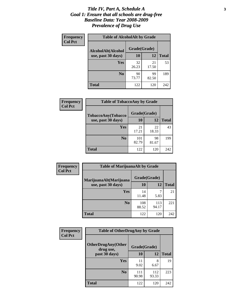#### *Title IV, Part A, Schedule A* **3** *Goal 1: Ensure that all schools are drug-free Baseline Data: Year 2008-2009 Prevalence of Drug Use*

| Frequency<br><b>Col Pct</b> | <b>Table of AlcoholAlt by Grade</b> |              |             |              |  |  |
|-----------------------------|-------------------------------------|--------------|-------------|--------------|--|--|
|                             | AlcoholAlt(Alcohol                  | Grade(Grade) |             |              |  |  |
|                             | use, past 30 days)                  | 10           | 12          | <b>Total</b> |  |  |
|                             | Yes                                 | 32<br>26.23  | 21<br>17.50 | 53           |  |  |
|                             | N <sub>0</sub>                      | 90<br>73.77  | 99<br>82.50 | 189          |  |  |
|                             | <b>Total</b>                        | 122          | 120         | 242          |  |  |

| Frequency      | <b>Table of TobaccoAny by Grade</b> |              |             |              |  |
|----------------|-------------------------------------|--------------|-------------|--------------|--|
| <b>Col Pct</b> | TobaccoAny(Tobacco                  | Grade(Grade) |             |              |  |
|                | use, past 30 days)                  | 10           | 12          | <b>Total</b> |  |
|                | Yes                                 | 21<br>17.21  | 22<br>18.33 | 43           |  |
|                | N <sub>0</sub>                      | 101<br>82.79 | 98<br>81.67 | 199          |  |
|                | Total                               | 122          | 120         | 242          |  |

| Frequency<br><b>Col Pct</b> | <b>Table of MarijuanaAlt by Grade</b> |              |              |              |  |
|-----------------------------|---------------------------------------|--------------|--------------|--------------|--|
|                             | MarijuanaAlt(Marijuana                | Grade(Grade) |              |              |  |
|                             | use, past 30 days)                    | 10           | 12           | <b>Total</b> |  |
|                             | <b>Yes</b>                            | 14<br>11.48  | 5.83         | 21           |  |
|                             | N <sub>0</sub>                        | 108<br>88.52 | 113<br>94.17 | 221          |  |
|                             | <b>Total</b>                          | 122          | 120          | 242          |  |

| Frequency<br><b>Col Pct</b> | <b>Table of OtherDrugAny by Grade</b>                  |              |              |              |  |
|-----------------------------|--------------------------------------------------------|--------------|--------------|--------------|--|
|                             | <b>OtherDrugAny(Other</b><br>Grade(Grade)<br>drug use, |              |              |              |  |
|                             | past 30 days)                                          | 10           | 12           | <b>Total</b> |  |
|                             | <b>Yes</b>                                             | 11<br>9.02   | 8<br>6.67    | 19           |  |
|                             | N <sub>0</sub>                                         | 111<br>90.98 | 112<br>93.33 | 223          |  |
|                             | <b>Total</b>                                           | 122          | 120          | 242          |  |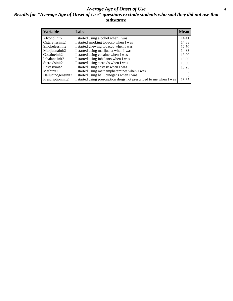#### *Average Age of Onset of Use* **4** *Results for "Average Age of Onset of Use" questions exclude students who said they did not use that substance*

| <b>Variable</b>       | Label                                                              | <b>Mean</b> |
|-----------------------|--------------------------------------------------------------------|-------------|
| Alcoholinit2          | I started using alcohol when I was                                 | 14.41       |
| Cigarettesinit2       | I started smoking tobacco when I was                               | 14.33       |
| Smokelessinit2        | I started chewing tobacco when I was                               | 12.50       |
| Marijuanainit2        | I started using marijuana when I was                               | 14.83       |
| Cocaineinit2          | I started using cocaine when I was                                 | 13.00       |
| Inhalantsinit2        | I started using inhalants when I was                               | 15.00       |
| Steroidsinit2         | I started using steroids when I was                                | 15.50       |
| Ecstasyinit2          | I started using ecstasy when I was                                 | 15.25       |
| Methinit <sub>2</sub> | I started using methamphetamines when I was                        |             |
| Hallucinogensinit2    | I started using hallucinogens when I was                           |             |
| Prescriptioninit2     | I started using prescription drugs not prescribed to me when I was | 13.67       |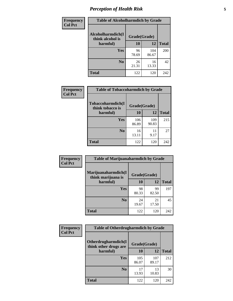## *Perception of Health Risk* **5**

| Frequency      | <b>Table of Alcoholharmdich by Grade</b> |              |             |              |  |
|----------------|------------------------------------------|--------------|-------------|--------------|--|
| <b>Col Pct</b> | Alcoholharmdich(I<br>think alcohol is    | Grade(Grade) |             |              |  |
|                | harmful)                                 | 10           | 12          | <b>Total</b> |  |
|                | <b>Yes</b>                               | 96           | 104         | 200          |  |
|                |                                          | 78.69        | 86.67       |              |  |
|                | N <sub>0</sub>                           | 26<br>21.31  | 16<br>13.33 | 42           |  |
|                | <b>Total</b>                             | 122          | 120         | 242          |  |

| <b>Frequency</b> | <b>Table of Tobaccoharmdich by Grade</b> |              |              |              |  |
|------------------|------------------------------------------|--------------|--------------|--------------|--|
| <b>Col Pct</b>   | Tobaccoharmdich(I<br>think tobacco is    | Grade(Grade) |              |              |  |
|                  | harmful)                                 | 10           | 12           | <b>Total</b> |  |
|                  | Yes                                      | 106<br>86.89 | 109<br>90.83 | 215          |  |
|                  | N <sub>0</sub>                           | 16<br>13.11  | 11<br>9.17   | 27           |  |
|                  | <b>Total</b>                             | 122          | 120          | 242          |  |

| Frequency      | <b>Table of Marijuanaharmdich by Grade</b>                |             |             |              |  |  |
|----------------|-----------------------------------------------------------|-------------|-------------|--------------|--|--|
| <b>Col Pct</b> | Marijuanaharmdich(I<br>Grade(Grade)<br>think marijuana is |             |             |              |  |  |
|                | harmful)                                                  | 10          | 12          | <b>Total</b> |  |  |
|                | Yes                                                       | 98<br>80.33 | 99<br>82.50 | 197          |  |  |
|                | N <sub>0</sub>                                            | 24<br>19.67 | 21<br>17.50 | 45           |  |  |
|                | <b>Total</b>                                              | 122         | 120         | 242          |  |  |

| <b>Frequency</b> | <b>Table of Otherdrugharmdich by Grade</b>   |              |              |              |  |  |  |  |
|------------------|----------------------------------------------|--------------|--------------|--------------|--|--|--|--|
| <b>Col Pct</b>   | Otherdrugharmdich(I<br>think other drugs are | Grade(Grade) |              |              |  |  |  |  |
|                  | harmful)                                     | 10           | 12           | <b>Total</b> |  |  |  |  |
|                  | Yes                                          | 105<br>86.07 | 107<br>89.17 | 212          |  |  |  |  |
|                  | N <sub>0</sub>                               | 17<br>13.93  | 13<br>10.83  | 30           |  |  |  |  |
|                  | <b>Total</b>                                 | 122          | 120          | 242          |  |  |  |  |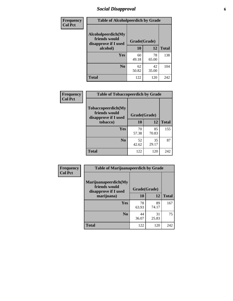### *Social Disapproval* **6**

| Frequency      | <b>Table of Alcoholpeerdich by Grade</b>                    |              |             |              |  |  |  |
|----------------|-------------------------------------------------------------|--------------|-------------|--------------|--|--|--|
| <b>Col Pct</b> | Alcoholpeerdich(My<br>friends would<br>disapprove if I used | Grade(Grade) |             |              |  |  |  |
|                | alcohol)                                                    | 10           | 12          | <b>Total</b> |  |  |  |
|                | <b>Yes</b>                                                  | 60<br>49.18  | 78<br>65.00 | 138          |  |  |  |
|                | N <sub>0</sub>                                              | 62<br>50.82  | 42<br>35.00 | 104          |  |  |  |
|                | <b>Total</b>                                                | 122          | 120         | 242          |  |  |  |

| <b>Frequency</b> |
|------------------|
| <b>Col Pct</b>   |

| <b>Table of Tobaccopeerdich by Grade</b>                    |              |             |              |  |  |  |
|-------------------------------------------------------------|--------------|-------------|--------------|--|--|--|
| Tobaccopeerdich(My<br>friends would<br>disapprove if I used | Grade(Grade) |             |              |  |  |  |
| tobacco)                                                    | 10           | 12          | <b>Total</b> |  |  |  |
| Yes                                                         | 70<br>57.38  | 85<br>70.83 | 155          |  |  |  |
| N <sub>0</sub>                                              | 52<br>42.62  | 35<br>29.17 | 87           |  |  |  |
| <b>Total</b>                                                | 122          | 120         | 242          |  |  |  |

| <b>Frequency</b> | <b>Table of Marijuanapeerdich by Grade</b>                    |              |             |              |  |  |  |  |
|------------------|---------------------------------------------------------------|--------------|-------------|--------------|--|--|--|--|
| <b>Col Pct</b>   | Marijuanapeerdich(My<br>friends would<br>disapprove if I used | Grade(Grade) |             |              |  |  |  |  |
|                  | marijuana)                                                    | 10           | 12          | <b>Total</b> |  |  |  |  |
|                  | <b>Yes</b>                                                    | 78<br>63.93  | 89<br>74.17 | 167          |  |  |  |  |
|                  | N <sub>0</sub>                                                | 44<br>36.07  | 31<br>25.83 | 75           |  |  |  |  |
|                  | <b>Total</b>                                                  | 122          | 120         | 242          |  |  |  |  |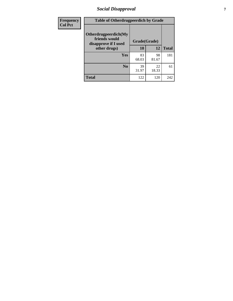### *Social Disapproval* **7**

| Frequency      | <b>Table of Otherdrugpeerdich by Grade</b>                    |              |             |              |  |  |  |  |
|----------------|---------------------------------------------------------------|--------------|-------------|--------------|--|--|--|--|
| <b>Col Pct</b> | Otherdrugpeerdich(My<br>friends would<br>disapprove if I used | Grade(Grade) |             |              |  |  |  |  |
|                | other drugs)                                                  | 10           | 12          | <b>Total</b> |  |  |  |  |
|                | Yes                                                           | 83<br>68.03  | 98<br>81.67 | 181          |  |  |  |  |
|                | N <sub>0</sub>                                                | 39<br>31.97  | 22<br>18.33 | 61           |  |  |  |  |
|                | <b>Total</b>                                                  | 122          | 120         | 242          |  |  |  |  |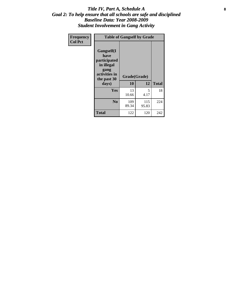#### Title IV, Part A, Schedule A **8** *Goal 2: To help ensure that all schools are safe and disciplined Baseline Data: Year 2008-2009 Student Involvement in Gang Activity*

| Frequency      | <b>Table of Gangself by Grade</b>                                                                 |                    |              |              |
|----------------|---------------------------------------------------------------------------------------------------|--------------------|--------------|--------------|
| <b>Col Pct</b> | Gangself(I<br>have<br>participated<br>in illegal<br>gang<br>activities in<br>the past 30<br>days) | Grade(Grade)<br>10 | 12           | <b>Total</b> |
|                | Yes                                                                                               | 13<br>10.66        | 5<br>4.17    | 18           |
|                | N <sub>0</sub>                                                                                    | 109<br>89.34       | 115<br>95.83 | 224          |
|                | <b>Total</b>                                                                                      | 122                | 120          | 242          |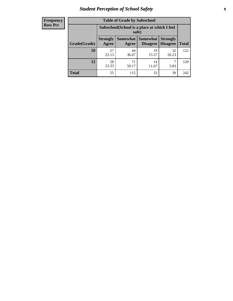### *Student Perception of School Safety* **9**

| <b>Frequency</b><br>Row Pct |
|-----------------------------|
|                             |

| <b>Table of Grade by Safeschool</b> |                                                        |             |                                        |                                    |              |  |  |
|-------------------------------------|--------------------------------------------------------|-------------|----------------------------------------|------------------------------------|--------------|--|--|
|                                     | Safeschool (School is a place at which I feel<br>safe) |             |                                        |                                    |              |  |  |
| Grade(Grade)                        | <b>Strongly</b><br>Agree                               | Agree       | <b>Somewhat   Somewhat</b><br>Disagree | <b>Strongly</b><br><b>Disagree</b> | <b>Total</b> |  |  |
| 10                                  | 27<br>22.13                                            | 44<br>36.07 | 19<br>15.57                            | 32<br>26.23                        | 122          |  |  |
| 12                                  | 28<br>23.33                                            | 71<br>59.17 | 14<br>11.67                            | 5.83                               | 120          |  |  |
| <b>Total</b>                        | 55                                                     | 115         | 33                                     | 39                                 | 242          |  |  |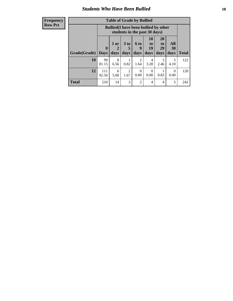### *Students Who Have Been Bullied* **10**

| <b>Frequency</b> |
|------------------|
| Row Pct          |

| <b>Table of Grade by Bullied</b> |                            |                                                                               |                     |                   |                        |                        |                                 |              |
|----------------------------------|----------------------------|-------------------------------------------------------------------------------|---------------------|-------------------|------------------------|------------------------|---------------------------------|--------------|
|                                  |                            | <b>Bullied</b> (I have been bullied by other<br>students in the past 30 days) |                     |                   |                        |                        |                                 |              |
| Grade(Grade)                     | $\mathbf 0$<br><b>Days</b> | 1 or<br>2<br>days                                                             | $3$ to<br>5<br>days | 6 to<br>9<br>days | 10<br>to<br>19<br>days | 20<br>to<br>29<br>days | <b>All</b><br><b>30</b><br>days | <b>Total</b> |
| 10                               | 99<br>81.15                | 8<br>6.56                                                                     | 0.82                | 2<br>1.64         | 4<br>3.28              | 3<br>2.46              | 5<br>4.10                       | 122          |
| 12                               | 111<br>92.50               | 6<br>5.00                                                                     | 2<br>1.67           | $\Omega$<br>0.00  | $\theta$<br>0.00       | 0.83                   | $\Omega$<br>0.00                | 120          |
| <b>Total</b>                     | 210                        | 14                                                                            | 3                   | 2                 | 4                      | $\overline{4}$         | 5                               | 242          |

 $\blacksquare$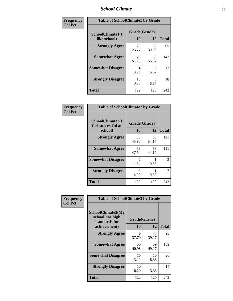### *School Climate* **11**

| Frequency      | <b>Table of SchoolClimate1 by Grade</b> |                    |             |              |  |  |
|----------------|-----------------------------------------|--------------------|-------------|--------------|--|--|
| <b>Col Pct</b> | SchoolClimate1(I<br>like school)        | Grade(Grade)<br>10 | 12          | <b>Total</b> |  |  |
|                | <b>Strongly Agree</b>                   | 29<br>23.77        | 36<br>30.00 | 65           |  |  |
|                | <b>Somewhat Agree</b>                   | 79<br>64.75        | 68<br>56.67 | 147          |  |  |
|                | <b>Somewhat Disagree</b>                | 4<br>3.28          | 8<br>6.67   | 12           |  |  |
|                | <b>Strongly Disagree</b>                | 10<br>8.20         | 8<br>6.67   | 18           |  |  |
|                | <b>Total</b>                            | 122                | 120         | 242          |  |  |

| <b>Frequency</b> |
|------------------|
| <b>Col Pct</b>   |

| <b>Table of SchoolClimate2 by Grade</b>           |                       |             |              |  |  |
|---------------------------------------------------|-----------------------|-------------|--------------|--|--|
| SchoolClimate2(I<br>feel successful at<br>school) | Grade(Grade)<br>10    | 12          | <b>Total</b> |  |  |
| <b>Strongly Agree</b>                             | 56<br>45.90           | 65<br>54.17 | 121          |  |  |
| <b>Somewhat Agree</b>                             | 58<br>47.54           | 53<br>44.17 | 111          |  |  |
| <b>Somewhat Disagree</b>                          | $\mathcal{L}$<br>1.64 | 0.83        | 3            |  |  |
| <b>Strongly Disagree</b>                          | 6<br>4.92             | 0.83        | 7            |  |  |
| Total                                             | 122                   | 120         | 242          |  |  |

| Frequency      | <b>Table of SchoolClimate3 by Grade</b>               |              |             |              |  |
|----------------|-------------------------------------------------------|--------------|-------------|--------------|--|
| <b>Col Pct</b> | SchoolClimate3(My<br>school has high<br>standards for | Grade(Grade) |             |              |  |
|                | achievement)                                          | 10           | 12          | <b>Total</b> |  |
|                | <b>Strongly Agree</b>                                 | 46<br>37.70  | 47<br>39.17 | 93           |  |
|                | <b>Somewhat Agree</b>                                 | 50<br>40.98  | 59<br>49.17 | 109          |  |
|                | <b>Somewhat Disagree</b>                              | 16<br>13.11  | 10<br>8.33  | 26           |  |
|                | <b>Strongly Disagree</b>                              | 10<br>8.20   | 4<br>3.33   | 14           |  |
|                | Total                                                 | 122          | 120         | 242          |  |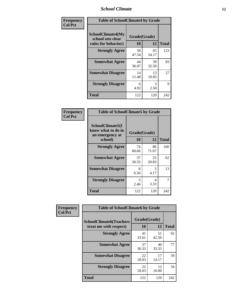### *School Climate* **12**

| Frequency      | <b>Table of SchoolClimate4 by Grade</b>                       |                    |             |              |
|----------------|---------------------------------------------------------------|--------------------|-------------|--------------|
| <b>Col Pct</b> | SchoolClimate4(My<br>school sets clear<br>rules for behavior) | Grade(Grade)<br>10 | 12          | <b>Total</b> |
|                | <b>Strongly Agree</b>                                         | 58<br>47.54        | 65<br>54.17 | 123          |
|                | <b>Somewhat Agree</b>                                         | 44<br>36.07        | 39<br>32.50 | 83           |
|                | <b>Somewhat Disagree</b>                                      | 14<br>11.48        | 13<br>10.83 | 27           |
|                | <b>Strongly Disagree</b>                                      | 6<br>4.92          | 3<br>2.50   | 9            |
|                | <b>Total</b>                                                  | 122                | 120         | 242          |

| <b>Table of SchoolClimate5 by Grade</b>                              |                    |             |              |  |  |
|----------------------------------------------------------------------|--------------------|-------------|--------------|--|--|
| SchoolClimate5(I<br>know what to do in<br>an emergency at<br>school) | Grade(Grade)<br>10 | 12          | <b>Total</b> |  |  |
| <b>Strongly Agree</b>                                                | 74<br>60.66        | 86<br>71.67 | 160          |  |  |
| <b>Somewhat Agree</b>                                                | 37<br>30.33        | 25<br>20.83 | 62           |  |  |
| <b>Somewhat Disagree</b>                                             | 8<br>6.56          | 5<br>4.17   | 13           |  |  |
| <b>Strongly Disagree</b>                                             | 3<br>2.46          | 4<br>3.33   | 7            |  |  |
| <b>Total</b>                                                         | 122                | 120         | 242          |  |  |

| Frequency      | <b>Table of SchoolClimate6 by Grade</b>                  |                    |             |              |  |
|----------------|----------------------------------------------------------|--------------------|-------------|--------------|--|
| <b>Col Pct</b> | <b>SchoolClimate6(Teachers</b><br>treat me with respect) | Grade(Grade)<br>10 | 12          | <b>Total</b> |  |
|                | <b>Strongly Agree</b>                                    | 41<br>33.61        | 51<br>42.50 | 92           |  |
|                | <b>Somewhat Agree</b>                                    | 37<br>30.33        | 40<br>33.33 | 77           |  |
|                | <b>Somewhat Disagree</b>                                 | 22<br>18.03        | 17<br>14.17 | 39           |  |
|                | <b>Strongly Disagree</b>                                 | 22<br>18.03        | 12<br>10.00 | 34           |  |
|                | <b>Total</b>                                             | 122                | 120         | 242          |  |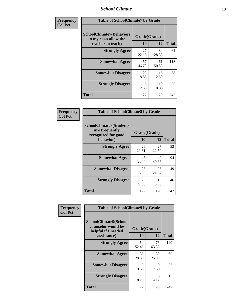### *School Climate* **13**

| Frequency      | <b>Table of SchoolClimate7 by Grade</b>                                       |                           |             |              |  |
|----------------|-------------------------------------------------------------------------------|---------------------------|-------------|--------------|--|
| <b>Col Pct</b> | <b>SchoolClimate7(Behaviors</b><br>in my class allow the<br>teacher to teach) | Grade(Grade)<br><b>10</b> | 12          | <b>Total</b> |  |
|                | <b>Strongly Agree</b>                                                         | 27<br>22.13               | 34<br>28.33 | 61           |  |
|                | <b>Somewhat Agree</b>                                                         | 57<br>46.72               | 61<br>50.83 | 118          |  |
|                | <b>Somewhat Disagree</b>                                                      | 23<br>18.85               | 15<br>12.50 | 38           |  |
|                | <b>Strongly Disagree</b>                                                      | 15<br>12.30               | 10<br>8.33  | 25           |  |
|                | <b>Total</b>                                                                  | 122                       | 120         | 242          |  |

| Frequency      | <b>Table of SchoolClimate8 by Grade</b>                                              |                    |             |              |  |
|----------------|--------------------------------------------------------------------------------------|--------------------|-------------|--------------|--|
| <b>Col Pct</b> | <b>SchoolClimate8(Students</b><br>are frequently<br>recognized for good<br>behavior) | Grade(Grade)<br>10 | 12          | <b>Total</b> |  |
|                | <b>Strongly Agree</b>                                                                | 26<br>21.31        | 27<br>22.50 | 53           |  |
|                | <b>Somewhat Agree</b>                                                                | 45<br>36.89        | 49<br>40.83 | 94           |  |
|                | <b>Somewhat Disagree</b>                                                             | 23<br>18.85        | 26<br>21.67 | 49           |  |
|                | <b>Strongly Disagree</b>                                                             | 28<br>22.95        | 18<br>15.00 | 46           |  |
|                | <b>Total</b>                                                                         | 122                | 120         | 242          |  |

| Frequency      | <b>Table of SchoolClimate9 by Grade</b>                                                  |                    |                     |              |  |
|----------------|------------------------------------------------------------------------------------------|--------------------|---------------------|--------------|--|
| <b>Col Pct</b> | <b>SchoolClimate9(School</b><br>counselor would be<br>helpful if I needed<br>assistance) | Grade(Grade)<br>10 | 12                  | <b>Total</b> |  |
|                | <b>Strongly Agree</b>                                                                    | 64<br>52.46        | 76<br>63.33         | 140          |  |
|                | <b>Somewhat Agree</b>                                                                    | 35<br>28.69        | 30<br>25.00         | 65           |  |
|                | <b>Somewhat Disagree</b>                                                                 | 13<br>10.66        | $\mathbf Q$<br>7.50 | 22           |  |
|                | <b>Strongly Disagree</b>                                                                 | 10<br>8.20         | 5<br>4.17           | 15           |  |
|                | <b>Total</b>                                                                             | 122                | 120                 | 242          |  |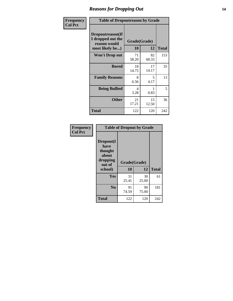### *Reasons for Dropping Out* **14**

| Frequency      | <b>Table of Dropoutreason by Grade</b>                                   |             |                    |              |  |
|----------------|--------------------------------------------------------------------------|-------------|--------------------|--------------|--|
| <b>Col Pct</b> | Dropoutreason(If<br>I dropped out the<br>reason would<br>most likely be) | 10          | Grade(Grade)<br>12 | <b>Total</b> |  |
|                | Won't Drop out                                                           | 71<br>58.20 | 82<br>68.33        | 153          |  |
|                | <b>Bored</b>                                                             | 18<br>14.75 | 17<br>14.17        | 35           |  |
|                | <b>Family Reasons</b>                                                    | 8<br>6.56   | 5<br>4.17          | 13           |  |
|                | <b>Being Bullied</b>                                                     | 4<br>3.28   | 0.83               | 5            |  |
|                | <b>Other</b>                                                             | 21<br>17.21 | 15<br>12.50        | 36           |  |
|                | Total                                                                    | 122         | 120                | 242          |  |

| Frequency<br><b>Col Pct</b> | <b>Table of Dropout by Grade</b>                                       |                    |             |              |  |
|-----------------------------|------------------------------------------------------------------------|--------------------|-------------|--------------|--|
|                             | Dropout(I<br>have<br>thought<br>about<br>dropping<br>out of<br>school) | Grade(Grade)<br>10 | 12          | <b>Total</b> |  |
|                             | Yes                                                                    | 31                 | 30          | 61           |  |
|                             |                                                                        | 25.41              | 25.00       |              |  |
|                             | N <sub>0</sub>                                                         | 91<br>74.59        | 90<br>75.00 | 181          |  |
|                             | <b>Total</b>                                                           | 122                | 120         | 242          |  |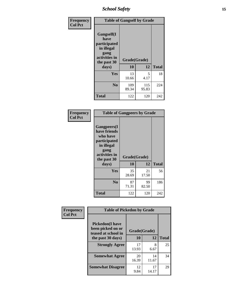*School Safety* **15**

| Frequency      | <b>Table of Gangself by Grade</b>                                                                 |                    |              |              |  |
|----------------|---------------------------------------------------------------------------------------------------|--------------------|--------------|--------------|--|
| <b>Col Pct</b> | Gangself(I<br>have<br>participated<br>in illegal<br>gang<br>activities in<br>the past 30<br>days) | Grade(Grade)<br>10 | 12           | <b>Total</b> |  |
|                |                                                                                                   |                    |              |              |  |
|                | Yes                                                                                               | 13<br>10.66        | 5<br>4.17    | 18           |  |
|                | N <sub>0</sub>                                                                                    | 109<br>89.34       | 115<br>95.83 | 224          |  |
|                | <b>Total</b>                                                                                      | 122                | 120          | 242          |  |

| Frequency<br><b>Col Pct</b> |                                                                                                                                | <b>Table of Gangpeers by Grade</b> |             |              |  |  |  |  |  |  |  |  |
|-----------------------------|--------------------------------------------------------------------------------------------------------------------------------|------------------------------------|-------------|--------------|--|--|--|--|--|--|--|--|
|                             | <b>Gangpeers</b> (I<br>have friends<br>who have<br>participated<br>in illegal<br>gang<br>activities in<br>the past 30<br>days) | Grade(Grade)<br>10                 | 12          | <b>Total</b> |  |  |  |  |  |  |  |  |
|                             | <b>Yes</b>                                                                                                                     | 35<br>28.69                        | 21<br>17.50 | 56           |  |  |  |  |  |  |  |  |
|                             | N <sub>0</sub>                                                                                                                 | 87<br>71.31                        | 99<br>82.50 | 186          |  |  |  |  |  |  |  |  |
|                             | <b>Total</b>                                                                                                                   | 122                                | 120         | 242          |  |  |  |  |  |  |  |  |

| Frequency      | <b>Table of Pickedon by Grade</b>                                  |              |             |              |
|----------------|--------------------------------------------------------------------|--------------|-------------|--------------|
| <b>Col Pct</b> | <b>Pickedon(I have</b><br>been picked on or<br>teased at school in | Grade(Grade) |             |              |
|                | the past 30 days)                                                  | 10           | 12          | <b>Total</b> |
|                | <b>Strongly Agree</b>                                              | 17<br>13.93  | 8<br>6.67   | 25           |
|                | <b>Somewhat Agree</b>                                              | 20<br>16.39  | 14<br>11.67 | 34           |
|                | <b>Somewhat Disagree</b>                                           | 12<br>9.84   | 17<br>14.17 | 29           |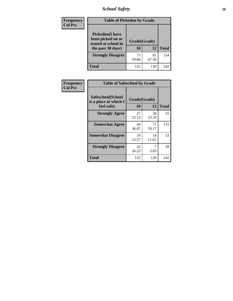*School Safety* **16**

| <b>Frequency</b> |                                                                                          | <b>Table of Pickedon by Grade</b> |             |              |  |  |  |  |  |  |  |
|------------------|------------------------------------------------------------------------------------------|-----------------------------------|-------------|--------------|--|--|--|--|--|--|--|
| <b>Col Pct</b>   | <b>Pickedon</b> (I have<br>been picked on or<br>teased at school in<br>the past 30 days) | Grade(Grade)<br>10                | 12          | <b>Total</b> |  |  |  |  |  |  |  |
|                  | <b>Strongly Disagree</b>                                                                 | 73<br>59.84                       | 81<br>67.50 | 154          |  |  |  |  |  |  |  |
|                  | <b>Total</b>                                                                             | 122                               | 120         | 242          |  |  |  |  |  |  |  |

| Frequency      |                                                          | <b>Table of Safeschool by Grade</b> |              |     |  |  |  |  |  |  |  |  |
|----------------|----------------------------------------------------------|-------------------------------------|--------------|-----|--|--|--|--|--|--|--|--|
| <b>Col Pct</b> | Safeschool(School<br>is a place at which I<br>feel safe) | Grade(Grade)<br>10                  | <b>Total</b> |     |  |  |  |  |  |  |  |  |
|                | <b>Strongly Agree</b>                                    | 27<br>22.13                         | 28<br>23.33  | 55  |  |  |  |  |  |  |  |  |
|                | <b>Somewhat Agree</b>                                    | 44<br>36.07                         | 71<br>59.17  | 115 |  |  |  |  |  |  |  |  |
|                | <b>Somewhat Disagree</b>                                 | 19<br>15.57                         | 14<br>11.67  | 33  |  |  |  |  |  |  |  |  |
|                | <b>Strongly Disagree</b>                                 | 32<br>26.23                         | 5.83         | 39  |  |  |  |  |  |  |  |  |
|                | <b>Total</b>                                             | 122                                 | 120          | 242 |  |  |  |  |  |  |  |  |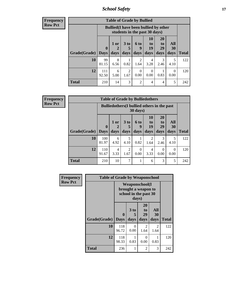*School Safety* **17**

**Frequency Row Pct**

| <b>Table of Grade by Bullied</b> |                             |                                                                               |                   |                        |                        |                               |                          |              |  |  |  |
|----------------------------------|-----------------------------|-------------------------------------------------------------------------------|-------------------|------------------------|------------------------|-------------------------------|--------------------------|--------------|--|--|--|
|                                  |                             | <b>Bullied</b> (I have been bullied by other<br>students in the past 30 days) |                   |                        |                        |                               |                          |              |  |  |  |
| Grade(Grade)                     | $\mathbf{0}$<br><b>Days</b> | 1 or<br>days                                                                  | 3 to<br>5<br>days | 6 to<br>9<br>days      | 10<br>to<br>19<br>days | <b>20</b><br>to<br>29<br>days | All<br><b>30</b><br>days | <b>Total</b> |  |  |  |
| 10                               | 99<br>81.15                 | 8<br>6.56                                                                     | 0.82              | $\mathfrak{D}$<br>1.64 | 4<br>3.28              | 3<br>2.46                     | 5<br>4.10                | 122          |  |  |  |
| 12                               | 111<br>92.50                | 6<br>5.00                                                                     | 2<br>1.67         | 0<br>0.00              | 0<br>0.00              | 0.83                          | $\Omega$<br>0.00         | 120          |  |  |  |
| Total                            | 210                         | 14                                                                            | 3                 | $\overline{c}$         | 4                      | $\overline{4}$                | 5                        | 242          |  |  |  |

| <b>Table of Grade by Bulliedothers</b> |                                                                |                     |                              |                   |                               |                        |                   |              |  |  |
|----------------------------------------|----------------------------------------------------------------|---------------------|------------------------------|-------------------|-------------------------------|------------------------|-------------------|--------------|--|--|
|                                        | <b>Bulliedothers</b> (I bullied others in the past<br>30 days) |                     |                              |                   |                               |                        |                   |              |  |  |
| Grade(Grade)   Days                    | $\bf{0}$                                                       | $1$ or<br>2<br>days | 3 <sub>to</sub><br>5<br>days | 6 to<br>9<br>days | <b>10</b><br>to<br>19<br>days | 20<br>to<br>29<br>days | All<br>30<br>days | <b>Total</b> |  |  |
| 10                                     | 100<br>81.97                                                   | 6<br>4.92           | 5<br>4.10                    | 0.82              | $\mathfrak{D}$<br>1.64        | 3<br>2.46              | 5<br>4.10         | 122          |  |  |
| 12                                     | 110<br>91.67                                                   | 4<br>3.33           | $\overline{2}$<br>1.67       | 0<br>0.00         | 4<br>3.33                     | $\theta$<br>0.00       | 0<br>0.00         | 120          |  |  |
| <b>Total</b>                           | 210                                                            | 10                  | $\overline{7}$               |                   | 6                             | 3                      | 5                 | 242          |  |  |

| <b>Frequency</b> | <b>Table of Grade by Weaponschool</b> |                         |                   |                                                                        |                   |              |  |  |  |  |  |
|------------------|---------------------------------------|-------------------------|-------------------|------------------------------------------------------------------------|-------------------|--------------|--|--|--|--|--|
| <b>Row Pct</b>   |                                       |                         | days)             | <b>Weaponschool</b> (I<br>brought a weapon to<br>school in the past 30 |                   |              |  |  |  |  |  |
|                  | Grade(Grade)                          | $\bf{0}$<br><b>Days</b> | 3 to<br>5<br>days | 20<br>to<br>29<br>days                                                 | All<br>30<br>days | <b>Total</b> |  |  |  |  |  |
|                  | 10                                    | 118<br>96.72            | 0<br>0.00         | 2<br>1.64                                                              | 2<br>1.64         | 122          |  |  |  |  |  |
|                  | 12                                    | 118<br>98.33            | 0.83              | $\mathbf{0}$<br>0.00                                                   | 0.83              | 120          |  |  |  |  |  |
|                  | <b>Total</b>                          | 236                     | 1                 | 2                                                                      | 3                 | 242          |  |  |  |  |  |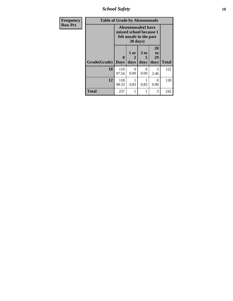*School Safety* **18**

| <b>Frequency</b> | <b>Table of Grade by Absentunsafe</b> |                                                                                  |                   |                              |                        |              |  |  |  |  |
|------------------|---------------------------------------|----------------------------------------------------------------------------------|-------------------|------------------------------|------------------------|--------------|--|--|--|--|
| <b>Row Pct</b>   |                                       | <b>Absentunsafe(I have</b><br>missed school because I<br>felt unsafe in the past |                   |                              |                        |              |  |  |  |  |
|                  | Grade(Grade)                          | 0<br><b>Days</b>                                                                 | 1 or<br>2<br>days | 3 <sub>to</sub><br>5<br>days | 20<br>to<br>29<br>days | <b>Total</b> |  |  |  |  |
|                  | 10                                    | 119<br>97.54                                                                     | 0<br>0.00         | 0<br>0.00                    | 3<br>2.46              | 122          |  |  |  |  |
|                  | 12                                    | 118<br>98.33                                                                     | 0.83              | 0.83                         | $\Omega$<br>0.00       | 120          |  |  |  |  |
|                  | <b>Total</b>                          | 237                                                                              | 1                 | 1                            | 3                      | 242          |  |  |  |  |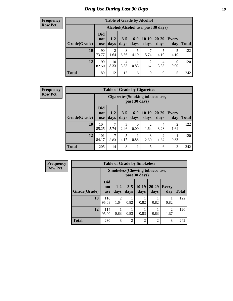### *Drug Use During Last 30 Days* **19**

#### **Frequency Row Pct**

| <b>Table of Grade by Alcohol</b> |                                 |                        |                 |               |                                    |               |                  |              |  |  |  |
|----------------------------------|---------------------------------|------------------------|-----------------|---------------|------------------------------------|---------------|------------------|--------------|--|--|--|
|                                  |                                 |                        |                 |               | Alcohol(Alcohol use, past 30 days) |               |                  |              |  |  |  |
| Grade(Grade)                     | <b>Did</b><br>not<br><b>use</b> | $1 - 2$<br>days        | $3 - 5$<br>days | $6-9$<br>days | $10-19$<br>days                    | 20-29<br>days | Every<br>day     | <b>Total</b> |  |  |  |
| 10                               | 90<br>73.77                     | $\overline{2}$<br>1.64 | 8<br>6.56       | 5<br>4.10     | 7<br>5.74                          | 5<br>4.10     | 5<br>4.10        | 122          |  |  |  |
| 12                               | 99<br>82.50                     | 10<br>8.33             | 4<br>3.33       | 1<br>0.83     | $\overline{c}$<br>1.67             | 4<br>3.33     | $\theta$<br>0.00 | 120          |  |  |  |
| <b>Total</b>                     | 189                             | 12                     | 12              | 6             | 9                                  | 9             | 5                | 242          |  |  |  |

#### **Frequency Row Pct**

| <b>Table of Grade by Cigarettes</b> |                                 |                                                          |                 |                  |                        |                        |                        |       |  |  |
|-------------------------------------|---------------------------------|----------------------------------------------------------|-----------------|------------------|------------------------|------------------------|------------------------|-------|--|--|
|                                     |                                 | <b>Cigarettes (Smoking tobacco use,</b><br>past 30 days) |                 |                  |                        |                        |                        |       |  |  |
| Grade(Grade)                        | <b>Did</b><br>not<br><b>use</b> | $1 - 2$<br>days                                          | $3 - 5$<br>days | $6 - 9$<br>days  | $10-19$<br>days        | $20 - 29$<br>days      | <b>Every</b><br>day    | Total |  |  |
| 10                                  | 104<br>85.25                    | 7<br>5.74                                                | 3<br>2.46       | $\Omega$<br>0.00 | $\overline{2}$<br>1.64 | 4<br>3.28              | $\overline{2}$<br>1.64 | 122   |  |  |
| 12                                  | 101<br>84.17                    | 7<br>5.83                                                | 5<br>4.17       | 1<br>0.83        | 3<br>2.50              | $\overline{2}$<br>1.67 | 0.83                   | 120   |  |  |
| <b>Total</b>                        | 205                             | 14                                                       | 8               | 1                | 5                      | 6                      | 3                      | 242   |  |  |

| <b>Table of Grade by Smokeless</b> |                                                        |                        |                 |                 |                   |                     |              |  |  |  |  |
|------------------------------------|--------------------------------------------------------|------------------------|-----------------|-----------------|-------------------|---------------------|--------------|--|--|--|--|
|                                    | <b>Smokeless</b> (Chewing tobaccouse,<br>past 30 days) |                        |                 |                 |                   |                     |              |  |  |  |  |
| Grade(Grade)                       | <b>Did</b><br>not<br><b>use</b>                        | $1-2$<br>days          | $3 - 5$<br>days | $10-19$<br>days | $20 - 29$<br>days | <b>Every</b><br>day | <b>Total</b> |  |  |  |  |
| 10                                 | 116<br>95.08                                           | $\overline{c}$<br>1.64 | 0.82            | 0.82            | 0.82              | 0.82                | 122          |  |  |  |  |
| 12                                 | 114<br>95.00                                           | 0.83                   | 0.83            | 0.83            | 0.83              | 2<br>1.67           | 120          |  |  |  |  |
| <b>Total</b>                       | 230                                                    | 3                      | $\overline{2}$  | $\overline{c}$  | $\overline{2}$    | 3                   | 242          |  |  |  |  |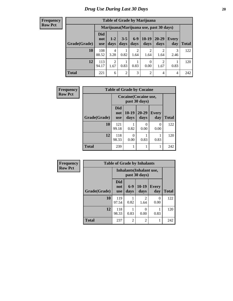| <b>Table of Grade by Marijuana</b> |                                 |                        |                 |                        |                        |                                         |                |       |  |  |  |
|------------------------------------|---------------------------------|------------------------|-----------------|------------------------|------------------------|-----------------------------------------|----------------|-------|--|--|--|
|                                    |                                 |                        |                 |                        |                        | Marijuana (Marijuana use, past 30 days) |                |       |  |  |  |
| Grade(Grade)                       | <b>Did</b><br>not<br><b>use</b> | $1 - 2$<br>days        | $3 - 5$<br>days | $6 - 9$<br>days        | $10-19$<br>days        | 20-29<br>days                           | Every<br>day   | Total |  |  |  |
| 10                                 | 108<br>88.52                    | 4<br>3.28              | 0.82            | $\overline{c}$<br>1.64 | $\overline{2}$<br>1.64 | $\overline{2}$<br>1.64                  | 3<br>2.46      | 122   |  |  |  |
| 12                                 | 113<br>94.17                    | $\overline{2}$<br>1.67 | 0.83            | 0.83                   | $\theta$<br>0.00       | $\overline{2}$<br>1.67                  | 0.83           | 120   |  |  |  |
| <b>Total</b>                       | 221                             | 6                      | 2               | 3                      | $\overline{2}$         | 4                                       | $\overline{4}$ | 242   |  |  |  |

| Frequency      | <b>Table of Grade by Cocaine</b> |                                 |                  |               |                     |              |  |  |
|----------------|----------------------------------|---------------------------------|------------------|---------------|---------------------|--------------|--|--|
| <b>Row Pct</b> |                                  | Cocaine (Cocaine use,           |                  |               |                     |              |  |  |
|                | Grade(Grade)                     | <b>Did</b><br>not<br><b>use</b> | $10-19$<br>days  | 20-29<br>days | <b>Every</b><br>day | <b>Total</b> |  |  |
|                | 10                               | 121<br>99.18                    | 0.82             | 0<br>0.00     | 0<br>0.00           | 122          |  |  |
|                | 12                               | 118<br>98.33                    | $\Omega$<br>0.00 | 0.83          | 0.83                | 120          |  |  |
|                | <b>Total</b>                     | 239                             |                  | 1             |                     | 242          |  |  |

| Frequency      |              | <b>Table of Grade by Inhalants</b> |                |                                           |                     |              |  |  |
|----------------|--------------|------------------------------------|----------------|-------------------------------------------|---------------------|--------------|--|--|
| <b>Row Pct</b> |              |                                    |                | Inhalants (Inhalant use,<br>past 30 days) |                     |              |  |  |
|                | Grade(Grade) | <b>Did</b><br>not<br><b>use</b>    | $6-9$<br>days  | $10-19$<br>days                           | <b>Every</b><br>day | <b>Total</b> |  |  |
|                | 10           | 119<br>97.54                       | 0.82           | $\mathfrak{D}$<br>1.64                    | $\Omega$<br>0.00    | 122          |  |  |
|                | 12           | 118<br>98.33                       | 0.83           | $\mathbf{\Omega}$<br>0.00                 | 0.83                | 120          |  |  |
|                | <b>Total</b> | 237                                | $\mathfrak{D}$ | $\overline{2}$                            |                     | 242          |  |  |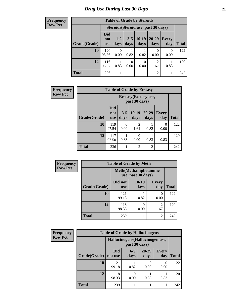**Frequency Row Pct**

| <b>Table of Grade by Steroids</b> |                                 |                                      |                 |                 |                |                     |              |  |
|-----------------------------------|---------------------------------|--------------------------------------|-----------------|-----------------|----------------|---------------------|--------------|--|
|                                   |                                 | Steroids (Steroid use, past 30 days) |                 |                 |                |                     |              |  |
| Grade(Grade)                      | <b>Did</b><br>not<br><b>use</b> | $1-2$<br>days                        | $3 - 5$<br>days | $10-19$<br>days | 20-29<br>days  | <b>Every</b><br>day | <b>Total</b> |  |
| 10                                | 120<br>98.36                    | 0<br>0.00                            | 0.82            | 0.82            | 0.00           | 0<br>0.00           | 122          |  |
| 12                                | 116<br>96.67                    | 0.83                                 | ∩<br>0.00       | 0<br>0.00       | 2<br>1.67      | 0.83                | 120          |  |
| <b>Total</b>                      | 236                             |                                      |                 |                 | $\overline{c}$ |                     | 242          |  |

| <b>Frequency</b> | <b>Table of Grade by Ecstasy</b> |                                 |                                        |                        |                   |                     |              |  |
|------------------|----------------------------------|---------------------------------|----------------------------------------|------------------------|-------------------|---------------------|--------------|--|
| <b>Row Pct</b>   |                                  |                                 | Ecstasy (Ecstasy use,<br>past 30 days) |                        |                   |                     |              |  |
|                  | Grade(Grade)                     | <b>Did</b><br>not<br><b>use</b> | $3 - 5$<br>days                        | $10-19$<br>days        | $20 - 29$<br>days | <b>Every</b><br>day | <b>Total</b> |  |
|                  | 10                               | 119<br>97.54                    | 0<br>0.00                              | $\overline{2}$<br>1.64 | 0.82              | 0<br>0.00           | 122          |  |
|                  | 12                               | 117<br>97.50                    | 0.83                                   | 0<br>0.00              | 0.83              | 0.83                | 120          |  |
|                  | <b>Total</b>                     | 236                             |                                        | $\overline{2}$         | $\overline{2}$    |                     | 242          |  |

| <b>Frequency</b> | <b>Table of Grade by Meth</b> |                       |                                                    |                        |              |  |  |
|------------------|-------------------------------|-----------------------|----------------------------------------------------|------------------------|--------------|--|--|
| <b>Row Pct</b>   |                               |                       | <b>Meth</b> (Methamphetamine<br>use, past 30 days) |                        |              |  |  |
|                  | Grade(Grade)                  | Did not<br><b>use</b> | $10-19$<br>days                                    | <b>Every</b><br>day    | <b>Total</b> |  |  |
|                  | 10                            | 121<br>99.18          | 0.82                                               | 0<br>0.00              | 122          |  |  |
|                  | 12                            | 118<br>98.33          | 0.00                                               | $\overline{c}$<br>1.67 | 120          |  |  |
|                  | <b>Total</b>                  | 239                   |                                                    | $\overline{2}$         | 242          |  |  |

| <b>Frequency</b> |              | <b>Table of Grade by Hallucinogens</b> |                                                   |                   |                     |              |  |
|------------------|--------------|----------------------------------------|---------------------------------------------------|-------------------|---------------------|--------------|--|
| <b>Row Pct</b>   |              |                                        | Hallucinogens (Hallucinogen use,<br>past 30 days) |                   |                     |              |  |
|                  | Grade(Grade) | <b>Did</b><br>not use                  | $6-9$<br>days                                     | $20 - 29$<br>days | <b>Every</b><br>day | <b>Total</b> |  |
|                  | 10           | 121<br>99.18                           | 0.82                                              | 0<br>0.00         | 0.00                | 122          |  |
|                  | 12           | 118<br>98.33                           | 0.00                                              | 0.83              | 0.83                | 120          |  |
|                  | <b>Total</b> | 239                                    |                                                   |                   |                     | 242          |  |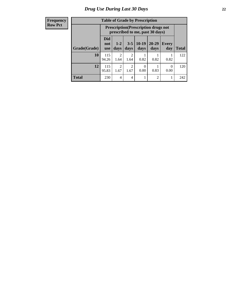| <b>Table of Grade by Prescription</b> |                                 |                                                                                |                        |                 |               |                     |              |  |
|---------------------------------------|---------------------------------|--------------------------------------------------------------------------------|------------------------|-----------------|---------------|---------------------|--------------|--|
|                                       |                                 | <b>Prescription</b> (Prescription drugs not<br>prescribed to me, past 30 days) |                        |                 |               |                     |              |  |
| Grade(Grade)                          | <b>Did</b><br>not<br><b>use</b> | $1 - 2$<br>days                                                                | $3 - 5$<br>days        | $10-19$<br>days | 20-29<br>days | <b>Every</b><br>day | <b>Total</b> |  |
| 10                                    | 115<br>94.26                    | 2<br>1.64                                                                      | 2<br>1.64              | 0.82            | 0.82          | 0.82                | 122          |  |
| 12                                    | 115<br>95.83                    | $\overline{c}$<br>1.67                                                         | $\mathfrak{D}$<br>1.67 | 0<br>0.00       | 0.83          | $\Omega$<br>0.00    | 120          |  |
| <b>Total</b>                          | 230                             | 4                                                                              | 4                      |                 | 2             |                     | 242          |  |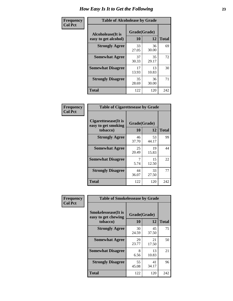| Frequency      | <b>Table of Alcoholease by Grade</b>              |                          |             |              |  |  |
|----------------|---------------------------------------------------|--------------------------|-------------|--------------|--|--|
| <b>Col Pct</b> | <b>Alcoholease</b> (It is<br>easy to get alcohol) | Grade(Grade)<br>10<br>12 |             | <b>Total</b> |  |  |
|                | <b>Strongly Agree</b>                             | 33<br>27.05              | 36<br>30.00 | 69           |  |  |
|                | <b>Somewhat Agree</b>                             | 37<br>30.33              | 35<br>29.17 | 72           |  |  |
|                | <b>Somewhat Disagree</b>                          | 17<br>13.93              | 13<br>10.83 | 30           |  |  |
|                | <b>Strongly Disagree</b>                          | 35<br>28.69              | 36<br>30.00 | 71           |  |  |
|                | <b>Total</b>                                      | 122                      | 120         | 242          |  |  |

| <b>Frequency</b> |  |
|------------------|--|
| <b>Col Pct</b>   |  |

|                                                         | <b>Table of Cigarettesease by Grade</b> |             |              |  |  |  |
|---------------------------------------------------------|-----------------------------------------|-------------|--------------|--|--|--|
| Cigarettesease(It is<br>easy to get smoking<br>tobacco) | Grade(Grade)<br>10                      | 12          | <b>Total</b> |  |  |  |
| <b>Strongly Agree</b>                                   | 46<br>37.70                             | 53<br>44.17 | 99           |  |  |  |
| <b>Somewhat Agree</b>                                   | 25<br>20.49                             | 19<br>15.83 | 44           |  |  |  |
| <b>Somewhat Disagree</b>                                | 7<br>5.74                               | 15<br>12.50 | 22           |  |  |  |
| <b>Strongly Disagree</b>                                | 44<br>36.07                             | 33<br>27.50 | 77           |  |  |  |
| <b>Total</b>                                            | 122                                     | 120         | 242          |  |  |  |

| Frequency      | <b>Table of Smokelessease by Grade</b>                         |                    |             |              |
|----------------|----------------------------------------------------------------|--------------------|-------------|--------------|
| <b>Col Pct</b> | <b>Smokelessease</b> (It is<br>easy to get chewing<br>tobacco) | Grade(Grade)<br>10 | 12          | <b>Total</b> |
|                | <b>Strongly Agree</b>                                          | 30<br>24.59        | 45<br>37.50 | 75           |
|                | <b>Somewhat Agree</b>                                          | 29<br>23.77        | 21<br>17.50 | 50           |
|                | <b>Somewhat Disagree</b>                                       | 8<br>6.56          | 13<br>10.83 | 21           |
|                | <b>Strongly Disagree</b>                                       | 55<br>45.08        | 41<br>34.17 | 96           |
|                | <b>Total</b>                                                   | 122                | 120         | 242          |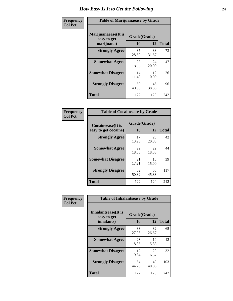| Frequency      | <b>Table of Marijuanaease by Grade</b>           |                    |             |              |  |  |
|----------------|--------------------------------------------------|--------------------|-------------|--------------|--|--|
| <b>Col Pct</b> | Marijuanaease(It is<br>easy to get<br>marijuana) | Grade(Grade)<br>10 | 12          | <b>Total</b> |  |  |
|                | <b>Strongly Agree</b>                            | 35<br>28.69        | 38<br>31.67 | 73           |  |  |
|                | <b>Somewhat Agree</b>                            | 23<br>18.85        | 24<br>20.00 | 47           |  |  |
|                | <b>Somewhat Disagree</b>                         | 14<br>11.48        | 12<br>10.00 | 26           |  |  |
|                | <b>Strongly Disagree</b>                         | 50<br>40.98        | 46<br>38.33 | 96           |  |  |
|                | <b>Total</b>                                     | 122                | 120         | 242          |  |  |

| <b>Table of Cocaineease by Grade</b> |              |             |              |  |  |  |  |  |  |
|--------------------------------------|--------------|-------------|--------------|--|--|--|--|--|--|
| <b>Cocaineease</b> (It is            | Grade(Grade) |             |              |  |  |  |  |  |  |
| easy to get cocaine)                 | 10           | 12          | <b>Total</b> |  |  |  |  |  |  |
| <b>Strongly Agree</b>                | 17<br>13.93  | 25<br>20.83 | 42           |  |  |  |  |  |  |
| <b>Somewhat Agree</b>                | 22<br>18.03  | 22<br>18.33 | 44           |  |  |  |  |  |  |
| <b>Somewhat Disagree</b>             | 21<br>17.21  | 18<br>15.00 | 39           |  |  |  |  |  |  |
| <b>Strongly Disagree</b>             | 62<br>50.82  | 55<br>45.83 | 117          |  |  |  |  |  |  |
| <b>Total</b>                         | 122          | 120         | 242          |  |  |  |  |  |  |

| Frequency      | <b>Table of Inhalantsease by Grade</b>     |              |             |              |
|----------------|--------------------------------------------|--------------|-------------|--------------|
| <b>Col Pct</b> | <b>Inhalantsease</b> (It is<br>easy to get | Grade(Grade) |             |              |
|                | inhalants)                                 | 10           | 12          | <b>Total</b> |
|                | <b>Strongly Agree</b>                      | 33<br>27.05  | 32<br>26.67 | 65           |
|                | <b>Somewhat Agree</b>                      | 23<br>18.85  | 19<br>15.83 | 42           |
|                | <b>Somewhat Disagree</b>                   | 12<br>9.84   | 20<br>16.67 | 32           |
|                | <b>Strongly Disagree</b>                   | 54<br>44.26  | 49<br>40.83 | 103          |
|                | <b>Total</b>                               | 122          | 120         | 242          |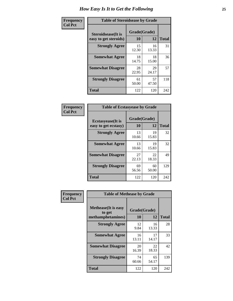| Frequency      | <b>Table of Steroidsease by Grade</b>               |                    |              |     |  |  |  |  |  |
|----------------|-----------------------------------------------------|--------------------|--------------|-----|--|--|--|--|--|
| <b>Col Pct</b> | <b>Steroidsease</b> (It is<br>easy to get steroids) | Grade(Grade)<br>10 | <b>Total</b> |     |  |  |  |  |  |
|                | <b>Strongly Agree</b>                               | 15<br>12.30        | 16<br>13.33  | 31  |  |  |  |  |  |
|                | <b>Somewhat Agree</b>                               | 18<br>14.75        | 18<br>15.00  | 36  |  |  |  |  |  |
|                | <b>Somewhat Disagree</b>                            | 28<br>22.95        | 29<br>24.17  | 57  |  |  |  |  |  |
|                | <b>Strongly Disagree</b>                            | 61<br>50.00        | 57<br>47.50  | 118 |  |  |  |  |  |
|                | <b>Total</b>                                        | 122                | 120          | 242 |  |  |  |  |  |

| Frequency      | <b>Table of Ecstasyease by Grade</b>              |                    |             |              |  |  |  |  |
|----------------|---------------------------------------------------|--------------------|-------------|--------------|--|--|--|--|
| <b>Col Pct</b> | <b>Ecstasyease</b> (It is<br>easy to get ecstasy) | Grade(Grade)<br>10 | 12          | <b>Total</b> |  |  |  |  |
|                | <b>Strongly Agree</b>                             | 13<br>10.66        | 19<br>15.83 | 32           |  |  |  |  |
|                | <b>Somewhat Agree</b>                             | 13<br>10.66        | 19<br>15.83 | 32           |  |  |  |  |
|                | <b>Somewhat Disagree</b>                          | 27<br>22.13        | 22<br>18.33 | 49           |  |  |  |  |
|                | <b>Strongly Disagree</b>                          | 69<br>56.56        | 60<br>50.00 | 129          |  |  |  |  |
|                | <b>Total</b>                                      | 122                | 120         | 242          |  |  |  |  |

| Frequency      | <b>Table of Methease by Grade</b>                          |                    |             |              |
|----------------|------------------------------------------------------------|--------------------|-------------|--------------|
| <b>Col Pct</b> | <b>Methease</b> (It is easy<br>to get<br>methamphetamines) | Grade(Grade)<br>10 | 12          | <b>Total</b> |
|                | <b>Strongly Agree</b>                                      | 12<br>9.84         | 16<br>13.33 | 28           |
|                | <b>Somewhat Agree</b>                                      | 16<br>13.11        | 17<br>14.17 | 33           |
|                | <b>Somewhat Disagree</b>                                   | 20<br>16.39        | 22<br>18.33 | 42           |
|                | <b>Strongly Disagree</b>                                   | 74<br>60.66        | 65<br>54.17 | 139          |
|                | Total                                                      | 122                | 120         | 242          |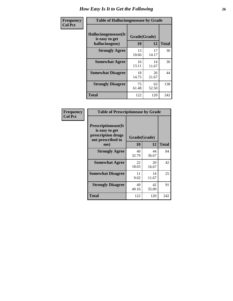| <b>Frequency</b> | <b>Table of Hallucinogensease by Grade</b>               |                    |             |              |  |  |  |  |  |
|------------------|----------------------------------------------------------|--------------------|-------------|--------------|--|--|--|--|--|
| <b>Col Pct</b>   | Hallucinogensease(It<br>is easy to get<br>hallucinogens) | Grade(Grade)<br>10 | 12          | <b>Total</b> |  |  |  |  |  |
|                  | <b>Strongly Agree</b>                                    | 13<br>10.66        | 17<br>14.17 | 30           |  |  |  |  |  |
|                  | <b>Somewhat Agree</b>                                    | 16<br>13.11        | 14<br>11.67 | 30           |  |  |  |  |  |
|                  | <b>Somewhat Disagree</b>                                 | 18<br>14.75        | 26<br>21.67 | 44           |  |  |  |  |  |
|                  | <b>Strongly Disagree</b>                                 | 75<br>61.48        | 63<br>52.50 | 138          |  |  |  |  |  |
|                  | <b>Total</b>                                             | 122                | 120         | 242          |  |  |  |  |  |

| Frequency<br>Col Pct |
|----------------------|
|                      |

| <b>Table of Prescriptionease by Grade</b>                                                |             |              |              |  |  |  |  |  |  |
|------------------------------------------------------------------------------------------|-------------|--------------|--------------|--|--|--|--|--|--|
| <b>Prescriptionease</b> (It<br>is easy to get<br>prescription drugs<br>not prescribed to |             | Grade(Grade) |              |  |  |  |  |  |  |
| me)                                                                                      | 10          | 12           | <b>Total</b> |  |  |  |  |  |  |
| <b>Strongly Agree</b>                                                                    | 40<br>32.79 | 44<br>36.67  | 84           |  |  |  |  |  |  |
| <b>Somewhat Agree</b>                                                                    | 22<br>18.03 | 20<br>16.67  | 42           |  |  |  |  |  |  |
| <b>Somewhat Disagree</b>                                                                 | 11<br>9.02  | 14<br>11.67  | 25           |  |  |  |  |  |  |
| <b>Strongly Disagree</b>                                                                 | 49<br>40.16 | 42<br>35.00  | 91           |  |  |  |  |  |  |
| Total                                                                                    | 122         | 120          | 242          |  |  |  |  |  |  |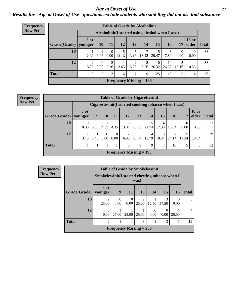*Age at Onset of Use* **27** *Results for "Age at Onset of Use" questions exclude students who said they did not use that substance*

| <b>Frequency</b> | <b>Table of Grade by Alcoholinit</b> |           |                                                  |                  |       |                           |            |             |             |           |                       |              |  |
|------------------|--------------------------------------|-----------|--------------------------------------------------|------------------|-------|---------------------------|------------|-------------|-------------|-----------|-----------------------|--------------|--|
| <b>Row Pct</b>   |                                      |           | Alcoholinit (I started using alcohol when I was) |                  |       |                           |            |             |             |           |                       |              |  |
|                  | Grade(Grade)   younger               | 8 or      | <b>10</b>                                        | 11               | 12    | 13                        | 14         | 15          | <b>16</b>   | 17        | <b>18 or</b><br>older | <b>Total</b> |  |
|                  | 10                                   | 2.63      | ↑<br>5.26                                        | $\theta$<br>0.00 | 13.16 | 13.16                     | 7<br>18.42 | 15<br>39.47 | 3<br>7.89   | 0<br>0.00 | 0<br>0.00             | 38           |  |
|                  | 12                                   | 2<br>5.26 | $\Omega$<br>0.00                                 | 2<br>5.26        | 2.63  | 2<br>5.26                 | 2<br>5.26  | 10<br>26.32 | 10<br>26.32 | 13.16     | 4<br>10.53            | 38           |  |
|                  | <b>Total</b>                         | 3         | 2                                                | 2                | 6     | 7                         | 9          | 25          | 13          |           | 4                     | 76           |  |
|                  |                                      |           |                                                  |                  |       | Frequency Missing $= 166$ |            |             |             |           |                       |              |  |

| <b>Table of Grade by Cigarettesinit</b> |                        |           |                        |                      |                           |            |                                                      |            |            |           |                       |              |
|-----------------------------------------|------------------------|-----------|------------------------|----------------------|---------------------------|------------|------------------------------------------------------|------------|------------|-----------|-----------------------|--------------|
|                                         |                        |           |                        |                      |                           |            | Cigarettesinit(I started smoking tobacco when I was) |            |            |           |                       |              |
| Grade(Grade)                            | <b>8 or</b><br>younger | 9         | 10                     | 11                   | 12                        | 13         | 14                                                   | 15         | 16         | 17        | <b>18 or</b><br>older | <b>Total</b> |
| 10                                      | $\Omega$<br>0.00       | 0<br>0.00 | 4.35                   | 4.35                 | 3<br>13.04                | 6<br>26.09 | 21.74                                                | 4<br>17.39 | 3<br>13.04 | 0<br>0.00 | 0<br>0.00             | 23           |
| 12                                      | 3.45                   | 3.45      | 0<br>0.00 <sub>1</sub> | $\mathbf{0}$<br>0.00 | 2<br>6.90                 | 3<br>10.34 | 4<br>13.79                                           | 3<br>10.34 | 24.14      | 17.24     | 3<br>10.34            | 29           |
| <b>Total</b>                            |                        |           |                        |                      | 5                         | 9          | 9                                                    | 7          | 10         | 5         | 3                     | 52           |
|                                         |                        |           |                        |                      | Frequency Missing $= 190$ |            |                                                      |            |            |           |                       |              |

| Frequency      | <b>Table of Grade by Smokelessinit</b> |                                                 |                  |                           |                                      |       |            |                  |                |  |  |  |  |
|----------------|----------------------------------------|-------------------------------------------------|------------------|---------------------------|--------------------------------------|-------|------------|------------------|----------------|--|--|--|--|
| <b>Row Pct</b> |                                        | Smokelessinit (I started chewing tobacco when I |                  |                           | was)                                 |       |            |                  |                |  |  |  |  |
|                | Grade(Grade)   younger                 | <b>8 or</b>                                     | 9                | <b>11</b>                 | 13                                   | 14    | 15         | <b>16</b>        | <b>Total</b>   |  |  |  |  |
|                | 10                                     | $\mathfrak{D}$<br>25.00                         | $\Omega$<br>0.00 | $\Omega$<br>0.00          | $\mathcal{D}_{\mathcal{L}}$<br>25.00 | 12.50 | 3<br>37.50 | $\Omega$<br>0.00 | 8              |  |  |  |  |
|                | 12                                     | $\Omega$<br>0.00                                | 25.00            | $25.00 \mid 25.00$        |                                      | 0.00  | 0.00       | 25.00            | $\overline{4}$ |  |  |  |  |
|                | <b>Total</b>                           | $\mathfrak{D}$                                  |                  |                           | 3                                    |       | 3          |                  | 12             |  |  |  |  |
|                |                                        |                                                 |                  | Frequency Missing $= 230$ |                                      |       |            |                  |                |  |  |  |  |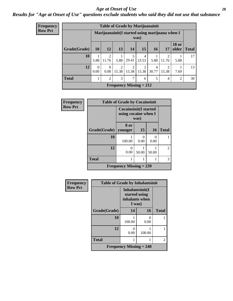#### *Age at Onset of Use* **28**

### *Results for "Age at Onset of Use" questions exclude students who said they did not use that substance*

| <b>Frequency</b> |  |
|------------------|--|
| <b>Row Pct</b>   |  |

| <b>Table of Grade by Marijuanainit</b> |           |                                                         |                         |                         |            |                 |            |                       |              |
|----------------------------------------|-----------|---------------------------------------------------------|-------------------------|-------------------------|------------|-----------------|------------|-----------------------|--------------|
|                                        |           | Marijuanainit (I started using marijuana when I<br>was) |                         |                         |            |                 |            |                       |              |
| Grade(Grade)                           | <b>10</b> | 12                                                      | 13                      | 14                      | 15         | 16 <sup>1</sup> | 17         | <b>18 or</b><br>older | <b>Total</b> |
| 10                                     | 5.88      | $\mathfrak{D}$<br>11.76                                 | 5.88                    | 5<br>29.41              | 4<br>23.53 | 5.88            | 2<br>11.76 | 5.88                  | 17           |
| 12                                     | 0.00      | $\Omega$<br>0.00                                        | $\overline{c}$<br>15.38 | $\overline{2}$<br>15.38 | 2<br>15.38 | 4<br>30.77      | 2<br>15.38 | 7.69                  | 13           |
| <b>Total</b>                           |           | $\mathfrak{D}$                                          | 3                       | $\overline{7}$          | 6          | 5               | 4          | $\mathfrak{D}$        | 30           |
| Frequency Missing $= 212$              |           |                                                         |                         |                         |            |                 |            |                       |              |

| <b>Frequency</b> | <b>Table of Grade by Cocaineinit</b> |                                                              |                  |                      |                |
|------------------|--------------------------------------|--------------------------------------------------------------|------------------|----------------------|----------------|
| <b>Row Pct</b>   |                                      | <b>Cocaineinit(I started</b><br>using cocaine when I<br>was) |                  |                      |                |
|                  | Grade(Grade)                         | 8 or<br>vounger                                              | 15               | <b>16</b>            | <b>Total</b>   |
|                  | 10                                   | 100.00                                                       | $\Omega$<br>0.00 | $\mathbf{0}$<br>0.00 |                |
|                  | 12                                   | 0.00                                                         | 50.00            | 50.00                | $\overline{2}$ |
|                  | <b>Total</b>                         |                                                              |                  |                      | 3              |
|                  |                                      | Frequency Missing $= 239$                                    |                  |                      |                |

| Frequency      | <b>Table of Grade by Inhalantsinit</b> |                                                              |           |              |  |
|----------------|----------------------------------------|--------------------------------------------------------------|-----------|--------------|--|
| <b>Row Pct</b> |                                        | Inhalantsinit(I<br>started using<br>inhalants when<br>I was) |           |              |  |
|                | Grade(Grade)                           | 14                                                           | 16        | <b>Total</b> |  |
|                | 10                                     | 100.00                                                       | 0<br>0.00 |              |  |
|                | 12                                     | $\Omega$<br>0.00                                             | 100.00    |              |  |
|                | <b>Total</b>                           |                                                              |           | 2            |  |
|                |                                        | <b>Frequency Missing <math>= 240</math></b>                  |           |              |  |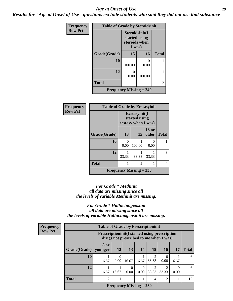#### *Age at Onset of Use* **29**

*Results for "Age at Onset of Use" questions exclude students who said they did not use that substance*

| <b>Frequency</b> | <b>Table of Grade by Steroidsinit</b> |                                                            |           |              |
|------------------|---------------------------------------|------------------------------------------------------------|-----------|--------------|
| <b>Row Pct</b>   |                                       | Steroidsinit(I<br>started using<br>steroids when<br>I was) |           |              |
|                  | Grade(Grade)                          | 15                                                         | 16        | <b>Total</b> |
|                  | 10                                    | 100.00                                                     | 0<br>0.00 |              |
|                  | 12                                    | 0<br>0.00                                                  | 100.00    | 1            |
|                  | <b>Total</b>                          | 1                                                          |           |              |
|                  | <b>Frequency Missing = 240</b>        |                                                            |           |              |

| <b>Frequency</b> | <b>Table of Grade by Ecstasyinit</b> |                                                       |                |                       |              |  |  |  |
|------------------|--------------------------------------|-------------------------------------------------------|----------------|-----------------------|--------------|--|--|--|
| <b>Row Pct</b>   |                                      | Ecstasyinit(I<br>started using<br>ecstasy when I was) |                |                       |              |  |  |  |
|                  | Grade(Grade)                         | 13                                                    | 15             | <b>18 or</b><br>older | <b>Total</b> |  |  |  |
|                  | 10                                   | 0<br>0.00                                             | 100.00         | 0.00                  |              |  |  |  |
|                  | 12                                   | 33.33                                                 | 33.33          | 33.33                 | 3            |  |  |  |
|                  | <b>Total</b>                         | 1                                                     | $\overline{2}$ |                       | 4            |  |  |  |
|                  | Frequency Missing $= 238$            |                                                       |                |                       |              |  |  |  |

#### *For Grade \* Methinit all data are missing since all the levels of variable Methinit are missing.*

*For Grade \* Hallucinogensinit all data are missing since all the levels of variable Hallucinogensinit are missing.*

| Frequency      | <b>Table of Grade by Prescriptioninit</b> |                                                                                                |                           |                  |                  |                         |                                      |       |              |
|----------------|-------------------------------------------|------------------------------------------------------------------------------------------------|---------------------------|------------------|------------------|-------------------------|--------------------------------------|-------|--------------|
| <b>Row Pct</b> |                                           | <b>Prescriptioninit(I started using prescription</b><br>drugs not prescribed to me when I was) |                           |                  |                  |                         |                                      |       |              |
|                | Grade(Grade)   younger                    | 8 or                                                                                           | <b>12</b>                 | <b>13</b>        | 14               | 15                      | 16                                   | 17    | <b>Total</b> |
|                | 10                                        | 16.67                                                                                          | $\Omega$<br>0.00          | 16.67            | 16.67            | $\mathfrak{D}$<br>33.33 | $\left($<br>0.00                     | 16.67 | 6            |
|                | 12                                        | 16.67                                                                                          | 16.67                     | $\Omega$<br>0.00 | $\Omega$<br>0.00 | $\mathfrak{D}$<br>33.33 | $\mathcal{D}_{\mathcal{L}}$<br>33.33 | 0.00  | 6            |
|                | <b>Total</b>                              | $\overline{2}$                                                                                 |                           |                  |                  | 4                       | $\mathfrak{D}$                       |       | 12           |
|                |                                           |                                                                                                | Frequency Missing $= 230$ |                  |                  |                         |                                      |       |              |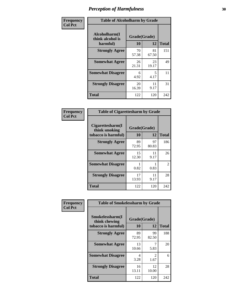| Frequency      | <b>Table of Alcoholharm by Grade</b>          |                    |             |              |
|----------------|-----------------------------------------------|--------------------|-------------|--------------|
| <b>Col Pct</b> | Alcoholharm(I<br>think alcohol is<br>harmful) | Grade(Grade)<br>10 | 12          | <b>Total</b> |
|                | <b>Strongly Agree</b>                         | 70<br>57.38        | 81<br>67.50 | 151          |
|                | <b>Somewhat Agree</b>                         | 26<br>21.31        | 23<br>19.17 | 49           |
|                | <b>Somewhat Disagree</b>                      | 6<br>4.92          | 5<br>4.17   | 11           |
|                | <b>Strongly Disagree</b>                      | 20<br>16.39        | 11<br>9.17  | 31           |
|                | <b>Total</b>                                  | 122                | 120         | 242          |

| <b>Table of Cigarettesharm by Grade</b>                  |                    |             |              |  |  |  |  |
|----------------------------------------------------------|--------------------|-------------|--------------|--|--|--|--|
| Cigarettesharm(I<br>think smoking<br>tobacco is harmful) | Grade(Grade)<br>10 | 12          | <b>Total</b> |  |  |  |  |
| <b>Strongly Agree</b>                                    | 89<br>72.95        | 97<br>80.83 | 186          |  |  |  |  |
| <b>Somewhat Agree</b>                                    | 15<br>12.30        | 11<br>9.17  | 26           |  |  |  |  |
| <b>Somewhat Disagree</b>                                 | 1<br>0.82          | 0.83        | 2            |  |  |  |  |
| <b>Strongly Disagree</b>                                 | 17<br>13.93        | 11<br>9.17  | 28           |  |  |  |  |
| <b>Total</b>                                             | 122                | 120         | 242          |  |  |  |  |

| Frequency      |                                                         | <b>Table of Smokelessharm by Grade</b> |             |              |  |  |  |
|----------------|---------------------------------------------------------|----------------------------------------|-------------|--------------|--|--|--|
| <b>Col Pct</b> | Smokelessharm(I<br>think chewing<br>tobacco is harmful) | Grade(Grade)<br>10                     | 12          | <b>Total</b> |  |  |  |
|                | <b>Strongly Agree</b>                                   | 89<br>72.95                            | 99<br>82.50 | 188          |  |  |  |
|                | <b>Somewhat Agree</b>                                   | 13<br>10.66                            | 5.83        | 20           |  |  |  |
|                | <b>Somewhat Disagree</b>                                | 4<br>3.28                              | 2<br>1.67   | 6            |  |  |  |
|                | <b>Strongly Disagree</b>                                | 16<br>13.11                            | 12<br>10.00 | 28           |  |  |  |
|                | <b>Total</b>                                            | 122                                    | 120         | 242          |  |  |  |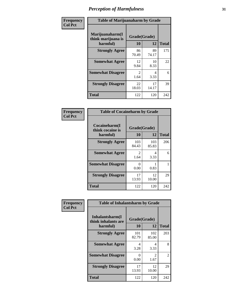| Frequency      | <b>Table of Marijuanaharm by Grade</b>            |                        |             |              |  |
|----------------|---------------------------------------------------|------------------------|-------------|--------------|--|
| <b>Col Pct</b> | Marijuanaharm(I<br>think marijuana is<br>harmful) | Grade(Grade)<br>10     | 12          | <b>Total</b> |  |
|                | <b>Strongly Agree</b>                             | 86<br>70.49            | 89<br>74.17 | 175          |  |
|                | <b>Somewhat Agree</b>                             | 12<br>9.84             | 10<br>8.33  | 22           |  |
|                | <b>Somewhat Disagree</b>                          | $\mathfrak{D}$<br>1.64 | 4<br>3.33   | 6            |  |
|                | <b>Strongly Disagree</b>                          | 22<br>18.03            | 17<br>14.17 | 39           |  |
|                | <b>Total</b>                                      | 122                    | 120         | 242          |  |

| <b>Table of Cocaineharm by Grade</b>          |                        |              |              |  |  |  |  |  |
|-----------------------------------------------|------------------------|--------------|--------------|--|--|--|--|--|
| Cocaineharm(I<br>think cocaine is<br>harmful) | Grade(Grade)<br>10     | 12           | <b>Total</b> |  |  |  |  |  |
| <b>Strongly Agree</b>                         | 103<br>84.43           | 103<br>85.83 | 206          |  |  |  |  |  |
| <b>Somewhat Agree</b>                         | $\mathfrak{D}$<br>1.64 | 4<br>3.33    | 6            |  |  |  |  |  |
| <b>Somewhat Disagree</b>                      | 0<br>0.00              | 0.83         |              |  |  |  |  |  |
| <b>Strongly Disagree</b>                      | 17<br>13.93            | 12<br>10.00  | 29           |  |  |  |  |  |
| <b>Total</b>                                  | 122                    | 120          | 242          |  |  |  |  |  |

| Frequency      | <b>Table of Inhalantsharm by Grade</b>                                         |              |              |              |  |  |  |
|----------------|--------------------------------------------------------------------------------|--------------|--------------|--------------|--|--|--|
| <b>Col Pct</b> | Inhalantsharm(I<br>Grade(Grade)<br>think inhalants are<br>12<br>10<br>harmful) |              |              | <b>Total</b> |  |  |  |
|                | <b>Strongly Agree</b>                                                          | 101<br>82.79 | 102<br>85.00 | 203          |  |  |  |
|                | <b>Somewhat Agree</b>                                                          | 4<br>3.28    | 4<br>3.33    | 8            |  |  |  |
|                | <b>Somewhat Disagree</b>                                                       | 0<br>0.00    | 2<br>1.67    | 2            |  |  |  |
|                | <b>Strongly Disagree</b>                                                       | 17<br>13.93  | 12<br>10.00  | 29           |  |  |  |
|                | <b>Total</b>                                                                   | 122          | 120          | 242          |  |  |  |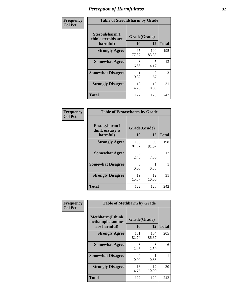| Frequency      | <b>Table of Steroidsharm by Grade</b>            |                    |                        |              |
|----------------|--------------------------------------------------|--------------------|------------------------|--------------|
| <b>Col Pct</b> | Steroidsharm(I<br>think steroids are<br>harmful) | Grade(Grade)<br>10 | 12                     | <b>Total</b> |
|                | <b>Strongly Agree</b>                            | 95<br>77.87        | 100<br>83.33           | 195          |
|                | <b>Somewhat Agree</b>                            | 8<br>6.56          | 5<br>4.17              | 13           |
|                | <b>Somewhat Disagree</b>                         | 0.82               | $\mathfrak{D}$<br>1.67 | 3            |
|                | <b>Strongly Disagree</b>                         | 18<br>14.75        | 13<br>10.83            | 31           |
|                | <b>Total</b>                                     | 122                | 120                    | 242          |

| <b>Table of Ecstasyharm by Grade</b>          |                    |              |     |  |  |
|-----------------------------------------------|--------------------|--------------|-----|--|--|
| Ecstasyharm(I<br>think ecstasy is<br>harmful) | Grade(Grade)<br>10 | <b>Total</b> |     |  |  |
| <b>Strongly Agree</b>                         | 100<br>81.97       | 98<br>81.67  | 198 |  |  |
| <b>Somewhat Agree</b>                         | 3<br>2.46          | 9<br>7.50    | 12  |  |  |
| <b>Somewhat Disagree</b>                      | 0<br>0.00          | 0.83         | 1   |  |  |
| <b>Strongly Disagree</b>                      | 19<br>15.57        | 12<br>10.00  | 31  |  |  |
| <b>Total</b>                                  | 122                | 120          | 242 |  |  |

| Frequency      | <b>Table of Methharm by Grade</b>                            |                    |              |              |
|----------------|--------------------------------------------------------------|--------------------|--------------|--------------|
| <b>Col Pct</b> | <b>Methharm</b> (I think<br>methamphetamines<br>are harmful) | Grade(Grade)<br>10 | 12           | <b>Total</b> |
|                | <b>Strongly Agree</b>                                        | 101<br>82.79       | 104<br>86.67 | 205          |
|                | <b>Somewhat Agree</b>                                        | 3<br>2.46          | 3<br>2.50    | 6            |
|                | <b>Somewhat Disagree</b>                                     | 0<br>0.00          | 0.83         |              |
|                | <b>Strongly Disagree</b>                                     | 18<br>14.75        | 12<br>10.00  | 30           |
|                | <b>Total</b>                                                 | 122                | 120          | 242          |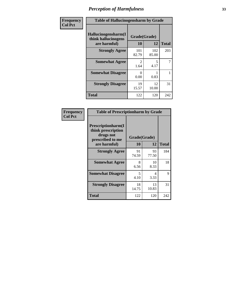| Frequency      | <b>Table of Hallucinogensharm by Grade</b>                 |                    |                                  |              |
|----------------|------------------------------------------------------------|--------------------|----------------------------------|--------------|
| <b>Col Pct</b> | Hallucinogensharm(I<br>think hallucinogens<br>are harmful) | Grade(Grade)<br>10 | 12                               | <b>Total</b> |
|                | <b>Strongly Agree</b>                                      | 101<br>82.79       | 102<br>85.00                     | 203          |
|                | <b>Somewhat Agree</b>                                      | 2<br>1.64          | $\overline{\phantom{0}}$<br>4.17 | 7            |
|                | <b>Somewhat Disagree</b>                                   | 0<br>0.00          | 0.83                             | 1            |
|                | <b>Strongly Disagree</b>                                   | 19<br>15.57        | 12<br>10.00                      | 31           |
|                | <b>Total</b>                                               | 122                | 120                              | 242          |

| <b>Table of Prescriptionharm by Grade</b>                                                 |                    |             |              |  |
|-------------------------------------------------------------------------------------------|--------------------|-------------|--------------|--|
| Prescriptionharm(I<br>think prescription<br>drugs not<br>prescribed to me<br>are harmful) | Grade(Grade)<br>10 | 12          | <b>Total</b> |  |
| <b>Strongly Agree</b>                                                                     | 91<br>74.59        | 93<br>77.50 | 184          |  |
| <b>Somewhat Agree</b>                                                                     | 8<br>6.56          | 10<br>8.33  | 18           |  |
| <b>Somewhat Disagree</b>                                                                  | 5<br>4.10          | 4<br>3.33   | 9            |  |
| <b>Strongly Disagree</b>                                                                  | 18<br>14.75        | 13<br>10.83 | 31           |  |
| Total                                                                                     | 122                | 120         | 242          |  |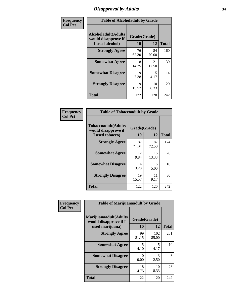### *Disapproval by Adults* **34**

| Frequency      |                                                               | <b>Table of Alcoholadult by Grade</b> |             |              |  |
|----------------|---------------------------------------------------------------|---------------------------------------|-------------|--------------|--|
| <b>Col Pct</b> | Alcoholadult(Adults<br>would disapprove if<br>I used alcohol) | Grade(Grade)<br>10                    | 12          | <b>Total</b> |  |
|                | <b>Strongly Agree</b>                                         | 76<br>62.30                           | 84<br>70.00 | 160          |  |
|                | <b>Somewhat Agree</b>                                         | 18<br>14.75                           | 21<br>17.50 | 39           |  |
|                | <b>Somewhat Disagree</b>                                      | 9<br>7.38                             | 5<br>4.17   | 14           |  |
|                | <b>Strongly Disagree</b>                                      | 19<br>15.57                           | 10<br>8.33  | 29           |  |
|                | <b>Total</b>                                                  | 122                                   | 120         | 242          |  |

| <b>Table of Tobaccoadult by Grade</b>                                 |                    |             |              |  |
|-----------------------------------------------------------------------|--------------------|-------------|--------------|--|
| <b>Tobaccoadult</b> (Adults<br>would disapprove if<br>I used tobacco) | Grade(Grade)<br>10 | 12          | <b>Total</b> |  |
| <b>Strongly Agree</b>                                                 | 87<br>71.31        | 87<br>72.50 | 174          |  |
| <b>Somewhat Agree</b>                                                 | 12<br>9.84         | 16<br>13.33 | 28           |  |
| <b>Somewhat Disagree</b>                                              | 4<br>3.28          | 6<br>5.00   | 10           |  |
| <b>Strongly Disagree</b>                                              | 19<br>15.57        | 11<br>9.17  | 30           |  |
| Total                                                                 | 122                | 120         | 242          |  |

| Frequency      | <b>Table of Marijuanaadult by Grade</b>                           |                      |              |              |
|----------------|-------------------------------------------------------------------|----------------------|--------------|--------------|
| <b>Col Pct</b> | Marijuanaadult(Adults<br>would disapprove if I<br>used marijuana) | Grade(Grade)<br>10   | 12           | <b>Total</b> |
|                | <b>Strongly Agree</b>                                             | 99<br>81.15          | 102<br>85.00 | 201          |
|                | <b>Somewhat Agree</b>                                             | 5<br>4.10            | 5<br>4.17    | 10           |
|                | <b>Somewhat Disagree</b>                                          | $\mathbf{0}$<br>0.00 | 3<br>2.50    | 3            |
|                | <b>Strongly Disagree</b>                                          | 18<br>14.75          | 10<br>8.33   | 28           |
|                | <b>Total</b>                                                      | 122                  | 120          | 242          |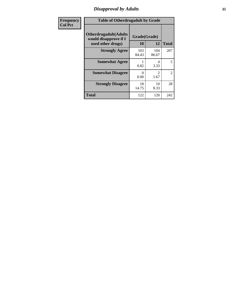### *Disapproval by Adults* **35**

| <b>Frequency</b> | <b>Table of Otherdrugadult by Grade</b>                                     |                    |              |                |
|------------------|-----------------------------------------------------------------------------|--------------------|--------------|----------------|
| <b>Col Pct</b>   | <b>Otherdrugadult</b> (Adults<br>would disapprove if I<br>used other drugs) | Grade(Grade)<br>10 | 12           | <b>Total</b>   |
|                  | <b>Strongly Agree</b>                                                       | 103<br>84.43       | 104<br>86.67 | 207            |
|                  | <b>Somewhat Agree</b>                                                       | 0.82               | 4<br>3.33    | 5              |
|                  | <b>Somewhat Disagree</b>                                                    | 0<br>0.00          | 2<br>1.67    | $\overline{2}$ |
|                  | <b>Strongly Disagree</b>                                                    | 18<br>14.75        | 10<br>8.33   | 28             |
|                  | <b>Total</b>                                                                | 122                | 120          | 242            |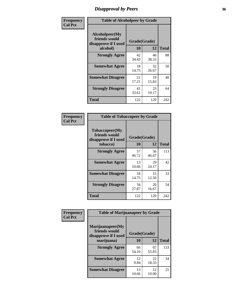### *Disapproval by Peers* **36**

| Frequency      | <b>Table of Alcoholpeer by Grade</b>                    |              |             |              |
|----------------|---------------------------------------------------------|--------------|-------------|--------------|
| <b>Col Pct</b> | Alcoholpeer(My<br>friends would<br>disapprove if I used | Grade(Grade) |             |              |
|                | alcohol)                                                | 10           | 12          | <b>Total</b> |
|                | <b>Strongly Agree</b>                                   | 42<br>34.43  | 46<br>38.33 | 88           |
|                | <b>Somewhat Agree</b>                                   | 18<br>14.75  | 32<br>26.67 | 50           |
|                | <b>Somewhat Disagree</b>                                | 21<br>17.21  | 19<br>15.83 | 40           |
|                | <b>Strongly Disagree</b>                                | 41<br>33.61  | 23<br>19.17 | 64           |
|                | Total                                                   | 122          | 120         | 242          |

| Frequency      | <b>Table of Tobaccopeer by Grade</b>                                |                    |             |              |
|----------------|---------------------------------------------------------------------|--------------------|-------------|--------------|
| <b>Col Pct</b> | Tobaccopeer(My<br>friends would<br>disapprove if I used<br>tobacco) | Grade(Grade)<br>10 | 12          | <b>Total</b> |
|                | <b>Strongly Agree</b>                                               | 57<br>46.72        | 56<br>46.67 | 113          |
|                | <b>Somewhat Agree</b>                                               | 13<br>10.66        | 29<br>24.17 | 42           |
|                | <b>Somewhat Disagree</b>                                            | 18<br>14.75        | 15<br>12.50 | 33           |
|                | <b>Strongly Disagree</b>                                            | 34<br>27.87        | 20<br>16.67 | 54           |
|                | Total                                                               | 122                | 120         | 242          |

| Frequency      | <b>Table of Marijuanapeer by Grade</b>                    |              |             |              |
|----------------|-----------------------------------------------------------|--------------|-------------|--------------|
| <b>Col Pct</b> | Marijuanapeer(My<br>friends would<br>disapprove if I used | Grade(Grade) |             |              |
|                | marijuana)                                                | 10           | 12          | <b>Total</b> |
|                | <b>Strongly Agree</b>                                     | 66<br>54.10  | 67<br>55.83 | 133          |
|                | <b>Somewhat Agree</b>                                     | 12<br>9.84   | 22<br>18.33 | 34           |
|                | <b>Somewhat Disagree</b>                                  | 13<br>10.66  | 12<br>10.00 | 25           |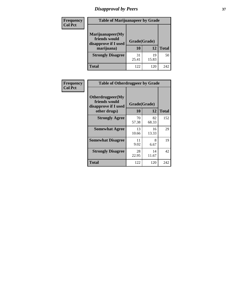# *Disapproval by Peers* **37**

| <b>Frequency</b> | <b>Table of Marijuanapeer by Grade</b>                                  |                    |             |              |  |
|------------------|-------------------------------------------------------------------------|--------------------|-------------|--------------|--|
| <b>Col Pct</b>   | Marijuanapeer(My<br>friends would<br>disapprove if I used<br>marijuana) | Grade(Grade)<br>10 | 12          | <b>Total</b> |  |
|                  | <b>Strongly Disagree</b>                                                | 31<br>25.41        | 19<br>15.83 | 50           |  |
|                  | <b>Total</b>                                                            | 122                | 120         | 242          |  |

| <b>Frequency</b> | <b>Table of Otherdrugpeer by Grade</b>                                    |                           |             |              |
|------------------|---------------------------------------------------------------------------|---------------------------|-------------|--------------|
| <b>Col Pct</b>   | Otherdrugpeer(My<br>friends would<br>disapprove if I used<br>other drugs) | Grade(Grade)<br><b>10</b> | 12          | <b>Total</b> |
|                  |                                                                           |                           |             |              |
|                  | <b>Strongly Agree</b>                                                     | 70<br>57.38               | 82<br>68.33 | 152          |
|                  | <b>Somewhat Agree</b>                                                     | 13<br>10.66               | 16<br>13.33 | 29           |
|                  | <b>Somewhat Disagree</b>                                                  | 11<br>9.02                | 8<br>6.67   | 19           |
|                  | <b>Strongly Disagree</b>                                                  | 28<br>22.95               | 14<br>11.67 | 42           |
|                  | <b>Total</b>                                                              | 122                       | 120         | 242          |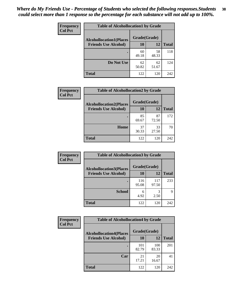| Frequency      | <b>Table of Alcohollocation1 by Grade</b> |              |             |              |  |
|----------------|-------------------------------------------|--------------|-------------|--------------|--|
| <b>Col Pct</b> | <b>Alcohollocation1(Places</b>            | Grade(Grade) |             |              |  |
|                | <b>Friends Use Alcohol)</b>               | 10           | 12          | <b>Total</b> |  |
|                |                                           | 60<br>49.18  | 58<br>48.33 | 118          |  |
|                | Do Not Use                                | 62<br>50.82  | 62<br>51.67 | 124          |  |
|                | <b>Total</b>                              | 122          | 120         | 242          |  |

| Frequency      | <b>Table of Alcohollocation2 by Grade</b>                     |                    |             |              |  |
|----------------|---------------------------------------------------------------|--------------------|-------------|--------------|--|
| <b>Col Pct</b> | <b>Alcohollocation2(Places</b><br><b>Friends Use Alcohol)</b> | Grade(Grade)<br>10 | 12          | <b>Total</b> |  |
|                |                                                               |                    |             |              |  |
|                |                                                               | 85<br>69.67        | 87<br>72.50 | 172          |  |
|                | Home                                                          | 37<br>30.33        | 33<br>27.50 | 70           |  |
|                | <b>Total</b>                                                  | 122                | 120         | 242          |  |

| Frequency<br><b>Col Pct</b> | <b>Table of Alcohollocation 3 by Grade</b>                    |                    |              |              |  |
|-----------------------------|---------------------------------------------------------------|--------------------|--------------|--------------|--|
|                             | <b>Alcohollocation3(Places</b><br><b>Friends Use Alcohol)</b> | Grade(Grade)<br>10 | 12           | <b>Total</b> |  |
|                             |                                                               | 116<br>95.08       | 117<br>97.50 | 233          |  |
|                             | <b>School</b>                                                 | 6<br>4.92          | 3<br>2.50    | Q            |  |
|                             | <b>Total</b>                                                  | 122                | 120          | 242          |  |

| <b>Frequency</b> | <b>Table of Alcohollocation4 by Grade</b> |              |              |              |  |
|------------------|-------------------------------------------|--------------|--------------|--------------|--|
| <b>Col Pct</b>   | <b>Alcohollocation4(Places</b>            | Grade(Grade) |              |              |  |
|                  | <b>Friends Use Alcohol)</b>               | 10           | 12           | <b>Total</b> |  |
|                  |                                           | 101<br>82.79 | 100<br>83.33 | 201          |  |
|                  | Car                                       | 21<br>17.21  | 20<br>16.67  | 41           |  |
|                  | <b>Total</b>                              | 122          | 120          | 242          |  |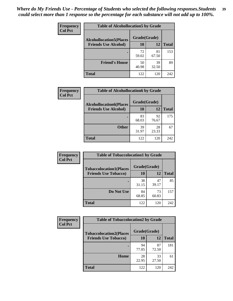| Frequency<br><b>Col Pct</b> | <b>Table of Alcohollocation5 by Grade</b> |              |             |              |  |
|-----------------------------|-------------------------------------------|--------------|-------------|--------------|--|
|                             | <b>Alcohollocation5(Places</b>            | Grade(Grade) |             |              |  |
|                             | <b>Friends Use Alcohol)</b>               | 10           | 12          | <b>Total</b> |  |
|                             |                                           | 72<br>59.02  | 81<br>67.50 | 153          |  |
|                             | <b>Friend's House</b>                     | 50<br>40.98  | 39<br>32.50 | 89           |  |
|                             | <b>Total</b>                              | 122          | 120         | 242          |  |

| <b>Frequency</b> | <b>Table of Alcohollocation6 by Grade</b> |              |             |              |
|------------------|-------------------------------------------|--------------|-------------|--------------|
| <b>Col Pct</b>   | <b>Alcohollocation6(Places</b>            | Grade(Grade) |             |              |
|                  | <b>Friends Use Alcohol)</b>               | 10           | 12          | <b>Total</b> |
|                  |                                           | 83<br>68.03  | 92<br>76.67 | 175          |
|                  | <b>Other</b>                              | 39<br>31.97  | 28<br>23.33 | 67           |
|                  | <b>Total</b>                              | 122          | 120         | 242          |

| Frequency      | <b>Table of Tobaccolocation1 by Grade</b> |              |             |              |
|----------------|-------------------------------------------|--------------|-------------|--------------|
| <b>Col Pct</b> | <b>Tobaccolocation1(Places</b>            | Grade(Grade) |             |              |
|                | <b>Friends Use Tobacco)</b>               | 10           | 12          | <b>Total</b> |
|                |                                           | 38<br>31.15  | 47<br>39.17 | 85           |
|                | Do Not Use                                | 84<br>68.85  | 73<br>60.83 | 157          |
|                | <b>Total</b>                              | 122          | 120         | 242          |

| <b>Frequency</b> |                                | <b>Table of Tobaccolocation2 by Grade</b> |             |              |  |
|------------------|--------------------------------|-------------------------------------------|-------------|--------------|--|
| <b>Col Pct</b>   | <b>Tobaccolocation2(Places</b> | Grade(Grade)                              |             |              |  |
|                  | <b>Friends Use Tobacco)</b>    | 10                                        | 12          | <b>Total</b> |  |
|                  |                                | 94<br>77.05                               | 87<br>72.50 | 181          |  |
|                  | Home                           | 28<br>22.95                               | 33<br>27.50 | 61           |  |
|                  | <b>Total</b>                   | 122                                       | 120         | 242          |  |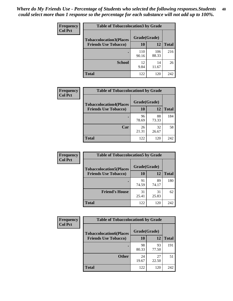| Frequency      | <b>Table of Tobaccolocation3 by Grade</b> |              |              |              |  |
|----------------|-------------------------------------------|--------------|--------------|--------------|--|
| <b>Col Pct</b> | <b>Tobaccolocation3(Places</b>            | Grade(Grade) |              |              |  |
|                | <b>Friends Use Tobacco)</b>               | 10           | 12           | <b>Total</b> |  |
|                |                                           | 110<br>90.16 | 106<br>88.33 | 216          |  |
|                | <b>School</b>                             | 12<br>9.84   | 14<br>11.67  | 26           |  |
|                | <b>Total</b>                              | 122          | 120          | 242          |  |

| Frequency      | <b>Table of Tobaccolocation4 by Grade</b> |              |             |              |
|----------------|-------------------------------------------|--------------|-------------|--------------|
| <b>Col Pct</b> | <b>Tobaccolocation4(Places</b>            | Grade(Grade) |             |              |
|                | <b>Friends Use Tobacco)</b>               | 10           | 12          | <b>Total</b> |
|                |                                           | 96<br>78.69  | 88<br>73.33 | 184          |
|                | Car                                       | 26<br>21.31  | 32<br>26.67 | 58           |
|                | <b>Total</b>                              | 122          | 120         | 242          |

| Frequency      | <b>Table of Tobaccolocation5 by Grade</b> |              |             |              |
|----------------|-------------------------------------------|--------------|-------------|--------------|
| <b>Col Pct</b> | <b>Tobaccolocation5(Places</b>            | Grade(Grade) |             |              |
|                | <b>Friends Use Tobacco)</b>               | 10           | 12          | <b>Total</b> |
|                |                                           | 91<br>74.59  | 89<br>74.17 | 180          |
|                | <b>Friend's House</b>                     | 31<br>25.41  | 31<br>25.83 | 62           |
|                | <b>Total</b>                              | 122          | 120         | 242          |

| <b>Frequency</b> | <b>Table of Tobaccolocation6 by Grade</b> |              |             |              |  |  |
|------------------|-------------------------------------------|--------------|-------------|--------------|--|--|
| <b>Col Pct</b>   | <b>Tobaccolocation6(Places</b>            | Grade(Grade) |             |              |  |  |
|                  | <b>Friends Use Tobacco)</b>               | 10           | 12          | <b>Total</b> |  |  |
|                  |                                           | 98<br>80.33  | 93<br>77.50 | 191          |  |  |
|                  | <b>Other</b>                              | 24<br>19.67  | 27<br>22.50 | 51           |  |  |
|                  | <b>Total</b>                              | 122          | 120         | 242          |  |  |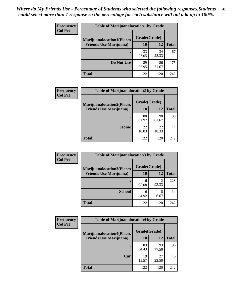| Frequency<br><b>Col Pct</b> | <b>Table of Marijuanalocation1 by Grade</b> |              |             |              |  |
|-----------------------------|---------------------------------------------|--------------|-------------|--------------|--|
|                             | <b>Marijuanalocation1(Places</b>            | Grade(Grade) |             |              |  |
|                             | <b>Friends Use Marijuana</b> )              | <b>10</b>    | 12          | <b>Total</b> |  |
|                             |                                             | 33<br>27.05  | 34<br>28.33 | 67           |  |
|                             | Do Not Use                                  | 89<br>72.95  | 86<br>71.67 | 175          |  |
|                             | <b>Total</b>                                | 122          | 120         | 242          |  |

| Frequency<br><b>Col Pct</b> | <b>Table of Marijuanalocation2 by Grade</b>                        |                    |             |              |
|-----------------------------|--------------------------------------------------------------------|--------------------|-------------|--------------|
|                             | <b>Marijuanalocation2(Places</b><br><b>Friends Use Marijuana</b> ) | Grade(Grade)<br>10 | 12          | <b>Total</b> |
|                             |                                                                    | 100<br>81.97       | 98<br>81.67 | 198          |
|                             | <b>Home</b>                                                        | 22<br>18.03        | 22<br>18.33 | 44           |
|                             | <b>Total</b>                                                       | 122                | 120         | 242          |

| <b>Frequency</b><br><b>Col Pct</b> | <b>Table of Marijuanalocation3 by Grade</b> |              |              |              |
|------------------------------------|---------------------------------------------|--------------|--------------|--------------|
|                                    | <b>Marijuanalocation3(Places</b>            | Grade(Grade) |              |              |
|                                    | <b>Friends Use Marijuana</b> )              | 10           | 12           | <b>Total</b> |
|                                    |                                             | 116<br>95.08 | 112<br>93.33 | 228          |
|                                    | <b>School</b>                               | 6<br>4.92    | 8<br>6.67    | 14           |
|                                    | <b>Total</b>                                | 122          | 120          | 242          |

| Frequency      | <b>Table of Marijuanalocation4 by Grade</b> |              |             |              |  |
|----------------|---------------------------------------------|--------------|-------------|--------------|--|
| <b>Col Pct</b> | <b>Marijuanalocation4(Places</b>            | Grade(Grade) |             |              |  |
|                | <b>Friends Use Marijuana</b> )              | <b>10</b>    | 12          | <b>Total</b> |  |
|                |                                             | 103<br>84.43 | 93<br>77.50 | 196          |  |
|                | Car                                         | 19<br>15.57  | 27<br>22.50 | 46           |  |
|                | <b>Total</b>                                | 122          | 120         | 242          |  |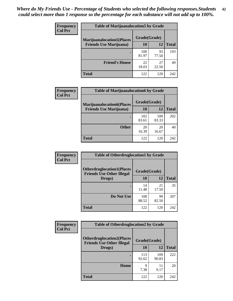| <b>Frequency</b> | <b>Table of Marijuanalocation5 by Grade</b> |              |             |              |
|------------------|---------------------------------------------|--------------|-------------|--------------|
| <b>Col Pct</b>   | <b>Marijuanalocation5(Places</b>            | Grade(Grade) |             |              |
|                  | <b>Friends Use Marijuana</b> )              | 10           | 12          | <b>Total</b> |
|                  |                                             | 100<br>81.97 | 93<br>77.50 | 193          |
|                  | <b>Friend's House</b>                       | 22<br>18.03  | 27<br>22.50 | 49           |
|                  | <b>Total</b>                                | 122          | 120         | 242          |

| <b>Frequency</b> | <b>Table of Marijuanalocation6 by Grade</b>                        |                    |              |       |
|------------------|--------------------------------------------------------------------|--------------------|--------------|-------|
| <b>Col Pct</b>   | <b>Marijuanalocation6(Places</b><br><b>Friends Use Marijuana</b> ) | Grade(Grade)<br>10 | 12           | Total |
|                  |                                                                    | 102<br>83.61       | 100<br>83.33 | 202   |
|                  | <b>Other</b>                                                       | 20<br>16.39        | 20<br>16.67  | 40    |
|                  | <b>Total</b>                                                       | 122                | 120          | 242   |

| <b>Frequency</b> | <b>Table of Otherdruglocation1 by Grade</b>                          |              |             |              |
|------------------|----------------------------------------------------------------------|--------------|-------------|--------------|
| <b>Col Pct</b>   | <b>Otherdruglocation1(Places</b><br><b>Friends Use Other Illegal</b> | Grade(Grade) |             |              |
|                  | Drugs)                                                               | 10           | 12          | <b>Total</b> |
|                  |                                                                      | 14<br>11.48  | 21<br>17.50 | 35           |
|                  | Do Not Use                                                           | 108<br>88.52 | 99<br>82.50 | 207          |
|                  | <b>Total</b>                                                         | 122          | 120         | 242          |

| <b>Frequency</b> | <b>Table of Otherdruglocation2 by Grade</b>                           |              |              |              |
|------------------|-----------------------------------------------------------------------|--------------|--------------|--------------|
| <b>Col Pct</b>   | <b>Otherdruglocation2(Places)</b><br><b>Friends Use Other Illegal</b> | Grade(Grade) |              |              |
|                  | Drugs)                                                                | 10           | 12           | <b>Total</b> |
|                  |                                                                       | 113<br>92.62 | 109<br>90.83 | 222          |
|                  | <b>Home</b>                                                           | 9<br>7.38    | 11<br>9.17   | 20           |
|                  | <b>Total</b>                                                          | 122          | 120          | 242          |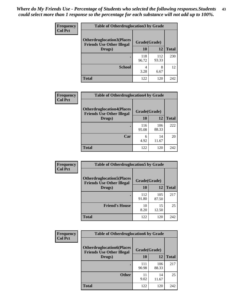| <b>Frequency</b> | <b>Table of Otherdruglocation 3 by Grade</b>                          |              |              |              |
|------------------|-----------------------------------------------------------------------|--------------|--------------|--------------|
| <b>Col Pct</b>   | <b>Otherdruglocation3(Places)</b><br><b>Friends Use Other Illegal</b> | Grade(Grade) |              |              |
|                  | Drugs)                                                                | 10           | 12           | <b>Total</b> |
|                  |                                                                       | 118<br>96.72 | 112<br>93.33 | 230          |
|                  | <b>School</b>                                                         | 4<br>3.28    | 8<br>6.67    | 12           |
|                  | <b>Total</b>                                                          | 122          | 120          | 242          |

| Frequency      | <b>Table of Otherdruglocation4 by Grade</b>                          |              |              |              |
|----------------|----------------------------------------------------------------------|--------------|--------------|--------------|
| <b>Col Pct</b> | <b>Otherdruglocation4(Places</b><br><b>Friends Use Other Illegal</b> | Grade(Grade) |              |              |
|                | Drugs)                                                               | <b>10</b>    | 12           | <b>Total</b> |
|                |                                                                      | 116<br>95.08 | 106<br>88.33 | 222          |
|                | Car                                                                  | 6<br>4.92    | 14<br>11.67  | 20           |
|                | <b>Total</b>                                                         | 122          | 120          | 242          |

| Frequency      | <b>Table of Otherdruglocation5 by Grade</b>                          |              |              |              |
|----------------|----------------------------------------------------------------------|--------------|--------------|--------------|
| <b>Col Pct</b> | <b>Otherdruglocation5(Places</b><br><b>Friends Use Other Illegal</b> | Grade(Grade) |              |              |
|                | Drugs)                                                               | 10           | 12           | <b>Total</b> |
|                |                                                                      | 112<br>91.80 | 105<br>87.50 | 217          |
|                | <b>Friend's House</b>                                                | 10<br>8.20   | 15<br>12.50  | 25           |
|                | <b>Total</b>                                                         | 122          | 120          | 242          |

| Frequency      | <b>Table of Otherdruglocation6 by Grade</b>                          |              |              |              |
|----------------|----------------------------------------------------------------------|--------------|--------------|--------------|
| <b>Col Pct</b> | <b>Otherdruglocation6(Places</b><br><b>Friends Use Other Illegal</b> | Grade(Grade) |              |              |
|                | Drugs)                                                               | 10           | 12           | <b>Total</b> |
|                |                                                                      | 111<br>90.98 | 106<br>88.33 | 217          |
|                | <b>Other</b>                                                         | 11<br>9.02   | 14<br>11.67  | 25           |
|                | <b>Total</b>                                                         | 122          | 120          | 242          |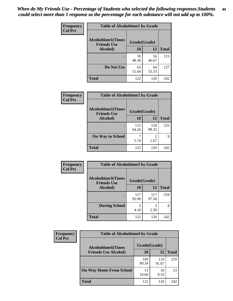| Frequency      | <b>Table of Alcoholtime1 by Grade</b> |              |             |              |
|----------------|---------------------------------------|--------------|-------------|--------------|
| <b>Col Pct</b> | <b>Alcoholtime1(Times</b>             | Grade(Grade) |             |              |
|                | <b>Friends Use</b><br>Alcohol)        | 10           | 12          | <b>Total</b> |
|                |                                       | 59<br>48.36  | 56<br>46.67 | 115          |
|                | Do Not Use                            | 63<br>51.64  | 64<br>53.33 | 127          |
|                | <b>Total</b>                          | 122          | 120         | 242          |

| Frequency      | <b>Table of Alcoholtime2 by Grade</b>           |              |              |              |
|----------------|-------------------------------------------------|--------------|--------------|--------------|
| <b>Col Pct</b> | <b>Alcoholtime2(Times</b><br><b>Friends Use</b> | Grade(Grade) |              |              |
|                | Alcohol)                                        | 10           | 12           | <b>Total</b> |
|                |                                                 | 115<br>94.26 | 118<br>98.33 | 233          |
|                | <b>On Way to School</b>                         | 5.74         | 2<br>1.67    | Q            |
|                | <b>Total</b>                                    | 122          | 120          | 242          |

| Frequency<br><b>Col Pct</b> | <b>Table of Alcoholtime3 by Grade</b>                           |              |              |              |  |
|-----------------------------|-----------------------------------------------------------------|--------------|--------------|--------------|--|
|                             | <b>Alcoholtime3(Times</b><br>Grade(Grade)<br><b>Friends Use</b> |              |              |              |  |
|                             | Alcohol)                                                        | 10           | 12           | <b>Total</b> |  |
|                             |                                                                 | 117<br>95.90 | 117<br>97.50 | 234          |  |
|                             | <b>During School</b>                                            | 5<br>4.10    | 3<br>2.50    | 8            |  |
|                             | Total                                                           | 122          | 120          | 242          |  |

| <b>Frequency</b><br><b>Col Pct</b> | <b>Table of Alcoholtime4 by Grade</b>                    |              |              |              |  |
|------------------------------------|----------------------------------------------------------|--------------|--------------|--------------|--|
|                                    | <b>Alcoholtime4(Times</b><br><b>Friends Use Alcohol)</b> | Grade(Grade) |              |              |  |
|                                    |                                                          | 10           | 12           | <b>Total</b> |  |
|                                    |                                                          | 109<br>89.34 | 110<br>91.67 | 219          |  |
|                                    | <b>On Way Home From School</b>                           | 13<br>10.66  | 10<br>8.33   | 23           |  |
|                                    | <b>Total</b>                                             | 122          | 120          | 242          |  |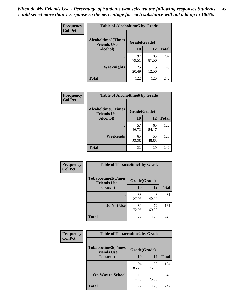*When do My Friends Use - Percentage of Students who selected the following responses.Students could select more than 1 response so the percentage for each substance will not add up to 100%.* **45**

| Frequency      | <b>Table of Alcoholtime5 by Grade</b>           |              |              |              |
|----------------|-------------------------------------------------|--------------|--------------|--------------|
| <b>Col Pct</b> | <b>Alcoholtime5(Times</b><br><b>Friends Use</b> | Grade(Grade) |              |              |
|                | Alcohol)                                        | 10           | 12           | <b>Total</b> |
|                |                                                 | 97<br>79.51  | 105<br>87.50 | 202          |
|                | Weeknights                                      | 25<br>20.49  | 15<br>12.50  | 40           |
|                | <b>Total</b>                                    | 122          | 120          | 242          |

| <b>Frequency</b> | <b>Table of Alcoholtime6 by Grade</b>           |              |             |              |  |
|------------------|-------------------------------------------------|--------------|-------------|--------------|--|
| <b>Col Pct</b>   | <b>Alcoholtime6(Times</b><br><b>Friends Use</b> | Grade(Grade) |             |              |  |
|                  | Alcohol)                                        | 10           | 12          | <b>Total</b> |  |
|                  |                                                 | 57<br>46.72  | 65<br>54.17 | 122          |  |
|                  | Weekends                                        | 65<br>53.28  | 55<br>45.83 | 120          |  |
|                  | <b>Total</b>                                    | 122          | 120         | 242          |  |

| <b>Frequency</b> | <b>Table of Tobaccotime1 by Grade</b>           |              |             |              |
|------------------|-------------------------------------------------|--------------|-------------|--------------|
| <b>Col Pct</b>   | <b>Tobaccotime1(Times</b><br><b>Friends Use</b> | Grade(Grade) |             |              |
|                  | <b>Tobacco</b> )                                | 10           | 12          | <b>Total</b> |
|                  |                                                 | 33<br>27.05  | 48<br>40.00 | 81           |
|                  | Do Not Use                                      | 89<br>72.95  | 72<br>60.00 | 161          |
|                  | <b>Total</b>                                    | 122          | 120         | 242          |

| <b>Frequency</b> | <b>Table of Tobaccotime2 by Grade</b>           |              |             |              |
|------------------|-------------------------------------------------|--------------|-------------|--------------|
| <b>Col Pct</b>   | <b>Tobaccotime2(Times</b><br><b>Friends Use</b> | Grade(Grade) |             |              |
|                  | <b>Tobacco</b> )                                | 10           | 12          | <b>Total</b> |
|                  |                                                 | 104<br>85.25 | 90<br>75.00 | 194          |
|                  | <b>On Way to School</b>                         | 18<br>14.75  | 30<br>25.00 | 48           |
|                  | <b>Total</b>                                    | 122          | 120         | 242          |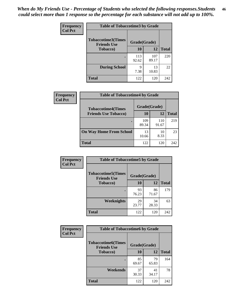*When do My Friends Use - Percentage of Students who selected the following responses.Students could select more than 1 response so the percentage for each substance will not add up to 100%.* **46**

| <b>Frequency</b> | <b>Table of Tobaccotime3 by Grade</b>           |              |              |              |
|------------------|-------------------------------------------------|--------------|--------------|--------------|
| <b>Col Pct</b>   | <b>Tobaccotime3(Times</b><br><b>Friends Use</b> | Grade(Grade) |              |              |
|                  | <b>Tobacco</b> )                                | 10           | 12           | <b>Total</b> |
|                  |                                                 | 113<br>92.62 | 107<br>89.17 | 220          |
|                  | <b>During School</b>                            | q<br>7.38    | 13<br>10.83  | 22           |
|                  | <b>Total</b>                                    | 122          | 120          | 242          |

| <b>Frequency</b> | <b>Table of Tobaccotime4 by Grade</b> |              |              |              |  |
|------------------|---------------------------------------|--------------|--------------|--------------|--|
| <b>Col Pct</b>   | <b>Tobaccotime4(Times</b>             | Grade(Grade) |              |              |  |
|                  | <b>Friends Use Tobacco)</b>           | 10           | 12           | <b>Total</b> |  |
|                  |                                       | 109<br>89.34 | 110<br>91.67 | 219          |  |
|                  | <b>On Way Home From School</b>        | 13<br>10.66  | 10<br>8.33   | 23           |  |
|                  | Total                                 | 122          | 120          | 242          |  |

| Frequency      | <b>Table of Tobaccotime5 by Grade</b>            |              |             |              |
|----------------|--------------------------------------------------|--------------|-------------|--------------|
| <b>Col Pct</b> | <b>Tobaccotime5</b> (Times<br><b>Friends Use</b> | Grade(Grade) |             |              |
|                | <b>Tobacco</b> )                                 | 10           | 12          | <b>Total</b> |
|                | $\bullet$                                        | 93<br>76.23  | 86<br>71.67 | 179          |
|                | <b>Weeknights</b>                                | 29<br>23.77  | 34<br>28.33 | 63           |
|                | <b>Total</b>                                     | 122          | 120         | 242          |

| Frequency      | <b>Table of Tobaccotime6 by Grade</b>           |              |             |              |
|----------------|-------------------------------------------------|--------------|-------------|--------------|
| <b>Col Pct</b> | <b>Tobaccotime6(Times</b><br><b>Friends Use</b> | Grade(Grade) |             |              |
|                | <b>Tobacco</b> )                                | 10           | 12          | <b>Total</b> |
|                |                                                 | 85<br>69.67  | 79<br>65.83 | 164          |
|                | Weekends                                        | 37<br>30.33  | 41<br>34.17 | 78           |
|                | <b>Total</b>                                    | 122          | 120         | 242          |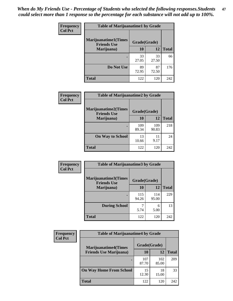| Frequency      | <b>Table of Marijuanatime1 by Grade</b>           |              |             |              |  |
|----------------|---------------------------------------------------|--------------|-------------|--------------|--|
| <b>Col Pct</b> | <b>Marijuanatime1(Times</b><br><b>Friends Use</b> | Grade(Grade) |             |              |  |
|                | Marijuana)                                        | 10           | 12          | <b>Total</b> |  |
|                |                                                   | 33<br>27.05  | 33<br>27.50 | 66           |  |
|                | Do Not Use                                        | 89<br>72.95  | 87<br>72.50 | 176          |  |
|                | <b>Total</b>                                      | 122          | 120         | 242          |  |

| Frequency      | <b>Table of Marijuanatime2 by Grade</b>           |              |              |              |  |
|----------------|---------------------------------------------------|--------------|--------------|--------------|--|
| <b>Col Pct</b> | <b>Marijuanatime2(Times</b><br><b>Friends Use</b> | Grade(Grade) |              |              |  |
|                | Marijuana)                                        | 10           | 12           | <b>Total</b> |  |
|                |                                                   | 109<br>89.34 | 109<br>90.83 | 218          |  |
|                | <b>On Way to School</b>                           | 13<br>10.66  | 11<br>9.17   | 24           |  |
|                | <b>Total</b>                                      | 122          | 120          | 242          |  |

| Frequency<br><b>Col Pct</b> | <b>Table of Marijuanatime3 by Grade</b>    |              |              |              |  |
|-----------------------------|--------------------------------------------|--------------|--------------|--------------|--|
|                             | Marijuanatime3(Times<br><b>Friends Use</b> | Grade(Grade) |              |              |  |
|                             | Marijuana)                                 | 10           | 12           | <b>Total</b> |  |
|                             |                                            | 115<br>94.26 | 114<br>95.00 | 229          |  |
|                             | <b>During School</b>                       | 5.74         | 6<br>5.00    | 13           |  |
|                             | <b>Total</b>                               | 122          | 120          | 242          |  |

| <b>Frequency</b> | <b>Table of Marijuanatime4 by Grade</b> |              |              |              |
|------------------|-----------------------------------------|--------------|--------------|--------------|
| <b>Col Pct</b>   | <b>Marijuanatime4(Times</b>             | Grade(Grade) |              |              |
|                  | <b>Friends Use Marijuana</b> )          | 10           | 12           | <b>Total</b> |
|                  | ٠                                       | 107<br>87.70 | 102<br>85.00 | 209          |
|                  | <b>On Way Home From School</b>          | 15<br>12.30  | 18<br>15.00  | 33           |
|                  | <b>Total</b>                            | 122          | 120          | 242          |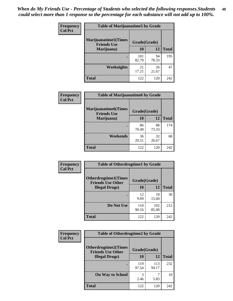| Frequency      | <b>Table of Marijuanatime5 by Grade</b>            |              |             |              |
|----------------|----------------------------------------------------|--------------|-------------|--------------|
| <b>Col Pct</b> | <b>Marijuanatime5</b> (Times<br><b>Friends Use</b> | Grade(Grade) |             |              |
|                | Marijuana)                                         | 10           | 12          | <b>Total</b> |
|                |                                                    | 101<br>82.79 | 94<br>78.33 | 195          |
|                | Weeknights                                         | 21<br>17.21  | 26<br>21.67 | 47           |
|                | <b>Total</b>                                       | 122          | 120         | 242          |

| <b>Frequency</b> | <b>Table of Marijuanatime6 by Grade</b>    |              |             |              |
|------------------|--------------------------------------------|--------------|-------------|--------------|
| <b>Col Pct</b>   | Marijuanatime6(Times<br><b>Friends Use</b> | Grade(Grade) |             |              |
|                  | Marijuana)                                 | 10           | 12          | <b>Total</b> |
|                  |                                            | 86<br>70.49  | 88<br>73.33 | 174          |
|                  | Weekends                                   | 36<br>29.51  | 32<br>26.67 | 68           |
|                  | <b>Total</b>                               | 122          | 120         | 242          |

| Frequency      | <b>Table of Otherdrugtime1 by Grade</b>                 |              |              |              |  |
|----------------|---------------------------------------------------------|--------------|--------------|--------------|--|
| <b>Col Pct</b> | <b>Otherdrugtime1(Times</b><br><b>Friends Use Other</b> | Grade(Grade) |              |              |  |
|                | <b>Illegal Drugs</b> )                                  | 10           | 12           | <b>Total</b> |  |
|                |                                                         | 12<br>9.84   | 18<br>15.00  | 30           |  |
|                | Do Not Use                                              | 110<br>90.16 | 102<br>85.00 | 212          |  |
|                | Total                                                   | 122          | 120          | 242          |  |

| <b>Frequency</b> | <b>Table of Otherdrugtime2 by Grade</b>                 |              |              |              |
|------------------|---------------------------------------------------------|--------------|--------------|--------------|
| <b>Col Pct</b>   | <b>Otherdrugtime2(Times</b><br><b>Friends Use Other</b> | Grade(Grade) |              |              |
|                  | <b>Illegal Drugs</b> )                                  | 10           | 12           | <b>Total</b> |
|                  |                                                         | 119<br>97.54 | 113<br>94.17 | 232          |
|                  | <b>On Way to School</b>                                 | 3<br>2.46    | ℸ<br>5.83    | 10           |
|                  | Total                                                   | 122          | 120          | 242          |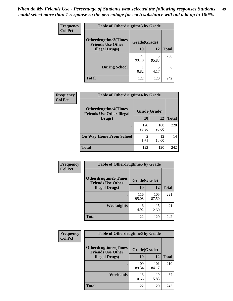| <b>Frequency</b> | <b>Table of Otherdrugtime3 by Grade</b>          |              |              |              |
|------------------|--------------------------------------------------|--------------|--------------|--------------|
| <b>Col Pct</b>   | Otherdrugtime3(Times<br><b>Friends Use Other</b> | Grade(Grade) |              |              |
|                  | <b>Illegal Drugs</b> )                           | 10           | 12           | <b>Total</b> |
|                  |                                                  | 121<br>99.18 | 115<br>95.83 | 236          |
|                  | <b>During School</b>                             | 0.82         | 5<br>4.17    | 6            |
|                  | Total                                            | 122          | 120          | 242          |

| Frequency      | <b>Table of Otherdrugtime4 by Grade</b>                         |                        |              |              |
|----------------|-----------------------------------------------------------------|------------------------|--------------|--------------|
| <b>Col Pct</b> | <b>Otherdrugtime4(Times</b><br><b>Friends Use Other Illegal</b> | Grade(Grade)           |              |              |
|                | Drugs)                                                          | 10                     | 12           | <b>Total</b> |
|                | $\bullet$                                                       | 120<br>98.36           | 108<br>90.00 | 228          |
|                | <b>On Way Home From School</b>                                  | $\mathfrak{D}$<br>1.64 | 12<br>10.00  | 14           |
|                | <b>Total</b>                                                    | 122                    | 120          | 242          |

| <b>Frequency</b> | <b>Table of Otherdrugtime5 by Grade</b>                  |              |              |              |  |  |
|------------------|----------------------------------------------------------|--------------|--------------|--------------|--|--|
| <b>Col Pct</b>   | <b>Otherdrugtime5</b> (Times<br><b>Friends Use Other</b> | Grade(Grade) |              |              |  |  |
|                  | <b>Illegal Drugs</b> )                                   | 10           | 12           | <b>Total</b> |  |  |
|                  |                                                          | 116<br>95.08 | 105<br>87.50 | 221          |  |  |
|                  | Weeknights                                               | 6<br>4.92    | 15<br>12.50  | 21           |  |  |
|                  | <b>Total</b>                                             | 122          | 120          | 242          |  |  |

| <b>Frequency</b><br><b>Col Pct</b> | <b>Table of Otherdrugtime6 by Grade</b>                 |              |              |              |  |
|------------------------------------|---------------------------------------------------------|--------------|--------------|--------------|--|
|                                    | <b>Otherdrugtime6(Times</b><br><b>Friends Use Other</b> | Grade(Grade) |              |              |  |
|                                    | <b>Illegal Drugs</b> )                                  | 10           | 12           | <b>Total</b> |  |
|                                    |                                                         | 109<br>89.34 | 101<br>84.17 | 210          |  |
|                                    | Weekends                                                | 13<br>10.66  | 19<br>15.83  | 32           |  |
|                                    | Total                                                   | 122          | 120          | 242          |  |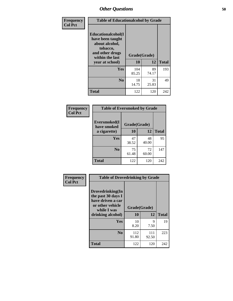| Frequency      | <b>Table of Educationalcohol by Grade</b>                                                                  |              |             |              |  |
|----------------|------------------------------------------------------------------------------------------------------------|--------------|-------------|--------------|--|
| <b>Col Pct</b> | Educationalcohol(I<br>have been taught<br>about alcohol,<br>tobacco,<br>and other drugs<br>within the last | Grade(Grade) |             |              |  |
|                | year at school)                                                                                            | 10           | 12          | <b>Total</b> |  |
|                | <b>Yes</b>                                                                                                 | 104<br>85.25 | 89<br>74.17 | 193          |  |
|                | N <sub>0</sub>                                                                                             | 18<br>14.75  | 31<br>25.83 | 49           |  |
|                | <b>Total</b>                                                                                               | 122          | 120         | 242          |  |

| Frequency      | <b>Table of Eversmoked by Grade</b> |              |             |              |  |  |
|----------------|-------------------------------------|--------------|-------------|--------------|--|--|
| <b>Col Pct</b> | Eversmoked(I<br>have smoked         | Grade(Grade) |             |              |  |  |
|                | a cigarette)                        | 10           | 12          | <b>Total</b> |  |  |
|                | Yes                                 | 47<br>38.52  | 48<br>40.00 | 95           |  |  |
|                | N <sub>0</sub>                      | 75<br>61.48  | 72<br>60.00 | 147          |  |  |
|                | <b>Total</b>                        | 122          | 120         | 242          |  |  |

| Frequency<br><b>Col Pct</b> | <b>Table of Drovedrinking by Grade</b>                                                                              |                    |              |              |
|-----------------------------|---------------------------------------------------------------------------------------------------------------------|--------------------|--------------|--------------|
|                             | Drovedrinking(In<br>the past 30 days I<br>have driven a car<br>or other vehicle<br>while I was<br>drinking alcohol) | Grade(Grade)<br>10 | 12           | <b>Total</b> |
|                             | <b>Yes</b>                                                                                                          | 10<br>8.20         | 9<br>7.50    | 19           |
|                             | N <sub>0</sub>                                                                                                      | 112<br>91.80       | 111<br>92.50 | 223          |
|                             | <b>Total</b>                                                                                                        | 122                | 120          | 242          |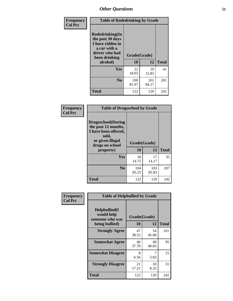| Frequency<br><b>Col Pct</b> | <b>Table of Rodedrinking by Grade</b>                                                                                  |                    |              |     |  |
|-----------------------------|------------------------------------------------------------------------------------------------------------------------|--------------------|--------------|-----|--|
|                             | Rodedrinking(In<br>the past 30 days<br>I have ridden in<br>a car with a<br>driver who had<br>been drinking<br>alcohol) | Grade(Grade)<br>10 | <b>Total</b> |     |  |
|                             | <b>Yes</b>                                                                                                             | 22                 | 12<br>19     | 41  |  |
|                             |                                                                                                                        | 18.03              | 15.83        |     |  |
|                             | N <sub>0</sub>                                                                                                         | 100<br>81.97       | 101<br>84.17 | 201 |  |
|                             | <b>Total</b>                                                                                                           | 122                | 120          | 242 |  |

#### **Frequency Col Pct**

| <b>Table of Drugsschool by Grade</b>                                                                                      |              |              |              |  |  |  |
|---------------------------------------------------------------------------------------------------------------------------|--------------|--------------|--------------|--|--|--|
| <b>Drugsschool</b> (During<br>the past 12 months,<br>I have been offered,<br>sold,<br>or given illegal<br>drugs on school | Grade(Grade) |              |              |  |  |  |
| property)                                                                                                                 | 10           | 12           | <b>Total</b> |  |  |  |
| Yes                                                                                                                       | 18<br>14.75  | 17<br>14.17  | 35           |  |  |  |
| N <sub>0</sub>                                                                                                            | 104<br>85.25 | 103<br>85.83 | 207          |  |  |  |
| Total                                                                                                                     | 122          | 120          | 242          |  |  |  |

| Frequency      | <b>Table of Helpbullied by Grade</b>           |              |             |              |  |  |  |  |
|----------------|------------------------------------------------|--------------|-------------|--------------|--|--|--|--|
| <b>Col Pct</b> | Helpbullied(I<br>would help<br>someone who was | Grade(Grade) |             |              |  |  |  |  |
|                | being bullied)                                 | 10           | 12          | <b>Total</b> |  |  |  |  |
|                | <b>Strongly Agree</b>                          | 47<br>38.52  | 54<br>45.00 | 101          |  |  |  |  |
|                | <b>Somewhat Agree</b>                          | 46<br>37.70  | 49<br>40.83 | 95           |  |  |  |  |
|                | <b>Somewhat Disagree</b>                       | 8<br>6.56    | 7<br>5.83   | 15           |  |  |  |  |
|                | <b>Strongly Disagree</b>                       | 21<br>17.21  | 10<br>8.33  | 31           |  |  |  |  |
|                | <b>Total</b>                                   | 122          | 120         | 242          |  |  |  |  |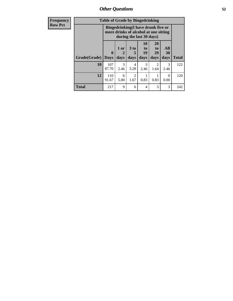*Other Questions* **52**

| <b>Frequency</b> |              | <b>Table of Grade by Bingedrinking</b> |                                                                             |                                     |                                   |                               |                   |              |
|------------------|--------------|----------------------------------------|-----------------------------------------------------------------------------|-------------------------------------|-----------------------------------|-------------------------------|-------------------|--------------|
| <b>Row Pct</b>   |              |                                        | Bingedrinking(I have drunk five or<br>more drinks of alcohol at one sitting |                                     | during the last 30 days)          |                               |                   |              |
|                  | Grade(Grade) | 0<br><b>Days</b>                       | 1 or<br>2<br>days                                                           | $3$ to<br>5<br>days                 | 10<br>$\mathbf{to}$<br>19<br>days | <b>20</b><br>to<br>29<br>days | All<br>30<br>days | <b>Total</b> |
|                  | 10           | 107<br>87.70                           | 3<br>2.46                                                                   | 4<br>3.28                           | 3<br>2.46                         | 1.64                          | 3<br>2.46         | 122          |
|                  | 12           | 110<br>91.67                           | 6<br>5.00                                                                   | $\mathcal{D}_{\mathcal{A}}$<br>1.67 | 0.83                              | 0.83                          | $\Omega$<br>0.00  | 120          |
|                  | Total        | 217                                    | 9                                                                           | 6                                   | 4                                 | 3                             | 3                 | 242          |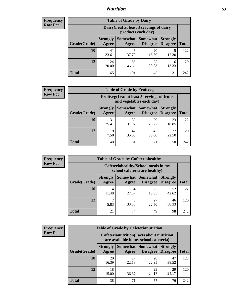## *Nutrition* **53**

| <b>Frequency</b> |
|------------------|
| Row Pct          |

| <b>Table of Grade by Dairy</b> |                          |                                                                                                                 |             |             |     |  |  |  |
|--------------------------------|--------------------------|-----------------------------------------------------------------------------------------------------------------|-------------|-------------|-----|--|--|--|
|                                |                          | Dairy (I eat at least 3 servings of dairy<br>products each day)                                                 |             |             |     |  |  |  |
| Grade(Grade)                   | <b>Strongly</b><br>Agree | Somewhat  <br><b>Somewhat</b><br><b>Strongly</b><br><b>Disagree</b><br><b>Disagree</b><br><b>Total</b><br>Agree |             |             |     |  |  |  |
| 10                             | 41<br>33.61              | 46<br>37.70                                                                                                     | 20<br>16.39 | 15<br>12.30 | 122 |  |  |  |
| 12                             | 24<br>20.00              | 55<br>45.83                                                                                                     | 25<br>20.83 | 16<br>13.33 | 120 |  |  |  |
| <b>Total</b>                   | 65                       | 101                                                                                                             | 45          | 31          | 242 |  |  |  |

| <b>Frequency</b> |  |
|------------------|--|
| <b>Row Pct</b>   |  |

| V | <b>Table of Grade by Fruitveg</b> |                          |                                                                          |                                               |                                    |              |  |
|---|-----------------------------------|--------------------------|--------------------------------------------------------------------------|-----------------------------------------------|------------------------------------|--------------|--|
|   |                                   |                          | Fruitveg(I eat at least 5 servings of fruits<br>and vegetables each day) |                                               |                                    |              |  |
|   | Grade(Grade)                      | <b>Strongly</b><br>Agree | Agree                                                                    | <b>Somewhat   Somewhat</b><br><b>Disagree</b> | <b>Strongly</b><br><b>Disagree</b> | <b>Total</b> |  |
|   | 10                                | 31<br>25.41              | 39<br>31.97                                                              | 29<br>23.77                                   | 23<br>18.85                        | 122          |  |
|   | 12                                | 9<br>7.50                | 42<br>35.00                                                              | 42<br>35.00                                   | 27<br>22.50                        | 120          |  |
|   | <b>Total</b>                      | 40                       | 81                                                                       | 71                                            | 50                                 | 242          |  |

| <b>Frequency</b> | <b>Table of Grade by Cafeteriahealthy</b> |                          |                                                                       |                                      |                                    |              |  |  |  |
|------------------|-------------------------------------------|--------------------------|-----------------------------------------------------------------------|--------------------------------------|------------------------------------|--------------|--|--|--|
| <b>Row Pct</b>   |                                           |                          | Cafeteriahealthy (School meals in my<br>school cafeteria are healthy) |                                      |                                    |              |  |  |  |
|                  | Grade(Grade)                              | <b>Strongly</b><br>Agree | Agree                                                                 | Somewhat Somewhat<br><b>Disagree</b> | <b>Strongly</b><br><b>Disagree</b> | <b>Total</b> |  |  |  |
|                  | 10                                        | 14<br>11.48              | 34<br>27.87                                                           | 22<br>18.03                          | 52<br>42.62                        | 122          |  |  |  |
|                  | 12                                        | 5.83                     | 40<br>33.33                                                           | 27<br>22.50                          | 46<br>38.33                        | 120          |  |  |  |
|                  | Total                                     | 21                       | 74                                                                    | 49                                   | 98                                 | 242          |  |  |  |

| <b>Frequency</b> |
|------------------|
| <b>Row Pct</b>   |

| <b>Table of Grade by Cafeterianutrition</b> |                          |                                                                                           |                                    |                                    |              |  |  |
|---------------------------------------------|--------------------------|-------------------------------------------------------------------------------------------|------------------------------------|------------------------------------|--------------|--|--|
|                                             |                          | <b>Cafeterianutrition</b> (Facts about nutrition<br>are available in my school cafeteria) |                                    |                                    |              |  |  |
| Grade(Grade)                                | <b>Strongly</b><br>Agree | Somewhat<br>Agree                                                                         | <b>Somewhat</b><br><b>Disagree</b> | <b>Strongly</b><br><b>Disagree</b> | <b>Total</b> |  |  |
| 10                                          | 20<br>16.39              | 27<br>22.13                                                                               | 28<br>22.95                        | 47<br>38.52                        | 122          |  |  |
| 12                                          | 18<br>15.00              | 44<br>36.67                                                                               | 29<br>24.17                        | 29<br>24.17                        | 120          |  |  |
| Total                                       | 38                       | 71                                                                                        | 57                                 | 76                                 | 242          |  |  |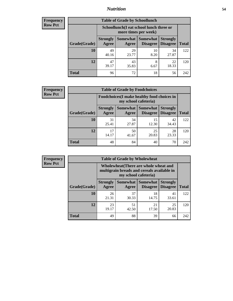## *Nutrition* **54**

| <b>Frequency</b> |
|------------------|
| Row Pct          |

| <b>Table of Grade by Schoollunch</b> |                                                                                                                      |                                                                 |            |             |     |  |  |
|--------------------------------------|----------------------------------------------------------------------------------------------------------------------|-----------------------------------------------------------------|------------|-------------|-----|--|--|
|                                      |                                                                                                                      | Schoollunch(I eat school lunch three or<br>more times per week) |            |             |     |  |  |
| Grade(Grade)                         | Somewhat  <br><b>Somewhat</b><br><b>Strongly</b><br><b>Strongly</b><br><b>Disagree</b><br>Disagree<br>Agree<br>Agree |                                                                 |            |             |     |  |  |
| 10                                   | 49<br>40.16                                                                                                          | 29<br>23.77                                                     | 10<br>8.20 | 34<br>27.87 | 122 |  |  |
| 12                                   | 47<br>39.17                                                                                                          | 43<br>35.83                                                     | 8<br>6.67  | 22<br>18.33 | 120 |  |  |
| <b>Total</b>                         | 96                                                                                                                   | 72                                                              | 18         | 56          | 242 |  |  |

| <b>Frequency</b> |  |
|------------------|--|
| <b>Row Pct</b>   |  |

| <b>Table of Grade by Foodchoices</b> |                          |                                                                     |                                        |                                    |              |  |
|--------------------------------------|--------------------------|---------------------------------------------------------------------|----------------------------------------|------------------------------------|--------------|--|
|                                      |                          | Foodchoices (I make healthy food choices in<br>my school cafeteria) |                                        |                                    |              |  |
| Grade(Grade)                         | <b>Strongly</b><br>Agree | Agree                                                               | <b>Somewhat   Somewhat</b><br>Disagree | <b>Strongly</b><br><b>Disagree</b> | <b>Total</b> |  |
| 10                                   | 31<br>25.41              | 34<br>27.87                                                         | 15<br>12.30                            | 42<br>34.43                        | 122          |  |
| 12                                   | 17<br>14.17              | 50<br>41.67                                                         | 25<br>20.83                            | 28<br>23.33                        | 120          |  |
| <b>Total</b>                         | 48                       | 84                                                                  | 40                                     | 70                                 | 242          |  |

| Frequency      | <b>Table of Grade by Wholewheat</b> |                                                                                                             |             |                                        |                                    |              |  |  |  |
|----------------|-------------------------------------|-------------------------------------------------------------------------------------------------------------|-------------|----------------------------------------|------------------------------------|--------------|--|--|--|
| <b>Row Pct</b> |                                     | Wholewheat (There are whole wheat and<br>multigrain breads and cereals available in<br>my school cafeteria) |             |                                        |                                    |              |  |  |  |
|                | Grade(Grade)                        | <b>Strongly</b><br>Agree                                                                                    | Agree       | Somewhat   Somewhat<br><b>Disagree</b> | <b>Strongly</b><br><b>Disagree</b> | <b>Total</b> |  |  |  |
|                | 10                                  | 26<br>21.31                                                                                                 | 37<br>30.33 | 18<br>14.75                            | 41<br>33.61                        | 122          |  |  |  |
|                | 12                                  | 23<br>19.17                                                                                                 | 51<br>42.50 | 21<br>17.50                            | 25<br>20.83                        | 120          |  |  |  |
|                | <b>Total</b>                        | 49                                                                                                          | 88          | 39                                     | 66                                 | 242          |  |  |  |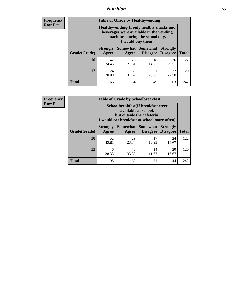## *Nutrition* **55**

**Frequency Row Pct**

| <b>Table of Grade by Healthyvending</b> |                                                                                                                                               |                          |                                    |                                    |              |  |  |
|-----------------------------------------|-----------------------------------------------------------------------------------------------------------------------------------------------|--------------------------|------------------------------------|------------------------------------|--------------|--|--|
|                                         | Healthyvending (If only healthy snacks and<br>beverages were available in the vending<br>machines during the school day,<br>I would buy them) |                          |                                    |                                    |              |  |  |
| Grade(Grade)                            | <b>Strongly</b><br>Agree                                                                                                                      | <b>Somewhat</b><br>Agree | <b>Somewhat</b><br><b>Disagree</b> | <b>Strongly</b><br><b>Disagree</b> | <b>Total</b> |  |  |
| 10                                      | 42<br>34.43                                                                                                                                   | 26<br>21.31              | 18<br>14.75                        | 36<br>29.51                        | 122          |  |  |
| 12                                      | 24<br>20.00                                                                                                                                   | 38<br>31.67              | 31<br>25.83                        | 27<br>22.50                        | 120          |  |  |
| <b>Total</b>                            | 66                                                                                                                                            | 64                       | 49                                 | 63                                 | 242          |  |  |

**Frequency Row Pct**

| <b>Table of Grade by Schoolbreakfast</b> |                                                                                                                                        |                   |                                    |                                    |              |  |  |
|------------------------------------------|----------------------------------------------------------------------------------------------------------------------------------------|-------------------|------------------------------------|------------------------------------|--------------|--|--|
|                                          | Schoolbreakfast(If breakfast were<br>available at school,<br>but outside the cafeteria,<br>I would eat breakfast at school more often) |                   |                                    |                                    |              |  |  |
| Grade(Grade)                             | <b>Strongly</b><br>Agree                                                                                                               | Somewhat<br>Agree | <b>Somewhat</b><br><b>Disagree</b> | <b>Strongly</b><br><b>Disagree</b> | <b>Total</b> |  |  |
| 10                                       | 52<br>42.62                                                                                                                            | 29<br>23.77       | 17<br>13.93                        | 24<br>19.67                        | 122          |  |  |
| 12                                       | 46<br>38.33                                                                                                                            | 40<br>33.33       | 14<br>11.67                        | 20<br>16.67                        | 120          |  |  |
| <b>Total</b>                             | 98                                                                                                                                     | 69                | 31                                 | 44                                 | 242          |  |  |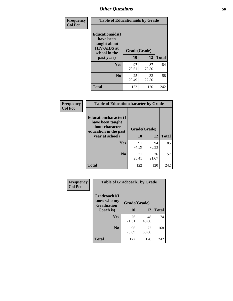| Frequency<br><b>Col Pct</b> | <b>Table of Educationaids by Grade</b>                                                                    |                    |              |     |  |  |  |
|-----------------------------|-----------------------------------------------------------------------------------------------------------|--------------------|--------------|-----|--|--|--|
|                             | <b>Educationaids</b> (I<br>have been<br>taught about<br><b>HIV/AIDS</b> at<br>school in the<br>past year) | Grade(Grade)<br>10 | <b>Total</b> |     |  |  |  |
|                             | Yes                                                                                                       | 97<br>79.51        | 87<br>72.50  | 184 |  |  |  |
|                             | N <sub>0</sub>                                                                                            | 25<br>20.49        | 33<br>27.50  | 58  |  |  |  |
|                             | <b>Total</b>                                                                                              | 122                | 120          | 242 |  |  |  |

| <b>Frequency</b> | <b>Table of Educationcharacter by Grade</b>                                          |              |             |              |  |
|------------------|--------------------------------------------------------------------------------------|--------------|-------------|--------------|--|
| <b>Col Pct</b>   | Educationcharacter(I<br>have been taught<br>about character<br>education in the past | Grade(Grade) |             |              |  |
|                  | year at school)                                                                      | 10           | 12          | <b>Total</b> |  |
|                  | Yes                                                                                  | 91<br>74.59  | 94<br>78.33 | 185          |  |
|                  | N <sub>0</sub>                                                                       | 31<br>25.41  | 26<br>21.67 | 57           |  |
|                  | <b>Total</b>                                                                         | 122          | 120         | 242          |  |

| Frequency<br><b>Col Pct</b> | <b>Table of Gradcoach1 by Grade</b>              |              |             |              |  |
|-----------------------------|--------------------------------------------------|--------------|-------------|--------------|--|
|                             | Gradcoach1(I<br>know who my<br><b>Graduation</b> | Grade(Grade) |             |              |  |
|                             | Coach is)                                        | 10           | 12          | <b>Total</b> |  |
|                             | Yes                                              | 26<br>21.31  | 48<br>40.00 | 74           |  |
|                             | N <sub>0</sub>                                   | 96<br>78.69  | 72<br>60.00 | 168          |  |
|                             | <b>Total</b>                                     | 122          | 120         | 242          |  |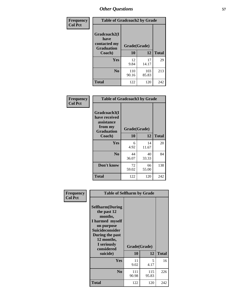| Frequency      | <b>Table of Gradcoach2 by Grade</b>  |              |              |              |
|----------------|--------------------------------------|--------------|--------------|--------------|
| <b>Col Pct</b> | Gradcoach2(I<br>have<br>contacted my |              |              |              |
|                | <b>Graduation</b>                    | Grade(Grade) |              |              |
|                | Coach)                               | 10           | 12           | <b>Total</b> |
|                | Yes                                  | 12<br>9.84   | 17<br>14.17  | 29           |
|                | N <sub>0</sub>                       | 110<br>90.16 | 103<br>85.83 | 213          |
|                | <b>Total</b>                         | 122          | 120          | 242          |

| <b>Frequency</b><br><b>Col Pct</b> |                                                                             | <b>Table of Gradcoach3 by Grade</b> |             |              |  |  |
|------------------------------------|-----------------------------------------------------------------------------|-------------------------------------|-------------|--------------|--|--|
|                                    | Gradcoach3(I<br>have received<br>assistance<br>from my<br><b>Graduation</b> | Grade(Grade)                        |             |              |  |  |
|                                    | Coach)                                                                      | 10                                  | 12          | <b>Total</b> |  |  |
|                                    | Yes                                                                         | 6<br>4.92                           | 14<br>11.67 | 20           |  |  |
|                                    | N <sub>0</sub>                                                              | 44<br>36.07                         | 40<br>33.33 | 84           |  |  |
|                                    | Don't know                                                                  | 72<br>59.02                         | 66<br>55.00 | 138          |  |  |
|                                    | <b>Total</b>                                                                | 122                                 | 120         | 242          |  |  |

| Frequency      | <b>Table of Selfharm by Grade</b>                                                                                                                                                      |              |                    |              |
|----------------|----------------------------------------------------------------------------------------------------------------------------------------------------------------------------------------|--------------|--------------------|--------------|
| <b>Col Pct</b> | <b>Selfharm</b> (During<br>the past 12<br>months,<br>I harmed myself<br>on purpose<br><b>Suicideconsider</b><br>During the past<br>12 months,<br>I seriously<br>considered<br>suicide) | 10           | Grade(Grade)<br>12 | <b>Total</b> |
|                | Yes                                                                                                                                                                                    | 11<br>9.02   | 5<br>4.17          | 16           |
|                | N <sub>0</sub>                                                                                                                                                                         | 111<br>90.98 | 115<br>95.83       | 226          |
|                | Total                                                                                                                                                                                  | 122          | 120                | 242          |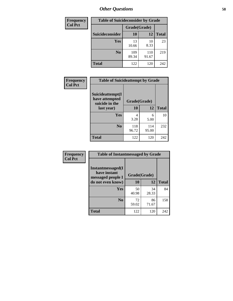| <b>Frequency</b> | <b>Table of Suicideconsider by Grade</b> |              |              |              |  |
|------------------|------------------------------------------|--------------|--------------|--------------|--|
| <b>Col Pct</b>   |                                          | Grade(Grade) |              |              |  |
|                  | <b>Suicideconsider</b>                   | <b>10</b>    | 12           | <b>Total</b> |  |
|                  | <b>Yes</b>                               | 13<br>10.66  | 10<br>8.33   | 23           |  |
|                  | N <sub>0</sub>                           | 109<br>89.34 | 110<br>91.67 | 219          |  |
|                  | <b>Total</b>                             | 122          | 120          | 242          |  |

| Frequency      | <b>Table of Suicideattempt by Grade</b>              |              |              |              |
|----------------|------------------------------------------------------|--------------|--------------|--------------|
| <b>Col Pct</b> | Suicideattempt(I<br>have attempted<br>suicide in the | Grade(Grade) |              |              |
|                | last year)                                           | 10           | 12           | <b>Total</b> |
|                | Yes                                                  | 4<br>3.28    | 6<br>5.00    | 10           |
|                | N <sub>0</sub>                                       | 118<br>96.72 | 114<br>95.00 | 232          |
|                | <b>Total</b>                                         | 122          | 120          | 242          |

| Frequency      | <b>Table of Instantmessaged by Grade</b>                       |              |             |              |  |
|----------------|----------------------------------------------------------------|--------------|-------------|--------------|--|
| <b>Col Pct</b> | <b>Instantmessaged</b> (I<br>have instant<br>messaged people I | Grade(Grade) |             |              |  |
|                | do not even know)                                              | 10           | 12          | <b>Total</b> |  |
|                | Yes                                                            | 50<br>40.98  | 34<br>28.33 | 84           |  |
|                | N <sub>0</sub>                                                 | 72<br>59.02  | 86<br>71.67 | 158          |  |
|                | <b>Total</b>                                                   | 122          | 120         | 242          |  |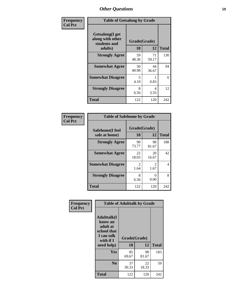| Frequency      | <b>Table of Getsalong by Grade</b>                          |             |              |              |  |
|----------------|-------------------------------------------------------------|-------------|--------------|--------------|--|
| <b>Col Pct</b> | <b>Getsalong</b> (I get<br>along with other<br>students and |             | Grade(Grade) |              |  |
|                | adults)                                                     | 10          | 12           | <b>Total</b> |  |
|                | <b>Strongly Agree</b>                                       | 59<br>48.36 | 71<br>59.17  | 130          |  |
|                | <b>Somewhat Agree</b>                                       | 50<br>40.98 | 44<br>36.67  | 94           |  |
|                | <b>Somewhat Disagree</b>                                    | 5<br>4.10   | 0.83         | 6            |  |
|                | <b>Strongly Disagree</b>                                    | 8<br>6.56   | 4<br>3.33    | 12           |  |
|                | <b>Total</b>                                                | 122         | 120          | 242          |  |

| Frequency      | <b>Table of Safehome by Grade</b> |                           |                        |                |  |
|----------------|-----------------------------------|---------------------------|------------------------|----------------|--|
| <b>Col Pct</b> | Safehome(I feel<br>safe at home)  | Grade(Grade)<br><b>10</b> | 12                     | <b>Total</b>   |  |
|                | <b>Strongly Agree</b>             | 90<br>73.77               | 98<br>81.67            | 188            |  |
|                | <b>Somewhat Agree</b>             | 22<br>18.03               | 20<br>16.67            | 42             |  |
|                | <b>Somewhat Disagree</b>          | $\mathcal{L}$<br>1.64     | $\mathfrak{D}$<br>1.67 | $\overline{4}$ |  |
|                | <b>Strongly Disagree</b>          | 8<br>6.56                 | 0.00                   | 8              |  |
|                | <b>Total</b>                      | 122                       | 120                    | 242            |  |

| Frequency      | <b>Table of Adulttalk by Grade</b>                                                                |                    |             |              |  |
|----------------|---------------------------------------------------------------------------------------------------|--------------------|-------------|--------------|--|
| <b>Col Pct</b> | <b>Adulttalk(I</b><br>know an<br>adult at<br>school that<br>I can talk<br>with if I<br>need help) | Grade(Grade)<br>10 | 12          | <b>Total</b> |  |
|                |                                                                                                   |                    |             |              |  |
|                | <b>Yes</b>                                                                                        | 85<br>69.67        | 98<br>81.67 | 183          |  |
|                | N <sub>0</sub>                                                                                    | 37<br>30.33        | 22<br>18.33 | 59           |  |
|                | <b>Total</b>                                                                                      | 122                | 120         | 242          |  |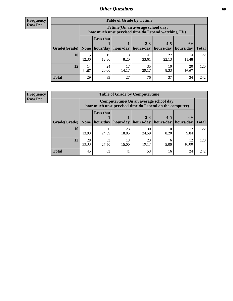**Frequency Row Pct**

| <b>Table of Grade by Tytime</b> |             |                                                                                         |                     |             |                       |             |              |
|---------------------------------|-------------|-----------------------------------------------------------------------------------------|---------------------|-------------|-----------------------|-------------|--------------|
|                                 |             | Tytime (On an average school day,<br>how much unsupervised time do I spend watching TV) |                     |             |                       |             |              |
|                                 |             | <b>Less that</b><br>$2 - 3$<br>$4 - 5$<br>$6+$                                          |                     |             |                       |             |              |
| Grade(Grade)   None             |             |                                                                                         | hour/day   hour/day | hours/day   | hours/day   hours/day |             | <b>Total</b> |
| 10                              | 15<br>12.30 | 15<br>12.30                                                                             | 10<br>8.20          | 41<br>33.61 | 27<br>22.13           | 14<br>11.48 | 122          |
| 12                              | 14<br>11.67 | 24<br>20.00                                                                             | 17<br>14.17         | 35<br>29.17 | 10<br>8.33            | 20<br>16.67 | 120          |
| <b>Total</b>                    | 29          | 39                                                                                      | 27                  | 76          | 37                    | 34          | 242          |

**Frequency Row Pct**

| <b>Table of Grade by Computertime</b> |             |                                                                                                                               |             |             |            |            |     |  |  |
|---------------------------------------|-------------|-------------------------------------------------------------------------------------------------------------------------------|-------------|-------------|------------|------------|-----|--|--|
|                                       |             | Computertime (On an average school day,<br>how much unsupervised time do I spend on the computer)                             |             |             |            |            |     |  |  |
| Grade(Grade)                          | None        | <b>Less that</b><br>$4 - 5$<br>$2 - 3$<br>$6+$<br>hour/day<br>hours/day<br>hour/day<br>hours/day<br>hours/day<br><b>Total</b> |             |             |            |            |     |  |  |
| 10                                    | 17<br>13.93 | 30<br>24.59                                                                                                                   | 23<br>18.85 | 30<br>24.59 | 10<br>8.20 | 12<br>9.84 | 122 |  |  |
| 12                                    | 28<br>23.33 | 33<br>23<br>18<br>12<br>6<br>19.17<br>10.00<br>27.50<br>15.00<br>5.00                                                         |             |             |            |            |     |  |  |
| <b>Total</b>                          | 45          | 63                                                                                                                            | 41          | 53          | 16         | 24         | 242 |  |  |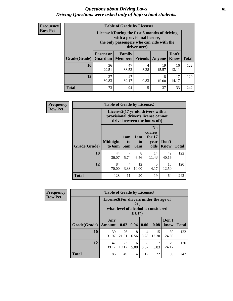### *Questions about Driving Laws* **61** *Driving Questions were asked only of high school students.*

| <b>Frequency</b> |
|------------------|
| <b>Row Pct</b>   |

| <b>Table of Grade by License1</b> |                                                                                                                                           |                     |                |             |               |              |  |  |  |
|-----------------------------------|-------------------------------------------------------------------------------------------------------------------------------------------|---------------------|----------------|-------------|---------------|--------------|--|--|--|
|                                   | License1(During the first 6 months of driving<br>with a provisional license,<br>the only passengers who can ride with the<br>driver are:) |                     |                |             |               |              |  |  |  |
| <b>Grade</b> (Grade)              | <b>Parent or</b><br><b>Guardian</b>                                                                                                       | Family<br>  Members | <b>Friends</b> | Anyone      | Don't<br>Know | <b>Total</b> |  |  |  |
| <b>10</b>                         | 36<br>29.51                                                                                                                               | 47<br>38.52         | 4<br>3.28      | 19<br>15.57 | 16<br>13.11   | 122          |  |  |  |
| 12                                | 37<br>47<br>18<br>17<br>30.83<br>0.83<br>39.17<br>14.17<br>15.00                                                                          |                     |                |             |               |              |  |  |  |
| <b>Total</b>                      | 73                                                                                                                                        | 94                  | 5              | 37          | 33            | 242          |  |  |  |

| Frequency      |                                                                                                          | <b>Table of Grade by License2</b> |                              |                  |                                                      |                      |              |
|----------------|----------------------------------------------------------------------------------------------------------|-----------------------------------|------------------------------|------------------|------------------------------------------------------|----------------------|--------------|
| <b>Row Pct</b> | License2(17 yr old drivers with a<br>provisional driver's license cannot<br>drive between the hours of:) |                                   |                              |                  |                                                      |                      |              |
|                | Grade(Grade)                                                                                             | <b>Midnight</b><br>to 6am         | 1am<br>t <sub>0</sub><br>5am | 1am<br>to<br>6am | N <sub>0</sub><br>curfew<br>for $17$<br>year<br>olds | Don't<br><b>Know</b> | <b>Total</b> |
|                | 10                                                                                                       | 44<br>36.07                       | 7<br>5.74                    | 8<br>6.56        | 14<br>11.48                                          | 49<br>40.16          | 122          |
|                | 12                                                                                                       | 84<br>70.00                       | 4<br>3.33                    | 12<br>10.00      | 5<br>4.17                                            | 15<br>12.50          | 120          |
|                | <b>Total</b>                                                                                             | 128                               | 11                           | 20               | 19                                                   | 64                   | 242          |

| Frequency      |              | <b>Table of Grade by License3</b>                                                            |             |           |                        |             |               |              |
|----------------|--------------|----------------------------------------------------------------------------------------------|-------------|-----------|------------------------|-------------|---------------|--------------|
| <b>Row Pct</b> |              | License3(For drivers under the age of<br>21,<br>what level of alcohol is considered<br>DUI?) |             |           |                        |             |               |              |
|                | Grade(Grade) | Any<br><b>Amount</b>                                                                         | 0.02        | 0.04      | 0.06                   | 0.08        | Don't<br>know | <b>Total</b> |
|                | 10           | 39<br>31.97                                                                                  | 26<br>21.31 | 8<br>6.56 | $\overline{4}$<br>3.28 | 15<br>12.30 | 30<br>24.59   | 122          |
|                | 12           | 47<br>39.17                                                                                  | 23<br>19.17 | 6<br>5.00 | 8<br>6.67              | 7<br>5.83   | 29<br>24.17   | 120          |
|                | <b>Total</b> | 86                                                                                           | 49          | 14        | 12                     | 22          | 59            | 242          |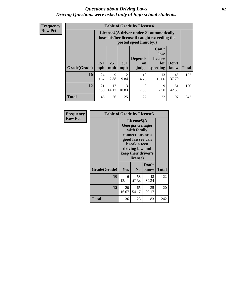### *Questions about Driving Laws* **62** *Driving Questions were asked only of high school students.*

**Frequency Row Pct**

| <b>Table of Grade by License4</b> |             |                                                                                                                                                                                                                                                                                       |             |             |             |             |     |  |
|-----------------------------------|-------------|---------------------------------------------------------------------------------------------------------------------------------------------------------------------------------------------------------------------------------------------------------------------------------------|-------------|-------------|-------------|-------------|-----|--|
|                                   |             | License4(A driver under 21 automatically<br>loses his/her license if caught exceeding the<br>posted speet limit by:)<br>Can't<br>lose<br><b>Depends</b><br>license<br>$15+$<br>$25+$<br>$35+$<br>Don't<br>for<br><b>on</b><br>speeding<br><b>Total</b><br>mph<br>know<br>mph<br>judge |             |             |             |             |     |  |
| Grade(Grade)                      | mph         |                                                                                                                                                                                                                                                                                       |             |             |             |             |     |  |
| 10                                | 24<br>19.67 | 9<br>7.38                                                                                                                                                                                                                                                                             | 12<br>9.84  | 18<br>14.75 | 13<br>10.66 | 46<br>37.70 | 122 |  |
| 12                                | 21<br>17.50 | 17<br>14.17                                                                                                                                                                                                                                                                           | 13<br>10.83 | 9<br>7.50   | 9<br>7.50   | 51<br>42.50 | 120 |  |
| <b>Total</b>                      | 45          | 26                                                                                                                                                                                                                                                                                    | 25          | 27          | 22          | 97          | 242 |  |

| Frequency      | <b>Table of Grade by License5</b> |                                                                                                                                                             |                |               |              |
|----------------|-----------------------------------|-------------------------------------------------------------------------------------------------------------------------------------------------------------|----------------|---------------|--------------|
| <b>Row Pct</b> |                                   | License5(A)<br>Georgia teenager<br>with family<br>connections or a<br>good lawyer can<br>break a teen<br>driving law and<br>keep their driver's<br>license) |                |               |              |
|                | Grade(Grade)                      | Yes                                                                                                                                                         | N <sub>0</sub> | Don't<br>know | <b>Total</b> |
|                | 10                                | 16<br>13.11                                                                                                                                                 | 58<br>47.54    | 48<br>39.34   | 122          |
|                | 12                                | 20<br>16.67                                                                                                                                                 | 65<br>54.17    | 35<br>29.17   | 120          |
|                | <b>Total</b>                      | 36                                                                                                                                                          | 123            | 83            | 242          |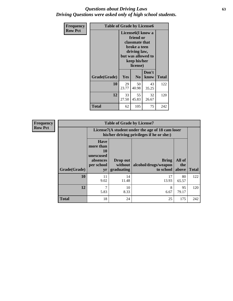### *Questions about Driving Laws* **63** *Driving Questions were asked only of high school students.*

| <b>Frequency</b> | <b>Table of Grade by License6</b> |                                                                                                                                                 |                |               |              |  |  |
|------------------|-----------------------------------|-------------------------------------------------------------------------------------------------------------------------------------------------|----------------|---------------|--------------|--|--|
| <b>Row Pct</b>   |                                   | License <sub>6</sub> (I know a<br>friend or<br>classmate that<br>broke a teen<br>driving law,<br>but was allowed to<br>keep his/her<br>license) |                |               |              |  |  |
|                  | Grade(Grade)                      | Yes                                                                                                                                             | N <sub>0</sub> | Don't<br>know | <b>Total</b> |  |  |
|                  | 10                                | 29<br>23.77                                                                                                                                     | 50<br>40.98    | 43<br>35.25   | 122          |  |  |
|                  | 12                                | 33<br>27.50                                                                                                                                     | 55<br>45.83    | 32<br>26.67   | 120          |  |  |
|                  | <b>Total</b>                      | 62                                                                                                                                              | 105            | 75            | 242          |  |  |

| <b>Frequency</b> | <b>Table of Grade by License7</b> |                                                                             |                                                                                               |                                            |                        |              |  |  |  |  |
|------------------|-----------------------------------|-----------------------------------------------------------------------------|-----------------------------------------------------------------------------------------------|--------------------------------------------|------------------------|--------------|--|--|--|--|
| <b>Row Pct</b>   |                                   |                                                                             | License7(A student under the age of 18 cam loser<br>his/her driving privileges if he or she:) |                                            |                        |              |  |  |  |  |
|                  | Grade(Grade)                      | <b>Have</b><br>more than<br>10<br>unexcused<br>absences<br>per school<br>yr | Drop out<br>without  <br>graduating                                                           | Bring<br>alcohol/drugs/weapon<br>to school | All of<br>the<br>above | <b>Total</b> |  |  |  |  |
|                  | 10                                | 11<br>9.02                                                                  | 14<br>11.48                                                                                   | 17<br>13.93                                | 80<br>65.57            | 122          |  |  |  |  |
|                  | 12                                | 7<br>5.83                                                                   | 10<br>8.33                                                                                    | 8<br>6.67                                  | 95<br>79.17            | 120          |  |  |  |  |
|                  | <b>Total</b>                      | 18                                                                          | 24                                                                                            | 25                                         | 175                    | 242          |  |  |  |  |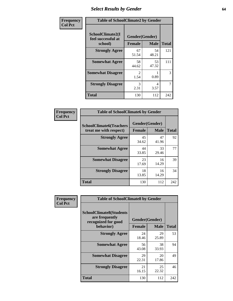# *Select Results by Gender* **64**

| Frequency      | <b>Table of SchoolClimate2 by Gender</b>          |                                 |             |              |  |  |
|----------------|---------------------------------------------------|---------------------------------|-------------|--------------|--|--|
| <b>Col Pct</b> | SchoolClimate2(I<br>feel successful at<br>school) | Gender(Gender)<br><b>Female</b> | <b>Male</b> | <b>Total</b> |  |  |
|                | <b>Strongly Agree</b>                             | 67<br>51.54                     | 54<br>48.21 | 121          |  |  |
|                | <b>Somewhat Agree</b>                             | 58<br>44.62                     | 53<br>47.32 | 111          |  |  |
|                | <b>Somewhat Disagree</b>                          | $\mathfrak{D}$<br>1.54          | 0.89        | 3            |  |  |
|                | <b>Strongly Disagree</b>                          | 3<br>2.31                       | 4<br>3.57   | 7            |  |  |
|                | <b>Total</b>                                      | 130                             | 112         | 242          |  |  |

| Frequency      | <b>Table of SchoolClimate6 by Gender</b>                 |                                 |             |              |  |  |  |  |
|----------------|----------------------------------------------------------|---------------------------------|-------------|--------------|--|--|--|--|
| <b>Col Pct</b> | <b>SchoolClimate6(Teachers</b><br>treat me with respect) | Gender(Gender)<br><b>Female</b> | <b>Male</b> | <b>Total</b> |  |  |  |  |
|                | <b>Strongly Agree</b>                                    | 45<br>34.62                     | 47<br>41.96 | 92           |  |  |  |  |
|                | <b>Somewhat Agree</b>                                    | 44<br>33.85                     | 33<br>29.46 | 77           |  |  |  |  |
|                | <b>Somewhat Disagree</b>                                 | 23<br>17.69                     | 16<br>14.29 | 39           |  |  |  |  |
|                | <b>Strongly Disagree</b>                                 | 18<br>13.85                     | 16<br>14.29 | 34           |  |  |  |  |
|                | <b>Total</b>                                             | 130                             | 112         | 242          |  |  |  |  |

| <b>Frequency</b> | <b>Table of SchoolClimate8 by Gender</b>                                             |                                 |              |     |
|------------------|--------------------------------------------------------------------------------------|---------------------------------|--------------|-----|
| <b>Col Pct</b>   | <b>SchoolClimate8(Students</b><br>are frequently<br>recognized for good<br>behavior) | Gender(Gender)<br><b>Female</b> | <b>Total</b> |     |
|                  |                                                                                      |                                 | <b>Male</b>  |     |
|                  | <b>Strongly Agree</b>                                                                | 24<br>18.46                     | 29<br>25.89  | 53  |
|                  | <b>Somewhat Agree</b>                                                                | 56<br>43.08                     | 38<br>33.93  | 94  |
|                  | <b>Somewhat Disagree</b>                                                             | 29<br>22.31                     | 20<br>17.86  | 49  |
|                  | <b>Strongly Disagree</b>                                                             | 21<br>16.15                     | 25<br>22.32  | 46  |
|                  | Total                                                                                | 130                             | 112          | 242 |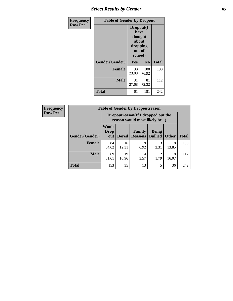# *Select Results by Gender* **65**

| <b>Frequency</b> | <b>Table of Gender by Dropout</b> |                                                                        |                |              |
|------------------|-----------------------------------|------------------------------------------------------------------------|----------------|--------------|
| <b>Row Pct</b>   |                                   | Dropout(I<br>have<br>thought<br>about<br>dropping<br>out of<br>school) |                |              |
|                  | Gender(Gender)                    | Yes                                                                    | N <sub>0</sub> | <b>Total</b> |
|                  | <b>Female</b>                     | 30<br>23.08                                                            | 100<br>76.92   | 130          |
|                  | <b>Male</b>                       | 31<br>27.68                                                            | 81<br>72.32    | 112          |
|                  | <b>Total</b>                      | 61                                                                     | 181            | 242          |

| Frequency<br><b>Row Pct</b> |  |
|-----------------------------|--|
|                             |  |

| <b>Table of Gender by Dropoutreason</b> |                                                                                                                                           |                                                                     |           |                                     |             |     |  |
|-----------------------------------------|-------------------------------------------------------------------------------------------------------------------------------------------|---------------------------------------------------------------------|-----------|-------------------------------------|-------------|-----|--|
|                                         |                                                                                                                                           | Dropoutreason (If I dropped out the<br>reason would most likely be) |           |                                     |             |     |  |
| Gender(Gender)                          | Won't<br><b>Being</b><br>Family<br><b>Drop</b><br><b>Bullied</b><br><b>Total</b><br><b>Other</b><br><b>Bored</b><br><b>Reasons</b><br>out |                                                                     |           |                                     |             |     |  |
| <b>Female</b>                           | 84<br>64.62                                                                                                                               | 16<br>12.31                                                         | 9<br>6.92 | 2.31                                | 18<br>13.85 | 130 |  |
| <b>Male</b>                             | 69<br>61.61                                                                                                                               | 19<br>16.96                                                         | 4<br>3.57 | $\mathcal{D}_{\mathcal{L}}$<br>1.79 | 18<br>16.07 | 112 |  |
| <b>Total</b>                            | 153                                                                                                                                       | 35                                                                  | 13        | 5                                   | 36          | 242 |  |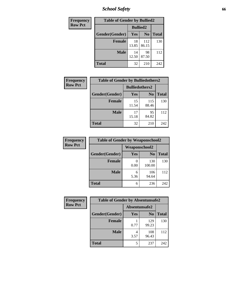*School Safety* **66**

| Frequency      | <b>Table of Gender by Bullied2</b> |                 |                |              |
|----------------|------------------------------------|-----------------|----------------|--------------|
| <b>Row Pct</b> |                                    | <b>Bullied2</b> |                |              |
|                | Gender(Gender)                     | Yes             | N <sub>0</sub> | <b>Total</b> |
|                | <b>Female</b>                      | 18<br>13.85     | 112<br>86.15   | 130          |
|                | <b>Male</b>                        | 14<br>12.50     | 98<br>87.50    | 112          |
|                | <b>Total</b>                       | 32              | 210            | 242          |

| <b>Frequency</b> | <b>Table of Gender by Bulliedothers2</b> |                       |                |              |
|------------------|------------------------------------------|-----------------------|----------------|--------------|
| <b>Row Pct</b>   |                                          | <b>Bulliedothers2</b> |                |              |
|                  | Gender(Gender)                           | <b>Yes</b>            | N <sub>0</sub> | <b>Total</b> |
|                  | <b>Female</b>                            | 15<br>11.54           | 115<br>88.46   | 130          |
|                  | <b>Male</b>                              | 17<br>15.18           | 95<br>84.82    | 112          |
|                  | <b>Total</b>                             | 32                    | 210            | 242          |

| Frequency      | <b>Table of Gender by Weaponschool2</b> |                      |                |              |
|----------------|-----------------------------------------|----------------------|----------------|--------------|
| <b>Row Pct</b> |                                         | <b>Weaponschool2</b> |                |              |
|                | Gender(Gender)                          | Yes                  | N <sub>0</sub> | <b>Total</b> |
|                | <b>Female</b>                           | 0.00                 | 130<br>100.00  | 130          |
|                | <b>Male</b>                             | 6<br>5.36            | 106<br>94.64   | 112          |
|                | <b>Total</b>                            | 6                    | 236            | 242          |

| Frequency      | <b>Table of Gender by Absentunsafe2</b> |               |                |              |
|----------------|-----------------------------------------|---------------|----------------|--------------|
| <b>Row Pct</b> |                                         | Absentunsafe2 |                |              |
|                | Gender(Gender)                          | Yes           | N <sub>0</sub> | <b>Total</b> |
|                | <b>Female</b>                           | 0.77          | 129<br>99.23   | 130          |
|                | <b>Male</b>                             | 3.57          | 108<br>96.43   | 112          |
|                | <b>Total</b>                            |               | 237            | 242          |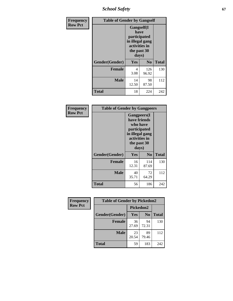*School Safety* **67**

| Frequency      | <b>Table of Gender by Gangself</b> |                                                                                                        |              |              |
|----------------|------------------------------------|--------------------------------------------------------------------------------------------------------|--------------|--------------|
| <b>Row Pct</b> |                                    | <b>Gangself</b> (I<br>have<br>participated<br>in illegal gang<br>activities in<br>the past 30<br>days) |              |              |
|                | Gender(Gender)                     | Yes                                                                                                    | $\bf No$     | <b>Total</b> |
|                | <b>Female</b>                      | 4<br>3.08                                                                                              | 126<br>96.92 | 130          |
|                | <b>Male</b>                        | 14<br>12.50                                                                                            | 98<br>87.50  | 112          |
|                | <b>Total</b>                       | 18                                                                                                     | 224          | 242          |

| Frequency      |                | <b>Table of Gender by Gangpeers</b>                                                                             |                |              |
|----------------|----------------|-----------------------------------------------------------------------------------------------------------------|----------------|--------------|
| <b>Row Pct</b> |                | <b>Gangpeers</b> (I<br>have friends<br>participated<br>in illegal gang<br>activities in<br>the past 30<br>days) | who have       |              |
|                | Gender(Gender) | Yes                                                                                                             | N <sub>0</sub> | <b>Total</b> |
|                | <b>Female</b>  | 16<br>12.31                                                                                                     | 114<br>87.69   | 130          |
|                | <b>Male</b>    | 40<br>35.71                                                                                                     | 72<br>64.29    | 112          |
|                | Total          | 56                                                                                                              | 186            | 242          |

| Frequency      | <b>Table of Gender by Pickedon2</b> |             |                |              |
|----------------|-------------------------------------|-------------|----------------|--------------|
| <b>Row Pct</b> |                                     | Pickedon2   |                |              |
|                | Gender(Gender)                      | <b>Yes</b>  | N <sub>0</sub> | <b>Total</b> |
|                | <b>Female</b>                       | 36<br>27.69 | 94<br>72.31    | 130          |
|                | <b>Male</b>                         | 23<br>20.54 | 89<br>79.46    | 112          |
|                | <b>Total</b>                        | 59          | 183            | 242          |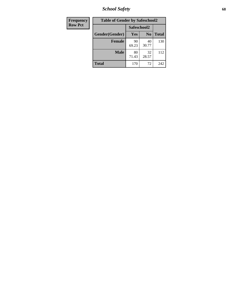*School Safety* **68**

| Frequency      | <b>Table of Gender by Safeschool2</b> |             |                |              |  |
|----------------|---------------------------------------|-------------|----------------|--------------|--|
| <b>Row Pct</b> |                                       | Safeschool2 |                |              |  |
|                | Gender(Gender)                        | <b>Yes</b>  | N <sub>0</sub> | <b>Total</b> |  |
|                | <b>Female</b>                         | 90<br>69.23 | 40<br>30.77    | 130          |  |
|                | <b>Male</b>                           | 80<br>71.43 | 32<br>28.57    | 112          |  |
|                | <b>Total</b>                          | 170         | 72             | 242          |  |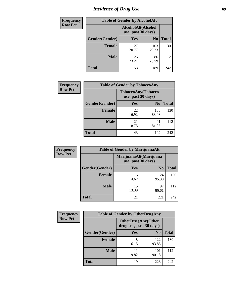# *Incidence of Drug Use* 69

| <b>Frequency</b> | <b>Table of Gender by AlcoholAlt</b> |                                          |                |              |
|------------------|--------------------------------------|------------------------------------------|----------------|--------------|
| <b>Row Pct</b>   |                                      | AlcoholAlt(Alcohol<br>use, past 30 days) |                |              |
|                  | Gender(Gender)                       | <b>Yes</b>                               | N <sub>0</sub> | <b>Total</b> |
|                  | <b>Female</b>                        | 27<br>20.77                              | 103<br>79.23   | 130          |
|                  | <b>Male</b>                          | 26<br>23.21                              | 86<br>76.79    | 112          |
|                  | <b>Total</b>                         | 53                                       | 189            | 242          |

| <b>Frequency</b> | <b>Table of Gender by TobaccoAny</b> |                                          |                |              |
|------------------|--------------------------------------|------------------------------------------|----------------|--------------|
| <b>Row Pct</b>   |                                      | TobaccoAny(Tobacco<br>use, past 30 days) |                |              |
|                  | Gender(Gender)                       | Yes                                      | N <sub>0</sub> | <b>Total</b> |
|                  | <b>Female</b>                        | 22<br>16.92                              | 108<br>83.08   | 130          |
|                  | <b>Male</b>                          | 21<br>18.75                              | 91<br>81.25    | 112          |
|                  | <b>Total</b>                         | 43                                       | 199            | 242          |

| <b>Frequency</b> | <b>Table of Gender by MarijuanaAlt</b> |                        |                    |              |
|------------------|----------------------------------------|------------------------|--------------------|--------------|
| <b>Row Pct</b>   |                                        | MarijuanaAlt(Marijuana | use, past 30 days) |              |
|                  | Gender(Gender)                         | <b>Yes</b>             | N <sub>0</sub>     | <b>Total</b> |
|                  | <b>Female</b>                          | 6<br>4.62              | 124<br>95.38       | 130          |
|                  | <b>Male</b>                            | 15<br>13.39            | 97<br>86.61        | 112          |
|                  | <b>Total</b>                           | 21                     | 221                | 242          |

| <b>Frequency</b> | <b>Table of Gender by OtherDrugAny</b> |                         |                            |              |
|------------------|----------------------------------------|-------------------------|----------------------------|--------------|
| <b>Row Pct</b>   |                                        | drug use, past 30 days) | <b>OtherDrugAny</b> (Other |              |
|                  | Gender(Gender)                         | <b>Yes</b>              | N <sub>0</sub>             | <b>Total</b> |
|                  | <b>Female</b>                          | 8<br>6.15               | 122<br>93.85               | 130          |
|                  | <b>Male</b>                            | 9.82                    | 101<br>90.18               | 112          |
|                  | <b>Total</b>                           | 19                      | 223                        | 242          |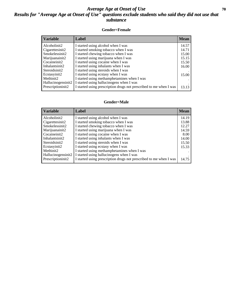### *Average Age at Onset of Use* 70 *Results for "Average Age at Onset of Use" questions exclude students who said they did not use that substance*

#### **Gender=Female**

| <b>Variable</b>    | Label                                                              | <b>Mean</b> |
|--------------------|--------------------------------------------------------------------|-------------|
| Alcoholinit2       | I started using alcohol when I was                                 | 14.57       |
| Cigarettesinit2    | I started smoking tobacco when I was                               | 14.71       |
| Smokelessinit2     | I started chewing tobacco when I was                               | 15.00       |
| Marijuanainit2     | I started using marijuana when I was                               | 15.15       |
| Cocaineinit2       | I started using cocaine when I was                                 | 15.50       |
| Inhalantsinit2     | I started using inhalants when I was                               | 16.00       |
| Steroidsinit2      | I started using steroids when I was                                |             |
| Ecstasyinit2       | I started using ecstasy when I was                                 | 15.00       |
| Methinit2          | I started using methamphetamines when I was                        |             |
| Hallucinogensinit2 | I started using hallucinogens when I was                           |             |
| Prescription in t2 | I started using prescription drugs not prescribed to me when I was | 13.13       |

#### **Gender=Male**

| <b>Variable</b>                 | Label                                                              | <b>Mean</b> |
|---------------------------------|--------------------------------------------------------------------|-------------|
| Alcoholinit2                    | I started using alcohol when I was                                 | 14.19       |
| Cigarettesinit2                 | I started smoking tobacco when I was                               | 13.88       |
| Smokelessinit2                  | I started chewing tobacco when I was                               | 12.27       |
| Marijuanainit2                  | I started using marijuana when I was                               | 14.59       |
| Cocaineinit2                    | I started using cocaine when I was                                 | 8.00        |
| Inhalantsinit2                  | I started using inhalants when I was                               | 14.00       |
| Steroidsinit2                   | I started using steroids when I was                                | 15.50       |
| Ecstasyinit2                    | I started using ecstasy when I was                                 | 15.33       |
| Methinit2                       | I started using methamphetamines when I was                        |             |
| Hallucinogensinit2              | I started using hallucinogens when I was                           |             |
| Prescription in it <sub>2</sub> | I started using prescription drugs not prescribed to me when I was | 14.75       |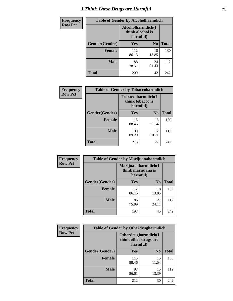# *I Think These Drugs are Harmful* **71**

| <b>Frequency</b> | <b>Table of Gender by Alcoholharmdich</b> |              |                                                   |              |
|------------------|-------------------------------------------|--------------|---------------------------------------------------|--------------|
| <b>Row Pct</b>   |                                           |              | Alcoholharmdich(I<br>think alcohol is<br>harmful) |              |
|                  | Gender(Gender)                            | Yes          | N <sub>0</sub>                                    | <b>Total</b> |
|                  | <b>Female</b>                             | 112<br>86.15 | 18<br>13.85                                       | 130          |
|                  | <b>Male</b>                               | 88<br>78.57  | 24<br>21.43                                       | 112          |
|                  | Total                                     | 200          | 42                                                | 242          |

| Frequency      | <b>Table of Gender by Tobaccoharmdich</b> |                              |                           |              |
|----------------|-------------------------------------------|------------------------------|---------------------------|--------------|
| <b>Row Pct</b> |                                           | think tobacco is<br>harmful) | <b>Tobaccoharmdich</b> (I |              |
|                | Gender(Gender)                            | Yes                          | N <sub>0</sub>            | <b>Total</b> |
|                | <b>Female</b>                             | 115<br>88.46                 | 15<br>11.54               | 130          |
|                | <b>Male</b>                               | 100<br>89.29                 | 12<br>10.71               | 112          |
|                | <b>Total</b>                              | 215                          | 27                        | 242          |

| Frequency      | <b>Table of Gender by Marijuanaharmdich</b> |                                |                     |              |  |
|----------------|---------------------------------------------|--------------------------------|---------------------|--------------|--|
| <b>Row Pct</b> |                                             | think marijuana is<br>harmful) | Marijuanaharmdich(I |              |  |
|                | Gender(Gender)                              | <b>Yes</b>                     | N <sub>0</sub>      | <b>Total</b> |  |
|                | <b>Female</b>                               | 112<br>86.15                   | 18<br>13.85         | 130          |  |
|                | <b>Male</b>                                 | 85<br>75.89                    | 27<br>24.11         | 112          |  |
|                | <b>Total</b>                                | 197                            | 45                  | 242          |  |

| <b>Frequency</b> | <b>Table of Gender by Otherdrugharmdich</b> |                                                          |                |              |  |
|------------------|---------------------------------------------|----------------------------------------------------------|----------------|--------------|--|
| <b>Row Pct</b>   |                                             | Otherdrugharmdich(I<br>think other drugs are<br>harmful) |                |              |  |
|                  | Gender(Gender)                              | Yes                                                      | N <sub>0</sub> | <b>Total</b> |  |
|                  | <b>Female</b>                               | 115<br>88.46                                             | 15<br>11.54    | 130          |  |
|                  | <b>Male</b>                                 | 97<br>86.61                                              | 15<br>13.39    | 112          |  |
|                  | <b>Total</b>                                | 212                                                      | 30             | 242          |  |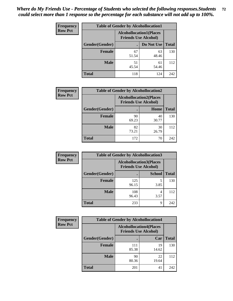| <b>Frequency</b> | <b>Table of Gender by Alcohollocation1</b> |                                                               |             |              |
|------------------|--------------------------------------------|---------------------------------------------------------------|-------------|--------------|
| <b>Row Pct</b>   |                                            | <b>Alcohollocation1(Places</b><br><b>Friends Use Alcohol)</b> |             |              |
|                  | Gender(Gender)                             |                                                               | Do Not Use  | <b>Total</b> |
|                  | <b>Female</b>                              | 67<br>51.54                                                   | 63<br>48.46 | 130          |
|                  | <b>Male</b>                                | 51<br>45.54                                                   | 61<br>54.46 | 112          |
|                  | <b>Total</b>                               | 118                                                           | 124         | 242          |

| <b>Frequency</b> | <b>Table of Gender by Alcohollocation2</b> |                                                               |             |              |
|------------------|--------------------------------------------|---------------------------------------------------------------|-------------|--------------|
| <b>Row Pct</b>   |                                            | <b>Alcohollocation2(Places</b><br><b>Friends Use Alcohol)</b> |             |              |
|                  | Gender(Gender)                             |                                                               | Home        | <b>Total</b> |
|                  | <b>Female</b>                              | 90<br>69.23                                                   | 40<br>30.77 | 130          |
|                  | <b>Male</b>                                | 82<br>73.21                                                   | 30<br>26.79 | 112          |
|                  | <b>Total</b>                               | 172                                                           | 70          | 242          |

| Frequency      | <b>Table of Gender by Alcohollocation3</b> |                                                               |               |              |
|----------------|--------------------------------------------|---------------------------------------------------------------|---------------|--------------|
| <b>Row Pct</b> |                                            | <b>Alcohollocation3(Places</b><br><b>Friends Use Alcohol)</b> |               |              |
|                | Gender(Gender)                             |                                                               | <b>School</b> | <b>Total</b> |
|                | <b>Female</b>                              | 125<br>96.15                                                  | 3.85          | 130          |
|                | <b>Male</b>                                | 108<br>96.43                                                  | 4<br>3.57     | 112          |
|                | <b>Total</b>                               | 233                                                           | 9             | 242          |

| <b>Frequency</b> | <b>Table of Gender by Alcohollocation4</b> |                                                               |             |              |
|------------------|--------------------------------------------|---------------------------------------------------------------|-------------|--------------|
| <b>Row Pct</b>   |                                            | <b>Alcohollocation4(Places</b><br><b>Friends Use Alcohol)</b> |             |              |
|                  | Gender(Gender)                             |                                                               | Car         | <b>Total</b> |
|                  | <b>Female</b>                              | 111<br>85.38                                                  | 19<br>14.62 | 130          |
|                  | <b>Male</b>                                | 90<br>80.36                                                   | 22<br>19.64 | 112          |
|                  | <b>Total</b>                               | 201                                                           | 41          | 242          |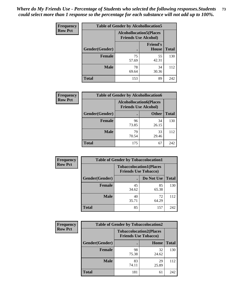| <b>Frequency</b> | <b>Table of Gender by Alcohollocation5</b> |             |                                                               |              |
|------------------|--------------------------------------------|-------------|---------------------------------------------------------------|--------------|
| <b>Row Pct</b>   |                                            |             | <b>Alcohollocation5(Places</b><br><b>Friends Use Alcohol)</b> |              |
|                  | Gender(Gender)                             | $\bullet$   | <b>Friend's</b><br>House                                      | <b>Total</b> |
|                  | <b>Female</b>                              | 75<br>57.69 | 55<br>42.31                                                   | 130          |
|                  | <b>Male</b>                                | 78<br>69.64 | 34<br>30.36                                                   | 112          |
|                  | <b>Total</b>                               | 153         | 89                                                            | 242          |

| Frequency      |                        | <b>Table of Gender by Alcohollocation6</b>                    |              |              |  |
|----------------|------------------------|---------------------------------------------------------------|--------------|--------------|--|
| <b>Row Pct</b> |                        | <b>Alcohollocation6(Places</b><br><b>Friends Use Alcohol)</b> |              |              |  |
|                | <b>Gender</b> (Gender) |                                                               | <b>Other</b> | <b>Total</b> |  |
|                | <b>Female</b>          | 96<br>73.85                                                   | 34<br>26.15  | 130          |  |
|                | <b>Male</b>            | 79<br>70.54                                                   | 33<br>29.46  | 112          |  |
|                | <b>Total</b>           | 175                                                           | 67           | 242          |  |

| Frequency      | <b>Table of Gender by Tobaccolocation1</b> |                                                               |             |              |  |
|----------------|--------------------------------------------|---------------------------------------------------------------|-------------|--------------|--|
| <b>Row Pct</b> |                                            | <b>Tobaccolocation1(Places</b><br><b>Friends Use Tobacco)</b> |             |              |  |
|                | Gender(Gender)                             |                                                               | Do Not Use  | <b>Total</b> |  |
|                | Female                                     | 45<br>34.62                                                   | 85<br>65.38 | 130          |  |
|                | <b>Male</b>                                | 40<br>35.71                                                   | 72<br>64.29 | 112          |  |
|                | <b>Total</b>                               | 85                                                            | 157         | 242          |  |

| Frequency      | <b>Table of Gender by Tobaccolocation2</b> |                             |                                |              |
|----------------|--------------------------------------------|-----------------------------|--------------------------------|--------------|
| <b>Row Pct</b> |                                            | <b>Friends Use Tobacco)</b> | <b>Tobaccolocation2(Places</b> |              |
|                | Gender(Gender)                             |                             | Home                           | <b>Total</b> |
|                | Female                                     | 98<br>75.38                 | 32<br>24.62                    | 130          |
|                | <b>Male</b>                                | 83<br>74.11                 | 29<br>25.89                    | 112          |
|                | <b>Total</b>                               | 181                         | 61                             | 242          |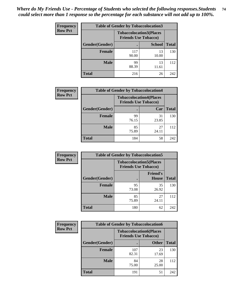| <b>Frequency</b> | <b>Table of Gender by Tobaccolocation3</b> |              |                                                               |              |
|------------------|--------------------------------------------|--------------|---------------------------------------------------------------|--------------|
| <b>Row Pct</b>   |                                            |              | <b>Tobaccolocation3(Places</b><br><b>Friends Use Tobacco)</b> |              |
|                  | Gender(Gender)                             |              | <b>School</b>                                                 | <b>Total</b> |
|                  | Female                                     | 117<br>90.00 | 13<br>10.00                                                   | 130          |
|                  | <b>Male</b>                                | 99<br>88.39  | 13<br>11.61                                                   | 112          |
|                  | <b>Total</b>                               | 216          | 26                                                            | 242          |

| <b>Frequency</b> | <b>Table of Gender by Tobaccolocation4</b> |                             |                                |              |
|------------------|--------------------------------------------|-----------------------------|--------------------------------|--------------|
| <b>Row Pct</b>   |                                            | <b>Friends Use Tobacco)</b> | <b>Tobaccolocation4(Places</b> |              |
|                  | Gender(Gender)                             |                             | Car                            | <b>Total</b> |
|                  | <b>Female</b>                              | 99<br>76.15                 | 31<br>23.85                    | 130          |
|                  | <b>Male</b>                                | 85<br>75.89                 | 27<br>24.11                    | 112          |
|                  | <b>Total</b>                               | 184                         | 58                             | 242          |

| <b>Frequency</b> | <b>Table of Gender by Tobaccolocation5</b> |                             |                                 |              |  |
|------------------|--------------------------------------------|-----------------------------|---------------------------------|--------------|--|
| <b>Row Pct</b>   |                                            | <b>Friends Use Tobacco)</b> | <b>Tobaccolocation5(Places</b>  |              |  |
|                  | Gender(Gender)                             |                             | <b>Friend's</b><br><b>House</b> | <b>Total</b> |  |
|                  | <b>Female</b>                              | 95<br>73.08                 | 35<br>26.92                     | 130          |  |
|                  | <b>Male</b>                                | 85<br>75.89                 | 27<br>24.11                     | 112          |  |
|                  | <b>Total</b>                               | 180                         | 62                              | 242          |  |

| <b>Frequency</b> | <b>Table of Gender by Tobaccolocation6</b> |              |                                                               |              |
|------------------|--------------------------------------------|--------------|---------------------------------------------------------------|--------------|
| <b>Row Pct</b>   |                                            |              | <b>Tobaccolocation6(Places</b><br><b>Friends Use Tobacco)</b> |              |
|                  | Gender(Gender)                             |              | <b>Other</b>                                                  | <b>Total</b> |
|                  | <b>Female</b>                              | 107<br>82.31 | 23<br>17.69                                                   | 130          |
|                  | <b>Male</b>                                | 84<br>75.00  | 28<br>25.00                                                   | 112          |
|                  | <b>Total</b>                               | 191          | 51                                                            | 242          |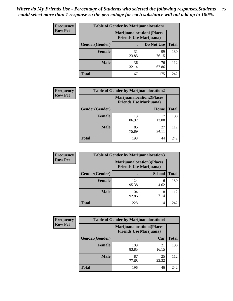| <b>Frequency</b> | <b>Table of Gender by Marijuanalocation1</b> |                                                                    |             |              |  |
|------------------|----------------------------------------------|--------------------------------------------------------------------|-------------|--------------|--|
| <b>Row Pct</b>   |                                              | <b>Marijuanalocation1(Places</b><br><b>Friends Use Marijuana</b> ) |             |              |  |
|                  | <b>Gender</b> (Gender)                       |                                                                    | Do Not Use  | <b>Total</b> |  |
|                  | <b>Female</b>                                | 31<br>23.85                                                        | 99<br>76.15 | 130          |  |
|                  | <b>Male</b>                                  | 36<br>32.14                                                        | 76<br>67.86 | 112          |  |
|                  | <b>Total</b>                                 | 67                                                                 | 175         | 242          |  |

| <b>Frequency</b> | <b>Table of Gender by Marijuanalocation2</b> |                                                                    |             |              |
|------------------|----------------------------------------------|--------------------------------------------------------------------|-------------|--------------|
| <b>Row Pct</b>   |                                              | <b>Marijuanalocation2(Places</b><br><b>Friends Use Marijuana</b> ) |             |              |
|                  | Gender(Gender)                               |                                                                    | Home        | <b>Total</b> |
|                  | Female                                       | 113<br>86.92                                                       | 17<br>13.08 | 130          |
|                  | <b>Male</b>                                  | 85<br>75.89                                                        | 27<br>24.11 | 112          |
|                  | <b>Total</b>                                 | 198                                                                | 44          | 242          |

| Frequency      | <b>Table of Gender by Marijuanalocation3</b> |                                                                     |               |              |
|----------------|----------------------------------------------|---------------------------------------------------------------------|---------------|--------------|
| <b>Row Pct</b> |                                              | <b>Marijuanalocation3(Places)</b><br><b>Friends Use Marijuana</b> ) |               |              |
|                | Gender(Gender)                               |                                                                     | <b>School</b> | <b>Total</b> |
|                | Female                                       | 124<br>95.38                                                        | 6<br>4.62     | 130          |
|                | <b>Male</b>                                  | 104<br>92.86                                                        | 7.14          | 112          |
|                | <b>Total</b>                                 | 228                                                                 | 14            | 242          |

| <b>Frequency</b> | <b>Table of Gender by Marijuanalocation4</b> |                                                                    |             |              |
|------------------|----------------------------------------------|--------------------------------------------------------------------|-------------|--------------|
| <b>Row Pct</b>   |                                              | <b>Marijuanalocation4(Places</b><br><b>Friends Use Marijuana</b> ) |             |              |
|                  | Gender(Gender)                               |                                                                    | Car         | <b>Total</b> |
|                  | Female                                       | 109<br>83.85                                                       | 21<br>16.15 | 130          |
|                  | <b>Male</b>                                  | 87<br>77.68                                                        | 25<br>22.32 | 112          |
|                  | <b>Total</b>                                 | 196                                                                | 46          | 242          |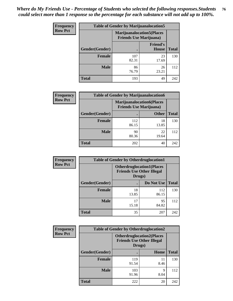| Frequency      | <b>Table of Gender by Marijuanalocation5</b> |                                                                    |                                 |              |
|----------------|----------------------------------------------|--------------------------------------------------------------------|---------------------------------|--------------|
| <b>Row Pct</b> |                                              | <b>Marijuanalocation5(Places</b><br><b>Friends Use Marijuana</b> ) |                                 |              |
|                | Gender(Gender)                               |                                                                    | <b>Friend's</b><br><b>House</b> | <b>Total</b> |
|                | <b>Female</b>                                | 107<br>82.31                                                       | 23<br>17.69                     | 130          |
|                | <b>Male</b>                                  | 86<br>76.79                                                        | 26<br>23.21                     | 112          |
|                | <b>Total</b>                                 | 193                                                                | 49                              | 242          |

| <b>Frequency</b> | <b>Table of Gender by Marijuanalocation6</b> |                                                                    |              |              |
|------------------|----------------------------------------------|--------------------------------------------------------------------|--------------|--------------|
| <b>Row Pct</b>   |                                              | <b>Marijuanalocation6(Places</b><br><b>Friends Use Marijuana</b> ) |              |              |
|                  | <b>Gender</b> (Gender)                       |                                                                    | <b>Other</b> | <b>Total</b> |
|                  | <b>Female</b>                                | 112<br>86.15                                                       | 18<br>13.85  | 130          |
|                  | <b>Male</b>                                  | 90<br>80.36                                                        | 22<br>19.64  | 112          |
|                  | <b>Total</b>                                 | 202                                                                | 40           | 242          |

| <b>Frequency</b> | <b>Table of Gender by Otherdruglocation1</b> |                                            |                                  |              |
|------------------|----------------------------------------------|--------------------------------------------|----------------------------------|--------------|
| <b>Row Pct</b>   |                                              | <b>Friends Use Other Illegal</b><br>Drugs) | <b>Otherdruglocation1(Places</b> |              |
|                  | Gender(Gender)                               |                                            | Do Not Use                       | <b>Total</b> |
|                  | Female                                       | 18<br>13.85                                | 112<br>86.15                     | 130          |
|                  | <b>Male</b>                                  | 17<br>15.18                                | 95<br>84.82                      | 112          |
|                  | <b>Total</b>                                 | 35                                         | 207                              | 242          |

| <b>Frequency</b> | <b>Table of Gender by Otherdruglocation2</b> |                                                                                |            |              |
|------------------|----------------------------------------------|--------------------------------------------------------------------------------|------------|--------------|
| <b>Row Pct</b>   |                                              | <b>Otherdruglocation2(Places</b><br><b>Friends Use Other Illegal</b><br>Drugs) |            |              |
|                  | Gender(Gender)                               |                                                                                | Home       | <b>Total</b> |
|                  | Female                                       | 119<br>91.54                                                                   | 11<br>8.46 | 130          |
|                  | <b>Male</b>                                  | 103<br>91.96                                                                   | 9<br>8.04  | 112          |
|                  | <b>Total</b>                                 | 222                                                                            | 20         | 242          |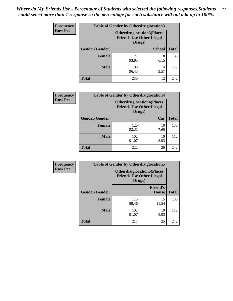| <b>Frequency</b> | <b>Table of Gender by Otherdruglocation3</b> |                                                                                |               |              |
|------------------|----------------------------------------------|--------------------------------------------------------------------------------|---------------|--------------|
| <b>Row Pct</b>   |                                              | <b>Otherdruglocation3(Places</b><br><b>Friends Use Other Illegal</b><br>Drugs) |               |              |
|                  | Gender(Gender)                               |                                                                                | <b>School</b> | <b>Total</b> |
|                  | <b>Female</b>                                | 122<br>93.85                                                                   | 8<br>6.15     | 130          |
|                  | <b>Male</b>                                  | 108<br>96.43                                                                   | 4<br>3.57     | 112          |
|                  | <b>Total</b>                                 | 230                                                                            | 12            | 242          |

| Frequency      | <b>Table of Gender by Otherdruglocation4</b> |              |                                                                      |              |
|----------------|----------------------------------------------|--------------|----------------------------------------------------------------------|--------------|
| <b>Row Pct</b> |                                              | Drugs)       | <b>Otherdruglocation4(Places</b><br><b>Friends Use Other Illegal</b> |              |
|                | Gender(Gender)                               |              | Car                                                                  | <b>Total</b> |
|                | <b>Female</b>                                | 120<br>92.31 | 10<br>7.69                                                           | 130          |
|                | <b>Male</b>                                  | 102<br>91.07 | 10<br>8.93                                                           | 112          |
|                | <b>Total</b>                                 | 222          | 20                                                                   | 242          |

| <b>Frequency</b> | <b>Table of Gender by Otherdruglocation5</b> |              |                                                                      |              |
|------------------|----------------------------------------------|--------------|----------------------------------------------------------------------|--------------|
| <b>Row Pct</b>   |                                              | Drugs)       | <b>Otherdruglocation5(Places</b><br><b>Friends Use Other Illegal</b> |              |
|                  | Gender(Gender)                               |              | <b>Friend's</b><br>House                                             | <b>Total</b> |
|                  | <b>Female</b>                                | 115<br>88.46 | 15<br>11.54                                                          | 130          |
|                  | <b>Male</b>                                  | 102<br>91.07 | 10<br>8.93                                                           | 112          |
|                  | <b>Total</b>                                 | 217          | 25                                                                   | 242          |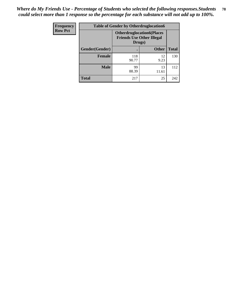| Frequency      | <b>Table of Gender by Otherdruglocation6</b> |                                                                                |              |              |
|----------------|----------------------------------------------|--------------------------------------------------------------------------------|--------------|--------------|
| <b>Row Pct</b> |                                              | <b>Otherdruglocation6(Places</b><br><b>Friends Use Other Illegal</b><br>Drugs) |              |              |
|                | Gender(Gender)                               |                                                                                | <b>Other</b> | <b>Total</b> |
|                | <b>Female</b>                                | 118<br>90.77                                                                   | 12<br>9.23   | 130          |
|                | <b>Male</b>                                  | 99<br>88.39                                                                    | 13<br>11.61  | 112          |
|                | <b>Total</b>                                 | 217                                                                            | 25           | 242          |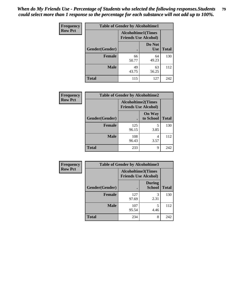| <b>Frequency</b> | <b>Table of Gender by Alcoholtime1</b> |                                                          |                      |              |
|------------------|----------------------------------------|----------------------------------------------------------|----------------------|--------------|
| <b>Row Pct</b>   |                                        | <b>Alcoholtime1(Times</b><br><b>Friends Use Alcohol)</b> |                      |              |
|                  | Gender(Gender)                         | $\bullet$                                                | Do Not<br><b>Use</b> | <b>Total</b> |
|                  | <b>Female</b>                          | 66<br>50.77                                              | 64<br>49.23          | 130          |
|                  | <b>Male</b>                            | 49<br>43.75                                              | 63<br>56.25          | 112          |
|                  | <b>Total</b>                           | 115                                                      | 127                  | 242          |

| Frequency      | <b>Table of Gender by Alcoholtime2</b> |                                                          |                            |              |
|----------------|----------------------------------------|----------------------------------------------------------|----------------------------|--------------|
| <b>Row Pct</b> |                                        | <b>Alcoholtime2(Times</b><br><b>Friends Use Alcohol)</b> |                            |              |
|                | Gender(Gender)                         |                                                          | <b>On Way</b><br>to School | <b>Total</b> |
|                | <b>Female</b>                          | 125<br>96.15                                             | 5<br>3.85                  | 130          |
|                | <b>Male</b>                            | 108<br>96.43                                             | 4<br>3.57                  | 112          |
|                | <b>Total</b>                           | 233                                                      | 9                          | 242          |

| Frequency      | <b>Table of Gender by Alcoholtime3</b> |                                                          |                                |              |
|----------------|----------------------------------------|----------------------------------------------------------|--------------------------------|--------------|
| <b>Row Pct</b> |                                        | <b>Alcoholtime3(Times</b><br><b>Friends Use Alcohol)</b> |                                |              |
|                | Gender(Gender)                         |                                                          | <b>During</b><br><b>School</b> | <b>Total</b> |
|                | Female                                 | 127<br>97.69                                             | 3<br>2.31                      | 130          |
|                | <b>Male</b>                            | 107<br>95.54                                             | 5<br>4.46                      | 112          |
|                | <b>Total</b>                           | 234                                                      | 8                              | 242          |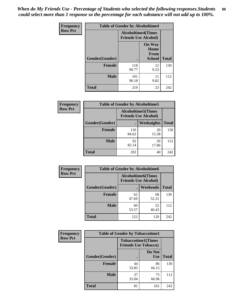*When do My Friends Use - Percentage of Students who selected the following responses.Students could select more than 1 response so the percentage for each substance will not add up to 100%.* **80**

| <b>Frequency</b> | <b>Table of Gender by Alcoholtime4</b> |                           |                                                       |              |
|------------------|----------------------------------------|---------------------------|-------------------------------------------------------|--------------|
| <b>Row Pct</b>   |                                        | <b>Alcoholtime4(Times</b> | <b>Friends Use Alcohol)</b>                           |              |
|                  | Gender(Gender)                         |                           | <b>On Way</b><br>Home<br><b>From</b><br><b>School</b> | <b>Total</b> |
|                  | <b>Female</b>                          | 118<br>90.77              | 12<br>9.23                                            | 130          |
|                  | <b>Male</b>                            | 101<br>90.18              | 11<br>9.82                                            | 112          |
|                  | <b>Total</b>                           | 219                       | 23                                                    | 242          |

| <b>Frequency</b> | <b>Table of Gender by Alcoholtime5</b> |                                                           |                   |              |
|------------------|----------------------------------------|-----------------------------------------------------------|-------------------|--------------|
| <b>Row Pct</b>   |                                        | <b>Alcoholtime5</b> (Times<br><b>Friends Use Alcohol)</b> |                   |              |
|                  | Gender(Gender)                         |                                                           | <b>Weeknights</b> | <b>Total</b> |
|                  | <b>Female</b>                          | 110<br>84.62                                              | 20<br>15.38       | 130          |
|                  | <b>Male</b>                            | 92<br>82.14                                               | 20<br>17.86       | 112          |
|                  | <b>Total</b>                           | 202                                                       | 40                | 242          |

| <b>Frequency</b> | <b>Table of Gender by Alcoholtime6</b> |             |                                                           |              |
|------------------|----------------------------------------|-------------|-----------------------------------------------------------|--------------|
| <b>Row Pct</b>   |                                        |             | <b>Alcoholtime6</b> (Times<br><b>Friends Use Alcohol)</b> |              |
|                  | Gender(Gender)                         |             | Weekends                                                  | <b>Total</b> |
|                  | Female                                 | 62<br>47.69 | 68<br>52.31                                               | 130          |
|                  | <b>Male</b>                            | 60<br>53.57 | 52<br>46.43                                               | 112          |
|                  | <b>Total</b>                           | 122         | 120                                                       | 242          |

| <b>Frequency</b> | <b>Table of Gender by Tobaccotime1</b> |                                                          |                      |              |
|------------------|----------------------------------------|----------------------------------------------------------|----------------------|--------------|
| <b>Row Pct</b>   |                                        | <b>Tobaccotime1(Times</b><br><b>Friends Use Tobacco)</b> |                      |              |
|                  | Gender(Gender)                         |                                                          | Do Not<br><b>Use</b> | <b>Total</b> |
|                  | Female                                 | 44<br>33.85                                              | 86<br>66.15          | 130          |
|                  | <b>Male</b>                            | 37<br>33.04                                              | 75<br>66.96          | 112          |
|                  | <b>Total</b>                           | 81                                                       | 161                  | 242          |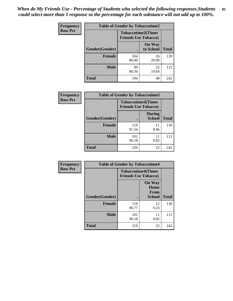| Frequency      | <b>Table of Gender by Tobaccotime2</b> |                                                          |                            |              |
|----------------|----------------------------------------|----------------------------------------------------------|----------------------------|--------------|
| <b>Row Pct</b> |                                        | <b>Tobaccotime2(Times</b><br><b>Friends Use Tobacco)</b> |                            |              |
|                | Gender(Gender)                         | $\bullet$                                                | <b>On Way</b><br>to School | <b>Total</b> |
|                | <b>Female</b>                          | 104<br>80.00                                             | 26<br>20.00                | 130          |
|                | <b>Male</b>                            | 90<br>80.36                                              | 22<br>19.64                | 112          |
|                | <b>Total</b>                           | 194                                                      | 48                         | 242          |

| Frequency      | <b>Table of Gender by Tobaccotime3</b>                   |              |                                |              |
|----------------|----------------------------------------------------------|--------------|--------------------------------|--------------|
| <b>Row Pct</b> | <b>Tobaccotime3(Times</b><br><b>Friends Use Tobacco)</b> |              |                                |              |
|                | Gender(Gender)                                           |              | <b>During</b><br><b>School</b> | <b>Total</b> |
|                | Female                                                   | 119<br>91.54 | 11<br>8.46                     | 130          |
|                | <b>Male</b>                                              | 101<br>90.18 | 11<br>9.82                     | 112          |
|                | <b>Total</b>                                             | 220          | 22                             | 242          |

| <b>Frequency</b> | <b>Table of Gender by Tobaccotime4</b> |                                                          |                                                |              |
|------------------|----------------------------------------|----------------------------------------------------------|------------------------------------------------|--------------|
| <b>Row Pct</b>   |                                        | <b>Tobaccotime4(Times</b><br><b>Friends Use Tobacco)</b> |                                                |              |
|                  | Gender(Gender)                         |                                                          | <b>On Way</b><br>Home<br>From<br><b>School</b> | <b>Total</b> |
|                  | <b>Female</b>                          | 118<br>90.77                                             | 12<br>9.23                                     | 130          |
|                  | <b>Male</b>                            | 101<br>90.18                                             | 11<br>9.82                                     | 112          |
|                  | <b>Total</b>                           | 219                                                      | 23                                             | 242          |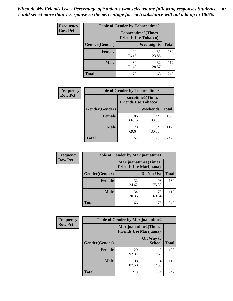| <b>Frequency</b> | <b>Table of Gender by Tobaccotime5</b> |             |                                                           |              |  |
|------------------|----------------------------------------|-------------|-----------------------------------------------------------|--------------|--|
| <b>Row Pct</b>   |                                        |             | <b>Tobaccotime5</b> (Times<br><b>Friends Use Tobacco)</b> |              |  |
|                  | <b>Gender</b> (Gender)                 |             | <b>Weeknights</b>                                         | <b>Total</b> |  |
|                  | <b>Female</b>                          | 99<br>76.15 | 31<br>23.85                                               | 130          |  |
|                  | <b>Male</b>                            | 80<br>71.43 | 32<br>28.57                                               | 112          |  |
|                  | <b>Total</b>                           | 179         | 63                                                        | 242          |  |

| <b>Frequency</b> | <b>Table of Gender by Tobaccotime6</b> |                             |                           |              |
|------------------|----------------------------------------|-----------------------------|---------------------------|--------------|
| <b>Row Pct</b>   |                                        | <b>Friends Use Tobacco)</b> | <b>Tobaccotime6(Times</b> |              |
|                  | Gender(Gender)                         |                             | Weekends                  | <b>Total</b> |
|                  | Female                                 | 86<br>66.15                 | 44<br>33.85               | 130          |
|                  | <b>Male</b>                            | 78<br>69.64                 | 34<br>30.36               | 112          |
|                  | <b>Total</b>                           | 164                         | 78                        | 242          |

| <b>Frequency</b> |                | <b>Table of Gender by Marijuanatime1</b> |                             |              |  |
|------------------|----------------|------------------------------------------|-----------------------------|--------------|--|
| <b>Row Pct</b>   |                | <b>Friends Use Marijuana</b> )           | <b>Marijuanatime1(Times</b> |              |  |
|                  | Gender(Gender) |                                          | Do Not Use                  | <b>Total</b> |  |
|                  | <b>Female</b>  | 32<br>24.62                              | 98<br>75.38                 | 130          |  |
|                  | <b>Male</b>    | 34<br>30.36                              | 78<br>69.64                 | 112          |  |
|                  | <b>Total</b>   | 66                                       | 176                         | 242          |  |

| <b>Frequency</b> | <b>Table of Gender by Marijuanatime2</b> |                                                               |                            |              |
|------------------|------------------------------------------|---------------------------------------------------------------|----------------------------|--------------|
| <b>Row Pct</b>   |                                          | <b>Marijuanatime2(Times</b><br><b>Friends Use Marijuana</b> ) |                            |              |
|                  | Gender(Gender)                           |                                                               | On Way to<br><b>School</b> | <b>Total</b> |
|                  | Female                                   | 120<br>92.31                                                  | 10<br>7.69                 | 130          |
|                  | <b>Male</b>                              | 98<br>87.50                                                   | 14<br>12.50                | 112          |
|                  | <b>Total</b>                             | 218                                                           | 24                         | 242          |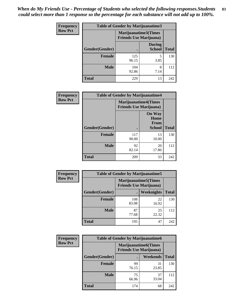| Frequency      | <b>Table of Gender by Marijuanatime3</b> |                                                        |                                |              |
|----------------|------------------------------------------|--------------------------------------------------------|--------------------------------|--------------|
| <b>Row Pct</b> |                                          | Marijuanatime3(Times<br><b>Friends Use Marijuana</b> ) |                                |              |
|                | Gender(Gender)                           |                                                        | <b>During</b><br><b>School</b> | <b>Total</b> |
|                | <b>Female</b>                            | 125<br>96.15                                           | 5<br>3.85                      | 130          |
|                | <b>Male</b>                              | 104<br>92.86                                           | 8<br>7.14                      | 112          |
|                | <b>Total</b>                             | 229                                                    | 13                             | 242          |

| Frequency      | <b>Table of Gender by Marijuanatime4</b> |                                |                                                       |              |
|----------------|------------------------------------------|--------------------------------|-------------------------------------------------------|--------------|
| <b>Row Pct</b> |                                          | <b>Friends Use Marijuana</b> ) | <b>Marijuanatime4</b> (Times                          |              |
|                | Gender(Gender)                           |                                | <b>On Way</b><br>Home<br><b>From</b><br><b>School</b> | <b>Total</b> |
|                | <b>Female</b>                            | 117<br>90.00                   | 13<br>10.00                                           | 130          |
|                | <b>Male</b>                              | 92<br>82.14                    | 20<br>17.86                                           | 112          |
|                | <b>Total</b>                             | 209                            | 33                                                    | 242          |

| Frequency      | <b>Table of Gender by Marijuanatime5</b> |                                                                |                   |              |  |  |
|----------------|------------------------------------------|----------------------------------------------------------------|-------------------|--------------|--|--|
| <b>Row Pct</b> |                                          | <b>Marijuanatime5</b> (Times<br><b>Friends Use Marijuana</b> ) |                   |              |  |  |
|                | Gender(Gender)                           |                                                                | <b>Weeknights</b> | <b>Total</b> |  |  |
|                | <b>Female</b>                            | 108<br>83.08                                                   | 22<br>16.92       | 130          |  |  |
|                | <b>Male</b>                              | 87<br>77.68                                                    | 25<br>22.32       | 112          |  |  |
|                | <b>Total</b>                             | 195                                                            | 47                | 242          |  |  |

| Frequency      |                |                                                               | <b>Table of Gender by Marijuanatime6</b> |              |  |  |
|----------------|----------------|---------------------------------------------------------------|------------------------------------------|--------------|--|--|
| <b>Row Pct</b> |                | <b>Marijuanatime6(Times</b><br><b>Friends Use Marijuana</b> ) |                                          |              |  |  |
|                | Gender(Gender) |                                                               | <b>Weekends</b>                          | <b>Total</b> |  |  |
|                | <b>Female</b>  | 99<br>76.15                                                   | 31<br>23.85                              | 130          |  |  |
|                | <b>Male</b>    | 75<br>66.96                                                   | 37<br>33.04                              | 112          |  |  |
|                | <b>Total</b>   | 174                                                           | 68                                       | 242          |  |  |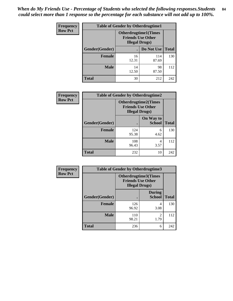*When do My Friends Use - Percentage of Students who selected the following responses.Students could select more than 1 response so the percentage for each substance will not add up to 100%.* **84**

| <b>Frequency</b> | <b>Table of Gender by Otherdrugtime1</b> |                                                                                    |              |              |  |
|------------------|------------------------------------------|------------------------------------------------------------------------------------|--------------|--------------|--|
| <b>Row Pct</b>   |                                          | <b>Otherdrugtime1</b> (Times<br><b>Friends Use Other</b><br><b>Illegal Drugs</b> ) |              |              |  |
|                  | <b>Gender</b> (Gender)                   |                                                                                    | Do Not Use   | <b>Total</b> |  |
|                  | <b>Female</b>                            | 16<br>12.31                                                                        | 114<br>87.69 | 130          |  |
|                  | <b>Male</b>                              | 14<br>12.50                                                                        | 98<br>87.50  | 112          |  |
|                  | <b>Total</b>                             | 30                                                                                 | 212          | 242          |  |

| Frequency      | <b>Table of Gender by Otherdrugtime2</b> |                                                                                   |                            |              |  |  |
|----------------|------------------------------------------|-----------------------------------------------------------------------------------|----------------------------|--------------|--|--|
| <b>Row Pct</b> |                                          | <b>Otherdrugtime2(Times</b><br><b>Friends Use Other</b><br><b>Illegal Drugs</b> ) |                            |              |  |  |
|                | <b>Gender</b> (Gender)                   |                                                                                   | On Way to<br><b>School</b> | <b>Total</b> |  |  |
|                | <b>Female</b>                            | 124<br>95.38                                                                      | 6<br>4.62                  | 130          |  |  |
|                | <b>Male</b>                              | 108<br>96.43                                                                      | 4<br>3.57                  | 112          |  |  |
|                | <b>Total</b>                             | 232                                                                               | 10                         | 242          |  |  |

| Frequency      | <b>Table of Gender by Otherdrugtime3</b> |                                                                                   |                                |              |  |
|----------------|------------------------------------------|-----------------------------------------------------------------------------------|--------------------------------|--------------|--|
| <b>Row Pct</b> |                                          | <b>Otherdrugtime3(Times</b><br><b>Friends Use Other</b><br><b>Illegal Drugs</b> ) |                                |              |  |
|                | Gender(Gender)                           |                                                                                   | <b>During</b><br><b>School</b> | <b>Total</b> |  |
|                | <b>Female</b>                            | 126<br>96.92                                                                      | 4<br>3.08                      | 130          |  |
|                | <b>Male</b>                              | 110<br>98.21                                                                      | $\overline{2}$<br>1.79         | 112          |  |
|                | <b>Total</b>                             | 236                                                                               | 6                              | 242          |  |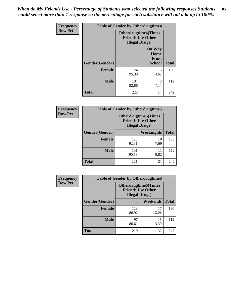*When do My Friends Use - Percentage of Students who selected the following responses.Students could select more than 1 response so the percentage for each substance will not add up to 100%.* **85**

| Frequency      | <b>Table of Gender by Otherdrugtime4</b> |                                                                                   |                                                       |              |  |  |
|----------------|------------------------------------------|-----------------------------------------------------------------------------------|-------------------------------------------------------|--------------|--|--|
| <b>Row Pct</b> |                                          | <b>Otherdrugtime4(Times</b><br><b>Friends Use Other</b><br><b>Illegal Drugs</b> ) |                                                       |              |  |  |
|                | Gender(Gender)                           |                                                                                   | <b>On Way</b><br>Home<br><b>From</b><br><b>School</b> | <b>Total</b> |  |  |
|                | <b>Female</b>                            | 124<br>95.38                                                                      | 6<br>4.62                                             | 130          |  |  |
|                | <b>Male</b>                              | 104<br>92.86                                                                      | 8<br>7.14                                             | 112          |  |  |
|                | <b>Total</b>                             | 228                                                                               | 14                                                    | 242          |  |  |

| Frequency      | <b>Table of Gender by Otherdrugtime5</b> |                                                                                    |            |              |  |
|----------------|------------------------------------------|------------------------------------------------------------------------------------|------------|--------------|--|
| <b>Row Pct</b> |                                          | <b>Otherdrugtime5</b> (Times<br><b>Friends Use Other</b><br><b>Illegal Drugs</b> ) |            |              |  |
|                | Gender(Gender)                           |                                                                                    | Weeknights | <b>Total</b> |  |
|                | <b>Female</b>                            | 120<br>92.31                                                                       | 10<br>7.69 | 130          |  |
|                | <b>Male</b>                              | 101<br>90.18                                                                       | 11<br>9.82 | 112          |  |
|                | <b>Total</b>                             | 221                                                                                | 21         | 242          |  |

| <b>Frequency</b> | <b>Table of Gender by Otherdrugtime6</b> |                                                                                   |             |              |  |
|------------------|------------------------------------------|-----------------------------------------------------------------------------------|-------------|--------------|--|
| <b>Row Pct</b>   |                                          | <b>Otherdrugtime6(Times</b><br><b>Friends Use Other</b><br><b>Illegal Drugs</b> ) |             |              |  |
|                  | Gender(Gender)                           |                                                                                   | Weekends    | <b>Total</b> |  |
|                  | <b>Female</b>                            | 113<br>86.92                                                                      | 17<br>13.08 | 130          |  |
|                  | <b>Male</b>                              | 97<br>86.61                                                                       | 15<br>13.39 | 112          |  |
|                  | <b>Total</b>                             | 210                                                                               | 32          | 242          |  |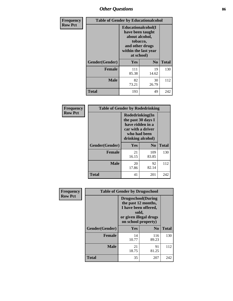# *Other Questions* **86**

| <b>Frequency</b> | <b>Table of Gender by Educationalcohol</b> |                                                                                                                                       |                |              |  |
|------------------|--------------------------------------------|---------------------------------------------------------------------------------------------------------------------------------------|----------------|--------------|--|
| <b>Row Pct</b>   |                                            | <b>Educationalcohol</b> (I<br>have been taught<br>about alcohol,<br>tobacco,<br>and other drugs<br>within the last year<br>at school) |                |              |  |
|                  | Gender(Gender)                             | <b>Yes</b>                                                                                                                            | N <sub>0</sub> | <b>Total</b> |  |
|                  | <b>Female</b>                              | 111<br>85.38                                                                                                                          | 19<br>14.62    | 130          |  |
|                  | <b>Male</b>                                | 82<br>73.21                                                                                                                           | 30<br>26.79    | 112          |  |
|                  | <b>Total</b>                               | 193                                                                                                                                   | 49             | 242          |  |

| Frequency      | <b>Table of Gender by Rodedrinking</b> |                                                                                                                     |                |              |  |  |
|----------------|----------------------------------------|---------------------------------------------------------------------------------------------------------------------|----------------|--------------|--|--|
| <b>Row Pct</b> |                                        | Rodedrinking(In<br>the past 30 days I<br>have ridden in a<br>car with a driver<br>who had been<br>drinking alcohol) |                |              |  |  |
|                | Gender(Gender)                         | Yes                                                                                                                 | N <sub>0</sub> | <b>Total</b> |  |  |
|                | <b>Female</b>                          | 21<br>16.15                                                                                                         | 109<br>83.85   | 130          |  |  |
|                | <b>Male</b>                            | 20<br>17.86                                                                                                         | 92<br>82.14    | 112          |  |  |
|                | <b>Total</b>                           | 41                                                                                                                  | 201            | 242          |  |  |

| Frequency      | <b>Table of Gender by Drugsschool</b> |                                                                                                                                     |                |              |  |
|----------------|---------------------------------------|-------------------------------------------------------------------------------------------------------------------------------------|----------------|--------------|--|
| <b>Row Pct</b> |                                       | <b>Drugsschool</b> (During<br>the past 12 months,<br>I have been offered,<br>sold,<br>or given illegal drugs<br>on school property) |                |              |  |
|                | Gender(Gender)                        | Yes                                                                                                                                 | N <sub>0</sub> | <b>Total</b> |  |
|                | <b>Female</b>                         | 14<br>10.77                                                                                                                         | 116<br>89.23   | 130          |  |
|                | <b>Male</b>                           | 21<br>18.75                                                                                                                         | 91<br>81.25    | 112          |  |
|                | <b>Total</b>                          | 35                                                                                                                                  | 207            | 242          |  |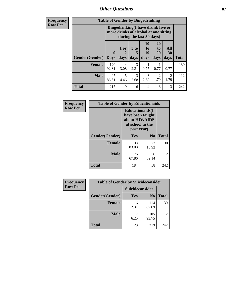*Other Questions* **87**

**Frequency Row Pct**

| <b>Table of Gender by Bingedrinking</b> |                             |                                                                                                         |              |                        |                                     |                   |              |
|-----------------------------------------|-----------------------------|---------------------------------------------------------------------------------------------------------|--------------|------------------------|-------------------------------------|-------------------|--------------|
|                                         |                             | Bingedrinking(I have drunk five or<br>more drinks of alcohol at one sitting<br>during the last 30 days) |              |                        |                                     |                   |              |
| <b>Gender</b> (Gender)                  | $\mathbf{0}$<br><b>Days</b> | 1 or<br>days                                                                                            | 3 to<br>days | 10<br>to<br>19<br>days | 20<br>to<br>29<br>days              | All<br>30<br>days | <b>Total</b> |
| <b>Female</b>                           | 120<br>92.31                | 4<br>3.08                                                                                               | 3<br>2.31    | 0.77                   | 0.77                                | 0.77              | 130          |
| <b>Male</b>                             | 97<br>86.61                 | $\overline{\mathcal{L}}$<br>4.46                                                                        | 3<br>2.68    | 3<br>2.68              | $\mathcal{D}_{\mathcal{L}}$<br>1.79 | 2<br>1.79         | 112          |
| <b>Total</b>                            | 217                         | 9                                                                                                       | 6            | $\overline{4}$         | 3                                   | 3                 | 242          |

| Frequency      | <b>Table of Gender by Educationaids</b> |                                                                                                 |                |              |
|----------------|-----------------------------------------|-------------------------------------------------------------------------------------------------|----------------|--------------|
| <b>Row Pct</b> |                                         | <b>Educationaids</b> (I<br>have been taught<br>about HIV/AIDS<br>at school in the<br>past year) |                |              |
|                | Gender(Gender)                          | Yes                                                                                             | N <sub>0</sub> | <b>Total</b> |
|                | <b>Female</b>                           | 108<br>83.08                                                                                    | 22<br>16.92    | 130          |
|                | <b>Male</b>                             | 76<br>67.86                                                                                     | 36<br>32.14    | 112          |
|                | <b>Total</b>                            | 184                                                                                             | 58             | 242          |

| <b>Frequency</b> | <b>Table of Gender by Suicideconsider</b> |                 |                |              |
|------------------|-------------------------------------------|-----------------|----------------|--------------|
| <b>Row Pct</b>   |                                           | Suicideconsider |                |              |
|                  | Gender(Gender)                            | Yes             | N <sub>0</sub> | <b>Total</b> |
|                  | <b>Female</b>                             | 16<br>12.31     | 114<br>87.69   | 130          |
|                  | <b>Male</b>                               | 6.25            | 105<br>93.75   | 112          |
|                  | <b>Total</b>                              | 23              | 219            | 242          |